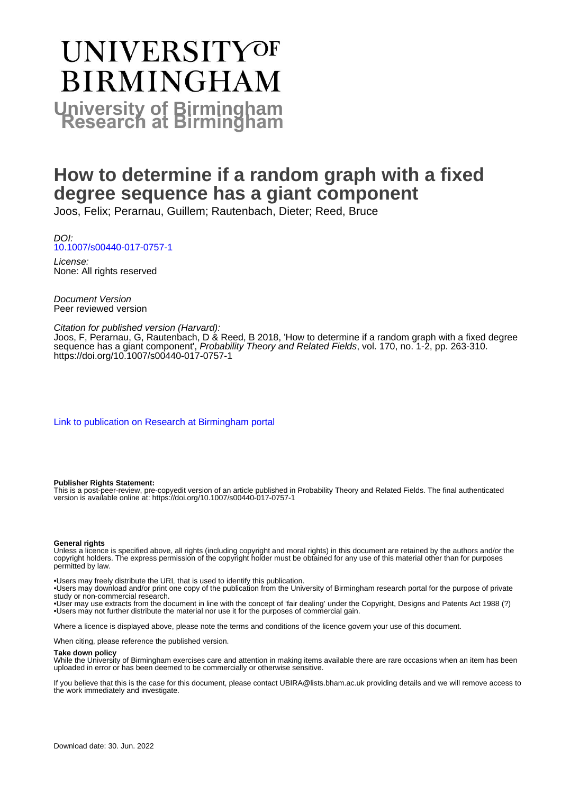# UNIVERSITYOF **BIRMINGHAM University of Birmingham**

# **How to determine if a random graph with a fixed degree sequence has a giant component**

Joos, Felix; Perarnau, Guillem; Rautenbach, Dieter; Reed, Bruce

DOI: [10.1007/s00440-017-0757-1](https://doi.org/10.1007/s00440-017-0757-1)

License: None: All rights reserved

Document Version Peer reviewed version

#### Citation for published version (Harvard):

Joos, F, Perarnau, G, Rautenbach, D & Reed, B 2018, 'How to determine if a random graph with a fixed degree sequence has a giant component', Probability Theory and Related Fields, vol. 170, no. 1-2, pp. 263-310. <https://doi.org/10.1007/s00440-017-0757-1>

[Link to publication on Research at Birmingham portal](https://birmingham.elsevierpure.com/en/publications/f39fdb6f-eac3-4262-86f7-47f939a3ec94)

#### **Publisher Rights Statement:**

This is a post-peer-review, pre-copyedit version of an article published in Probability Theory and Related Fields. The final authenticated version is available online at: https://doi.org/10.1007/s00440-017-0757-1

#### **General rights**

Unless a licence is specified above, all rights (including copyright and moral rights) in this document are retained by the authors and/or the copyright holders. The express permission of the copyright holder must be obtained for any use of this material other than for purposes permitted by law.

• Users may freely distribute the URL that is used to identify this publication.

• Users may download and/or print one copy of the publication from the University of Birmingham research portal for the purpose of private study or non-commercial research.

• User may use extracts from the document in line with the concept of 'fair dealing' under the Copyright, Designs and Patents Act 1988 (?) • Users may not further distribute the material nor use it for the purposes of commercial gain.

Where a licence is displayed above, please note the terms and conditions of the licence govern your use of this document.

When citing, please reference the published version.

#### **Take down policy**

While the University of Birmingham exercises care and attention in making items available there are rare occasions when an item has been uploaded in error or has been deemed to be commercially or otherwise sensitive.

If you believe that this is the case for this document, please contact UBIRA@lists.bham.ac.uk providing details and we will remove access to the work immediately and investigate.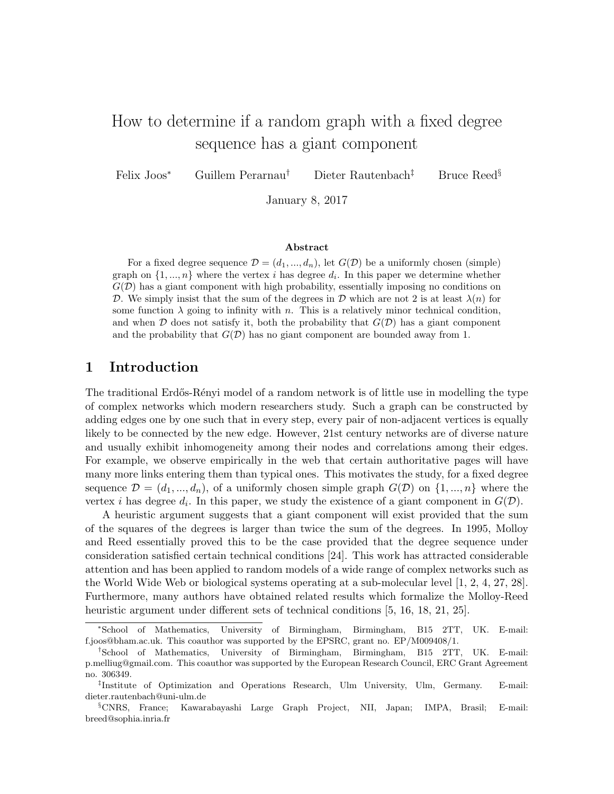# How to determine if a random graph with a fixed degree sequence has a giant component

Felix Joos<sup>∗</sup> Guillem Perarnau† Dieter Rautenbach‡ Bruce Reed§

January 8, 2017

#### Abstract

For a fixed degree sequence  $\mathcal{D} = (d_1, ..., d_n)$ , let  $G(\mathcal{D})$  be a uniformly chosen (simple) graph on  $\{1, ..., n\}$  where the vertex *i* has degree  $d_i$ . In this paper we determine whether  $G(\mathcal{D})$  has a giant component with high probability, essentially imposing no conditions on D. We simply insist that the sum of the degrees in D which are not 2 is at least  $\lambda(n)$  for some function  $\lambda$  going to infinity with n. This is a relatively minor technical condition, and when  $\mathcal D$  does not satisfy it, both the probability that  $G(\mathcal D)$  has a giant component and the probability that  $G(\mathcal{D})$  has no giant component are bounded away from 1.

## 1 Introduction

The traditional Erdős-Rényi model of a random network is of little use in modelling the type of complex networks which modern researchers study. Such a graph can be constructed by adding edges one by one such that in every step, every pair of non-adjacent vertices is equally likely to be connected by the new edge. However, 21st century networks are of diverse nature and usually exhibit inhomogeneity among their nodes and correlations among their edges. For example, we observe empirically in the web that certain authoritative pages will have many more links entering them than typical ones. This motivates the study, for a fixed degree sequence  $\mathcal{D} = (d_1, ..., d_n)$ , of a uniformly chosen simple graph  $G(\mathcal{D})$  on  $\{1, ..., n\}$  where the vertex *i* has degree  $d_i$ . In this paper, we study the existence of a giant component in  $G(\mathcal{D})$ .

A heuristic argument suggests that a giant component will exist provided that the sum of the squares of the degrees is larger than twice the sum of the degrees. In 1995, Molloy and Reed essentially proved this to be the case provided that the degree sequence under consideration satisfied certain technical conditions [24]. This work has attracted considerable attention and has been applied to random models of a wide range of complex networks such as the World Wide Web or biological systems operating at a sub-molecular level [1, 2, 4, 27, 28]. Furthermore, many authors have obtained related results which formalize the Molloy-Reed heuristic argument under different sets of technical conditions [5, 16, 18, 21, 25].

<sup>∗</sup>School of Mathematics, University of Birmingham, Birmingham, B15 2TT, UK. E-mail: f.joos@bham.ac.uk. This coauthor was supported by the EPSRC, grant no. EP/M009408/1.

<sup>†</sup>School of Mathematics, University of Birmingham, Birmingham, B15 2TT, UK. E-mail: p.melliug@gmail.com. This coauthor was supported by the European Research Council, ERC Grant Agreement no. 306349.

<sup>‡</sup> Institute of Optimization and Operations Research, Ulm University, Ulm, Germany. E-mail: dieter.rautenbach@uni-ulm.de

<sup>§</sup>CNRS, France; Kawarabayashi Large Graph Project, NII, Japan; IMPA, Brasil; E-mail: breed@sophia.inria.fr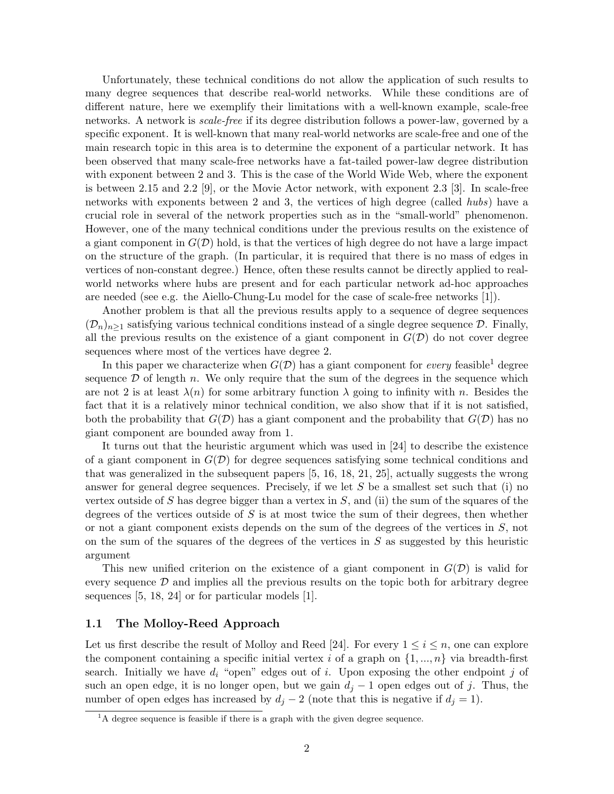Unfortunately, these technical conditions do not allow the application of such results to many degree sequences that describe real-world networks. While these conditions are of different nature, here we exemplify their limitations with a well-known example, scale-free networks. A network is scale-free if its degree distribution follows a power-law, governed by a specific exponent. It is well-known that many real-world networks are scale-free and one of the main research topic in this area is to determine the exponent of a particular network. It has been observed that many scale-free networks have a fat-tailed power-law degree distribution with exponent between 2 and 3. This is the case of the World Wide Web, where the exponent is between 2.15 and 2.2 [9], or the Movie Actor network, with exponent 2.3 [3]. In scale-free networks with exponents between 2 and 3, the vertices of high degree (called hubs) have a crucial role in several of the network properties such as in the "small-world" phenomenon. However, one of the many technical conditions under the previous results on the existence of a giant component in  $G(\mathcal{D})$  hold, is that the vertices of high degree do not have a large impact on the structure of the graph. (In particular, it is required that there is no mass of edges in vertices of non-constant degree.) Hence, often these results cannot be directly applied to realworld networks where hubs are present and for each particular network ad-hoc approaches are needed (see e.g. the Aiello-Chung-Lu model for the case of scale-free networks [1]).

Another problem is that all the previous results apply to a sequence of degree sequences  $(\mathcal{D}_n)_{n\geq 1}$  satisfying various technical conditions instead of a single degree sequence  $\mathcal{D}$ . Finally, all the previous results on the existence of a giant component in  $G(\mathcal{D})$  do not cover degree sequences where most of the vertices have degree 2.

In this paper we characterize when  $G(D)$  has a giant component for *every* feasible<sup>1</sup> degree sequence  $\mathcal D$  of length n. We only require that the sum of the degrees in the sequence which are not 2 is at least  $\lambda(n)$  for some arbitrary function  $\lambda$  going to infinity with n. Besides the fact that it is a relatively minor technical condition, we also show that if it is not satisfied, both the probability that  $G(\mathcal{D})$  has a giant component and the probability that  $G(\mathcal{D})$  has no giant component are bounded away from 1.

It turns out that the heuristic argument which was used in [24] to describe the existence of a giant component in  $G(\mathcal{D})$  for degree sequences satisfying some technical conditions and that was generalized in the subsequent papers [5, 16, 18, 21, 25], actually suggests the wrong answer for general degree sequences. Precisely, if we let  $S$  be a smallest set such that (i) no vertex outside of S has degree bigger than a vertex in  $S$ , and (ii) the sum of the squares of the degrees of the vertices outside of  $S$  is at most twice the sum of their degrees, then whether or not a giant component exists depends on the sum of the degrees of the vertices in S, not on the sum of the squares of the degrees of the vertices in  $S$  as suggested by this heuristic argument

This new unified criterion on the existence of a giant component in  $G(\mathcal{D})$  is valid for every sequence  $\mathcal D$  and implies all the previous results on the topic both for arbitrary degree sequences [5, 18, 24] or for particular models [1].

#### 1.1 The Molloy-Reed Approach

Let us first describe the result of Molloy and Reed [24]. For every  $1 \leq i \leq n$ , one can explore the component containing a specific initial vertex i of a graph on  $\{1, ..., n\}$  via breadth-first search. Initially we have  $d_i$  "open" edges out of i. Upon exposing the other endpoint j of such an open edge, it is no longer open, but we gain  $d_i - 1$  open edges out of j. Thus, the number of open edges has increased by  $d_i - 2$  (note that this is negative if  $d_i = 1$ ).

 ${}^{1}$ A degree sequence is feasible if there is a graph with the given degree sequence.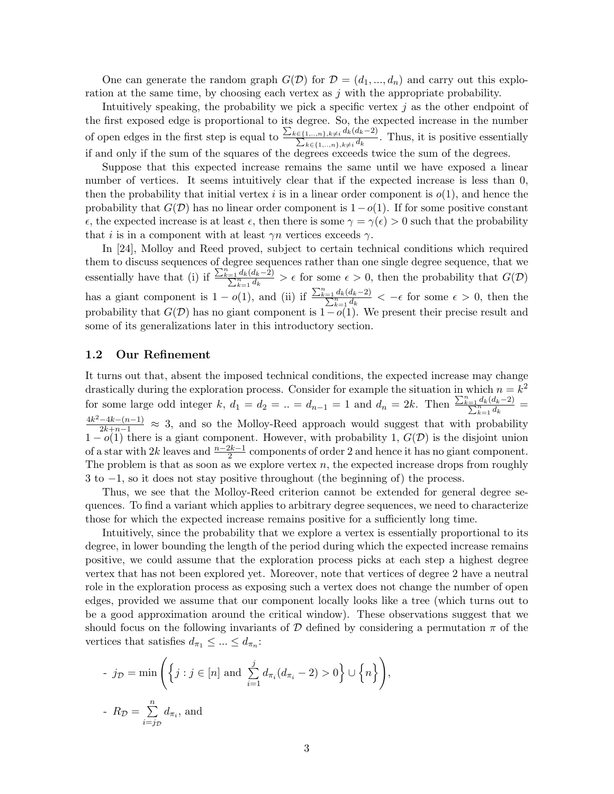One can generate the random graph  $G(\mathcal{D})$  for  $\mathcal{D} = (d_1, ..., d_n)$  and carry out this exploration at the same time, by choosing each vertex as  $j$  with the appropriate probability.

Intuitively speaking, the probability we pick a specific vertex  $j$  as the other endpoint of the first exposed edge is proportional to its degree. So, the expected increase in the number of open edges in the first step is equal to  $\frac{\sum_{k\in\{1,\ldots,n\},k\neq i}d_k(d_k-2)}{d_k}$  $\frac{\sum_{k\in\{1,\ldots,n\},k\neq i}a_k(a_k-2)}{\sum_{k\in\{1,\ldots,n\},k\neq i}d_k}$ . Thus, it is positive essentially if and only if the sum of the squares of the degrees exceeds twice the sum of the degrees.

Suppose that this expected increase remains the same until we have exposed a linear number of vertices. It seems intuitively clear that if the expected increase is less than 0, then the probability that initial vertex i is in a linear order component is  $o(1)$ , and hence the probability that  $G(\mathcal{D})$  has no linear order component is  $1-o(1)$ . If for some positive constant  $\epsilon$ , the expected increase is at least  $\epsilon$ , then there is some  $\gamma = \gamma(\epsilon) > 0$  such that the probability that *i* is in a component with at least  $\gamma n$  vertices exceeds  $\gamma$ .

In [24], Molloy and Reed proved, subject to certain technical conditions which required them to discuss sequences of degree sequences rather than one single degree sequence, that we essentially have that (i) if  $\frac{\sum_{k=1}^{n} d_k(d_k-2)}{\sum_{k=1}^{n} d_k} > \epsilon$  for some  $\epsilon > 0$ , then the probability that  $G(\mathcal{D})$ has a giant component is  $1 - o(1)$ , and (ii) if  $\frac{\sum_{k=1}^{n} d_k(d_k-2)}{\sum_{k=1}^{n} d_k} < -\epsilon$  for some  $\epsilon > 0$ , then the probability that  $G(\mathcal{D})$  has no giant component is  $1-o(1)$ . We present their precise result and some of its generalizations later in this introductory section.

#### 1.2 Our Refinement

It turns out that, absent the imposed technical conditions, the expected increase may change drastically during the exploration process. Consider for example the situation in which  $n = k^2$ for some large odd integer k,  $d_1 = d_2 = ... = d_{n-1} = 1$  and  $d_n = 2k$ . Then  $\frac{\sum_{k=1}^{n} d_k(d_k-2)}{\sum_{k=1}^{n} d_k}$  $\frac{4k^2-4k-(n-1)}{2k+n-1} \approx 3$ , and so the Molloy-Reed approach would suggest that with probability  $1-o(1)$  there is a giant component. However, with probability 1,  $G(\mathcal{D})$  is the disjoint union of a star with 2k leaves and  $\frac{n-2k-1}{2}$  components of order 2 and hence it has no giant component. The problem is that as soon as we explore vertex  $n$ , the expected increase drops from roughly 3 to −1, so it does not stay positive throughout (the beginning of) the process.

Thus, we see that the Molloy-Reed criterion cannot be extended for general degree sequences. To find a variant which applies to arbitrary degree sequences, we need to characterize those for which the expected increase remains positive for a sufficiently long time.

Intuitively, since the probability that we explore a vertex is essentially proportional to its degree, in lower bounding the length of the period during which the expected increase remains positive, we could assume that the exploration process picks at each step a highest degree vertex that has not been explored yet. Moreover, note that vertices of degree 2 have a neutral role in the exploration process as exposing such a vertex does not change the number of open edges, provided we assume that our component locally looks like a tree (which turns out to be a good approximation around the critical window). These observations suggest that we should focus on the following invariants of D defined by considering a permutation  $\pi$  of the vertices that satisfies  $d_{\pi_1} \leq \ldots \leq d_{\pi_n}$ :

- 
$$
j_{\mathcal{D}} = \min \left( \left\{ j : j \in [n] \text{ and } \sum_{i=1}^{j} d_{\pi_i} (d_{\pi_i} - 2) > 0 \right\} \cup \left\{ n \right\} \right),
$$
  
-  $R_{\mathcal{D}} = \sum_{i=j_{\mathcal{D}}}^{n} d_{\pi_i}$ , and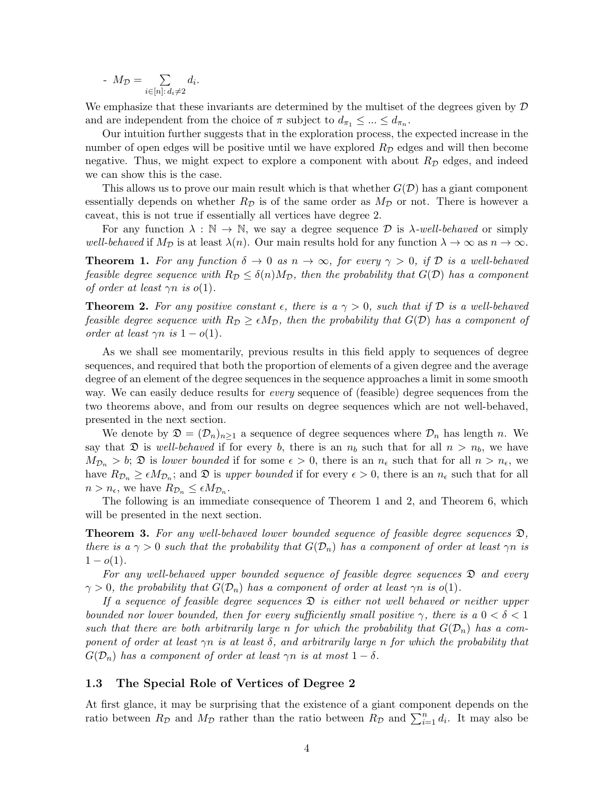$$
M_{\mathcal{D}} = \sum_{i \in [n]: d_i \neq 2} d_i.
$$

We emphasize that these invariants are determined by the multiset of the degrees given by  $\mathcal D$ and are independent from the choice of  $\pi$  subject to  $d_{\pi_1} \leq \ldots \leq d_{\pi_n}$ .

Our intuition further suggests that in the exploration process, the expected increase in the number of open edges will be positive until we have explored  $R<sub>D</sub>$  edges and will then become negative. Thus, we might expect to explore a component with about  $R_{\mathcal{D}}$  edges, and indeed we can show this is the case.

This allows us to prove our main result which is that whether  $G(\mathcal{D})$  has a giant component essentially depends on whether  $R_{\mathcal{D}}$  is of the same order as  $M_{\mathcal{D}}$  or not. There is however a caveat, this is not true if essentially all vertices have degree 2.

For any function  $\lambda : \mathbb{N} \to \mathbb{N}$ , we say a degree sequence  $\mathcal{D}$  is  $\lambda$ -well-behaved or simply well-behaved if  $M_{\mathcal{D}}$  is at least  $\lambda(n)$ . Our main results hold for any function  $\lambda \to \infty$  as  $n \to \infty$ .

**Theorem 1.** For any function  $\delta \to 0$  as  $n \to \infty$ , for every  $\gamma > 0$ , if D is a well-behaved feasible degree sequence with  $R_{\mathcal{D}} \leq \delta(n)M_{\mathcal{D}}$ , then the probability that  $G(\mathcal{D})$  has a component of order at least  $\gamma n$  is  $o(1)$ .

**Theorem 2.** For any positive constant  $\epsilon$ , there is a  $\gamma > 0$ , such that if D is a well-behaved feasible degree sequence with  $R_{\mathcal{D}} \geq \epsilon M_{\mathcal{D}}$ , then the probability that  $G(\mathcal{D})$  has a component of order at least  $\gamma n$  is  $1 - o(1)$ .

As we shall see momentarily, previous results in this field apply to sequences of degree sequences, and required that both the proportion of elements of a given degree and the average degree of an element of the degree sequences in the sequence approaches a limit in some smooth way. We can easily deduce results for *every* sequence of (feasible) degree sequences from the two theorems above, and from our results on degree sequences which are not well-behaved, presented in the next section.

We denote by  $\mathfrak{D} = (\mathcal{D}_n)_{n>1}$  a sequence of degree sequences where  $\mathcal{D}_n$  has length n. We say that  $\mathfrak D$  is well-behaved if for every b, there is an  $n_b$  such that for all  $n > n_b$ , we have  $M_{\mathcal{D}_n} > b$ ;  $\mathfrak{D}$  is lower bounded if for some  $\epsilon > 0$ , there is an  $n_{\epsilon}$  such that for all  $n > n_{\epsilon}$ , we have  $R_{\mathcal{D}_n} \geq \epsilon M_{\mathcal{D}_n}$ ; and  $\mathfrak{D}$  is upper bounded if for every  $\epsilon > 0$ , there is an  $n_{\epsilon}$  such that for all  $n > n_{\epsilon}$ , we have  $R_{\mathcal{D}_n} \leq \epsilon M_{\mathcal{D}_n}$ .

The following is an immediate consequence of Theorem 1 and 2, and Theorem 6, which will be presented in the next section.

**Theorem 3.** For any well-behaved lower bounded sequence of feasible degree sequences  $\mathfrak{D}$ , there is a  $\gamma > 0$  such that the probability that  $G(\mathcal{D}_n)$  has a component of order at least  $\gamma n$  is  $1 - o(1)$ .

For any well-behaved upper bounded sequence of feasible degree sequences D and every  $\gamma > 0$ , the probability that  $G(\mathcal{D}_n)$  has a component of order at least  $\gamma n$  is  $o(1)$ .

If a sequence of feasible degree sequences  $\mathfrak D$  is either not well behaved or neither upper bounded nor lower bounded, then for every sufficiently small positive  $\gamma$ , there is a  $0 < \delta < 1$ such that there are both arbitrarily large n for which the probability that  $G(\mathcal{D}_n)$  has a component of order at least  $\gamma$ n is at least  $\delta$ , and arbitrarily large n for which the probability that  $G(\mathcal{D}_n)$  has a component of order at least  $\gamma n$  is at most  $1-\delta$ .

### 1.3 The Special Role of Vertices of Degree 2

At first glance, it may be surprising that the existence of a giant component depends on the ratio between  $R_{\mathcal{D}}$  and  $M_{\mathcal{D}}$  rather than the ratio between  $R_{\mathcal{D}}$  and  $\sum_{i=1}^{n} d_i$ . It may also be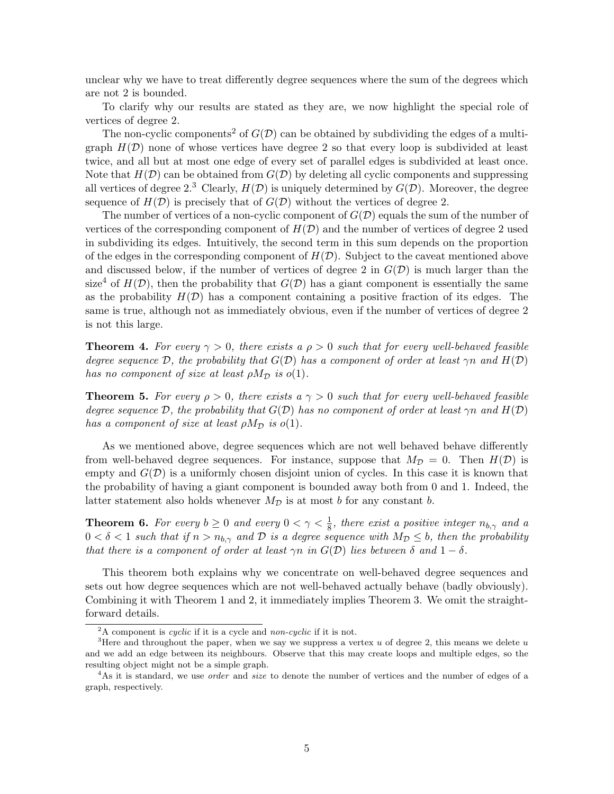unclear why we have to treat differently degree sequences where the sum of the degrees which are not 2 is bounded.

To clarify why our results are stated as they are, we now highlight the special role of vertices of degree 2.

The non-cyclic components<sup>2</sup> of  $G(\mathcal{D})$  can be obtained by subdividing the edges of a multigraph  $H(\mathcal{D})$  none of whose vertices have degree 2 so that every loop is subdivided at least twice, and all but at most one edge of every set of parallel edges is subdivided at least once. Note that  $H(\mathcal{D})$  can be obtained from  $G(\mathcal{D})$  by deleting all cyclic components and suppressing all vertices of degree 2.<sup>3</sup> Clearly,  $H(\mathcal{D})$  is uniquely determined by  $G(\mathcal{D})$ . Moreover, the degree sequence of  $H(\mathcal{D})$  is precisely that of  $G(\mathcal{D})$  without the vertices of degree 2.

The number of vertices of a non-cyclic component of  $G(\mathcal{D})$  equals the sum of the number of vertices of the corresponding component of  $H(D)$  and the number of vertices of degree 2 used in subdividing its edges. Intuitively, the second term in this sum depends on the proportion of the edges in the corresponding component of  $H(D)$ . Subject to the caveat mentioned above and discussed below, if the number of vertices of degree 2 in  $G(\mathcal{D})$  is much larger than the size<sup>4</sup> of  $H(\mathcal{D})$ , then the probability that  $G(\mathcal{D})$  has a giant component is essentially the same as the probability  $H(\mathcal{D})$  has a component containing a positive fraction of its edges. The same is true, although not as immediately obvious, even if the number of vertices of degree 2 is not this large.

**Theorem 4.** For every  $\gamma > 0$ , there exists a  $\rho > 0$  such that for every well-behaved feasible degree sequence D, the probability that  $G(D)$  has a component of order at least  $\gamma n$  and  $H(D)$ has no component of size at least  $\rho M_{\mathcal{D}}$  is  $o(1)$ .

**Theorem 5.** For every  $\rho > 0$ , there exists a  $\gamma > 0$  such that for every well-behaved feasible degree sequence D, the probability that  $G(\mathcal{D})$  has no component of order at least  $\gamma n$  and  $H(\mathcal{D})$ has a component of size at least  $\rho M_{\mathcal{D}}$  is  $o(1)$ .

As we mentioned above, degree sequences which are not well behaved behave differently from well-behaved degree sequences. For instance, suppose that  $M_{\mathcal{D}} = 0$ . Then  $H(\mathcal{D})$  is empty and  $G(\mathcal{D})$  is a uniformly chosen disjoint union of cycles. In this case it is known that the probability of having a giant component is bounded away both from 0 and 1. Indeed, the latter statement also holds whenever  $M_{\mathcal{D}}$  is at most b for any constant b.

**Theorem 6.** For every  $b \ge 0$  and every  $0 < \gamma < \frac{1}{8}$ , there exist a positive integer  $n_{b,\gamma}$  and a  $0 < \delta < 1$  such that if  $n > n_{b,\gamma}$  and  $\mathcal D$  is a degree sequence with  $M_{\mathcal D} \leq b$ , then the probability that there is a component of order at least  $\gamma n$  in  $G(\mathcal{D})$  lies between  $\delta$  and  $1-\delta$ .

This theorem both explains why we concentrate on well-behaved degree sequences and sets out how degree sequences which are not well-behaved actually behave (badly obviously). Combining it with Theorem 1 and 2, it immediately implies Theorem 3. We omit the straightforward details.

 $^{2}$ A component is *cyclic* if it is a cycle and *non-cyclic* if it is not.

<sup>&</sup>lt;sup>3</sup>Here and throughout the paper, when we say we suppress a vertex u of degree 2, this means we delete u and we add an edge between its neighbours. Observe that this may create loops and multiple edges, so the resulting object might not be a simple graph.

<sup>&</sup>lt;sup>4</sup>As it is standard, we use *order* and *size* to denote the number of vertices and the number of edges of a graph, respectively.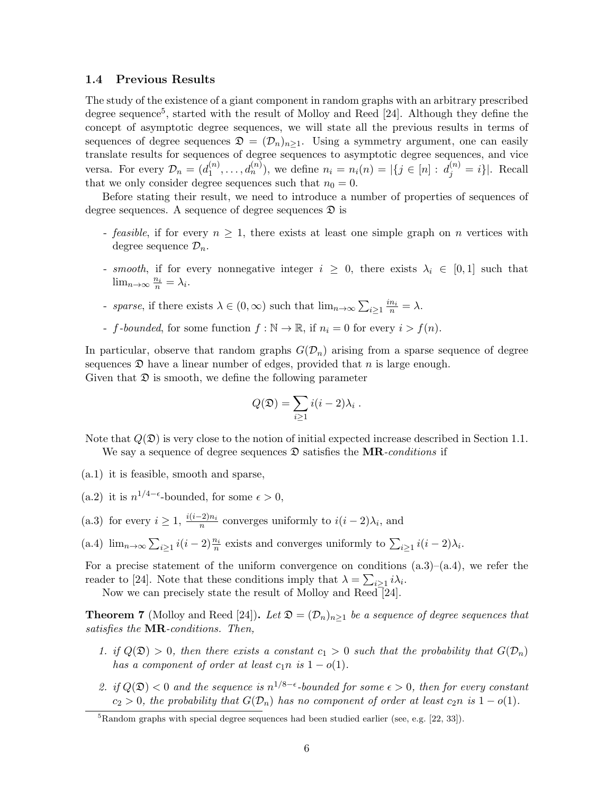#### 1.4 Previous Results

The study of the existence of a giant component in random graphs with an arbitrary prescribed degree sequence<sup>5</sup>, started with the result of Molloy and Reed [24]. Although they define the concept of asymptotic degree sequences, we will state all the previous results in terms of sequences of degree sequences  $\mathfrak{D} = (\mathcal{D}_n)_{n>1}$ . Using a symmetry argument, one can easily translate results for sequences of degree sequences to asymptotic degree sequences, and vice versa. For every  $\mathcal{D}_n = (d_1^{(n)})$  $\mathcal{A}_1^{(n)}, \ldots, \mathcal{A}_n^{(n)}$ , we define  $n_i = n_i(n) = |\{j \in [n]: d_j^{(n)} = i\}|$ . Recall that we only consider degree sequences such that  $n_0 = 0$ .

Before stating their result, we need to introduce a number of properties of sequences of degree sequences. A sequence of degree sequences  $\mathfrak D$  is

- feasible, if for every  $n \geq 1$ , there exists at least one simple graph on n vertices with degree sequence  $\mathcal{D}_n$ .
- smooth, if for every nonnegative integer  $i \geq 0$ , there exists  $\lambda_i \in [0,1]$  such that  $\lim_{n\to\infty}\frac{n_i}{n}=\lambda_i.$
- sparse, if there exists  $\lambda \in (0, \infty)$  such that  $\lim_{n \to \infty} \sum_{i \geq 1} \frac{in_i}{n} = \lambda$ .
- f-bounded, for some function  $f : \mathbb{N} \to \mathbb{R}$ , if  $n_i = 0$  for every  $i > f(n)$ .

In particular, observe that random graphs  $G(\mathcal{D}_n)$  arising from a sparse sequence of degree sequences  $\mathfrak D$  have a linear number of edges, provided that n is large enough. Given that  $\mathfrak D$  is smooth, we define the following parameter

$$
Q(\mathfrak{D}) = \sum_{i \geq 1} i(i-2)\lambda_i.
$$

Note that  $Q(\mathfrak{D})$  is very close to the notion of initial expected increase described in Section 1.1. We say a sequence of degree sequences  $\mathfrak D$  satisfies the **MR**-conditions if

- (a.1) it is feasible, smooth and sparse,
- (a.2) it is  $n^{1/4-\epsilon}$ -bounded, for some  $\epsilon > 0$ ,
- (a.3) for every  $i \geq 1$ ,  $\frac{i(i-2)n_i}{n}$  converges uniformly to  $i(i-2)\lambda_i$ , and
- (a.4)  $\lim_{n\to\infty}\sum_{i\geq 1}i(i-2)\frac{n_i}{n}$  exists and converges uniformly to  $\sum_{i\geq 1}i(i-2)\lambda_i$ .

For a precise statement of the uniform convergence on conditions  $(a.3)$ – $(a.4)$ , we refer the reader to [24]. Note that these conditions imply that  $\lambda = \sum_{i \geq 1} i \lambda_i$ .

Now we can precisely state the result of Molloy and Reed [24].

**Theorem 7** (Molloy and Reed [24]). Let  $\mathfrak{D} = (\mathcal{D}_n)_{n>1}$  be a sequence of degree sequences that satisfies the **MR**-conditions. Then,

- 1. if  $Q(\mathfrak{D}) > 0$ , then there exists a constant  $c_1 > 0$  such that the probability that  $G(\mathcal{D}_n)$ has a component of order at least  $c_1n$  is  $1 - o(1)$ .
- 2. if  $Q(\mathfrak{D}) < 0$  and the sequence is  $n^{1/8-\epsilon}$ -bounded for some  $\epsilon > 0$ , then for every constant  $c_2 > 0$ , the probability that  $G(\mathcal{D}_n)$  has no component of order at least  $c_2n$  is  $1 - o(1)$ .

<sup>&</sup>lt;sup>5</sup>Random graphs with special degree sequences had been studied earlier (see, e.g. [22, 33]).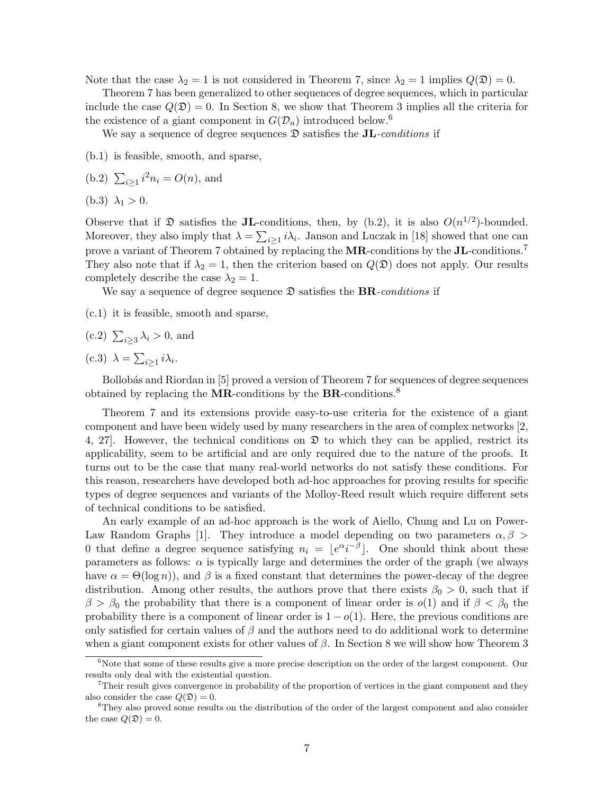Note that the case  $\lambda_2 = 1$  is not considered in Theorem 7, since  $\lambda_2 = 1$  implies  $Q(\mathfrak{D}) = 0$ .

Theorem 7 has been generalized to other sequences of degree sequences, which in particular include the case  $Q(\mathfrak{D}) = 0$ . In Section 8, we show that Theorem 3 implies all the criteria for the existence of a giant component in  $G(\mathcal{D}_n)$  introduced below.<sup>6</sup>

We say a sequence of degree sequences  $\mathfrak D$  satisfies the **JL**-conditions if

(b.1) is feasible, smooth, and sparse,

(b.2) 
$$
\sum_{i\geq 1} i^2 n_i = O(n)
$$
, and

$$
(b.3) \lambda_1 > 0.
$$

Observe that if  $\mathfrak D$  satisfies the **JL**-conditions, then, by (b.2), it is also  $O(n^{1/2})$ -bounded. Moreover, they also imply that  $\lambda = \sum_{i \geq 1} i \lambda_i$ . Janson and Luczak in [18] showed that one can prove a variant of Theorem 7 obtained by replacing the **MR**-conditions by the **JL**-conditions.<sup>7</sup> They also note that if  $\lambda_2 = 1$ , then the criterion based on  $Q(\mathfrak{D})$  does not apply. Our results completely describe the case  $\lambda_2 = 1$ .

We say a sequence of degree sequence  $\mathfrak D$  satisfies the **BR**-conditions if

(c.1) it is feasible, smooth and sparse,

(c.2) 
$$
\sum_{i\geq 3} \lambda_i > 0
$$
, and

(c.3)  $\lambda = \sum_{i \geq 1} i \lambda_i$ .

Bollobás and Riordan in [5] proved a version of Theorem 7 for sequences of degree sequences obtained by replacing the **MR**-conditions by the **BR**-conditions.<sup>8</sup>

Theorem 7 and its extensions provide easy-to-use criteria for the existence of a giant component and have been widely used by many researchers in the area of complex networks [2, 4, 27. However, the technical conditions on  $\mathfrak D$  to which they can be applied, restrict its applicability, seem to be artificial and are only required due to the nature of the proofs. It turns out to be the case that many real-world networks do not satisfy these conditions. For this reason, researchers have developed both ad-hoc approaches for proving results for specific types of degree sequences and variants of the Molloy-Reed result which require different sets of technical conditions to be satisfied.

An early example of an ad-hoc approach is the work of Aiello, Chung and Lu on Power-Law Random Graphs [1]. They introduce a model depending on two parameters  $\alpha, \beta$ 0 that define a degree sequence satisfying  $n_i = \lfloor e^{\alpha} i^{-\beta} \rfloor$ . One should think about these parameters as follows:  $\alpha$  is typically large and determines the order of the graph (we always have  $\alpha = \Theta(\log n)$ , and  $\beta$  is a fixed constant that determines the power-decay of the degree distribution. Among other results, the authors prove that there exists  $\beta_0 > 0$ , such that if  $\beta > \beta_0$  the probability that there is a component of linear order is  $o(1)$  and if  $\beta < \beta_0$  the probability there is a component of linear order is  $1 - o(1)$ . Here, the previous conditions are only satisfied for certain values of  $\beta$  and the authors need to do additional work to determine when a giant component exists for other values of  $\beta$ . In Section 8 we will show how Theorem 3

 $6$ Note that some of these results give a more precise description on the order of the largest component. Our results only deal with the existential question.

<sup>&</sup>lt;sup>7</sup>Their result gives convergence in probability of the proportion of vertices in the giant component and they also consider the case  $Q(\mathfrak{D})=0$ .

<sup>&</sup>lt;sup>8</sup>They also proved some results on the distribution of the order of the largest component and also consider the case  $Q(\mathfrak{D})=0$ .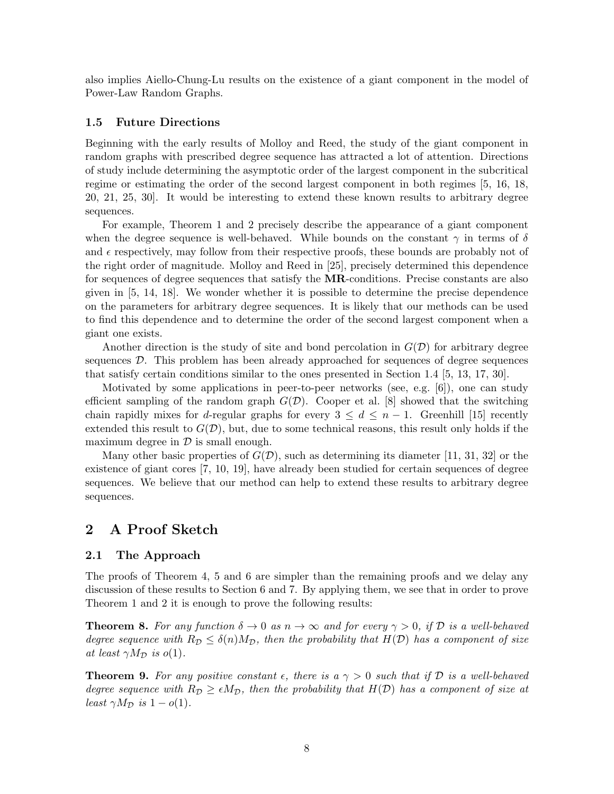also implies Aiello-Chung-Lu results on the existence of a giant component in the model of Power-Law Random Graphs.

#### 1.5 Future Directions

Beginning with the early results of Molloy and Reed, the study of the giant component in random graphs with prescribed degree sequence has attracted a lot of attention. Directions of study include determining the asymptotic order of the largest component in the subcritical regime or estimating the order of the second largest component in both regimes [5, 16, 18, 20, 21, 25, 30]. It would be interesting to extend these known results to arbitrary degree sequences.

For example, Theorem 1 and 2 precisely describe the appearance of a giant component when the degree sequence is well-behaved. While bounds on the constant  $\gamma$  in terms of  $\delta$ and  $\epsilon$  respectively, may follow from their respective proofs, these bounds are probably not of the right order of magnitude. Molloy and Reed in [25], precisely determined this dependence for sequences of degree sequences that satisfy the **MR**-conditions. Precise constants are also given in [5, 14, 18]. We wonder whether it is possible to determine the precise dependence on the parameters for arbitrary degree sequences. It is likely that our methods can be used to find this dependence and to determine the order of the second largest component when a giant one exists.

Another direction is the study of site and bond percolation in  $G(\mathcal{D})$  for arbitrary degree sequences D. This problem has been already approached for sequences of degree sequences that satisfy certain conditions similar to the ones presented in Section 1.4 [5, 13, 17, 30].

Motivated by some applications in peer-to-peer networks (see, e.g. [6]), one can study efficient sampling of the random graph  $G(\mathcal{D})$ . Cooper et al. [8] showed that the switching chain rapidly mixes for d-regular graphs for every  $3 \leq d \leq n-1$ . Greenhill [15] recently extended this result to  $G(\mathcal{D})$ , but, due to some technical reasons, this result only holds if the maximum degree in  $\mathcal D$  is small enough.

Many other basic properties of  $G(\mathcal{D})$ , such as determining its diameter [11, 31, 32] or the existence of giant cores [7, 10, 19], have already been studied for certain sequences of degree sequences. We believe that our method can help to extend these results to arbitrary degree sequences.

## 2 A Proof Sketch

#### 2.1 The Approach

The proofs of Theorem 4, 5 and 6 are simpler than the remaining proofs and we delay any discussion of these results to Section 6 and 7. By applying them, we see that in order to prove Theorem 1 and 2 it is enough to prove the following results:

**Theorem 8.** For any function  $\delta \to 0$  as  $n \to \infty$  and for every  $\gamma > 0$ , if D is a well-behaved degree sequence with  $R_{\mathcal{D}} \leq \delta(n) M_{\mathcal{D}}$ , then the probability that  $H(\mathcal{D})$  has a component of size at least  $\gamma M_{\mathcal{D}}$  is  $o(1)$ .

**Theorem 9.** For any positive constant  $\epsilon$ , there is a  $\gamma > 0$  such that if D is a well-behaved degree sequence with  $R_{\mathcal{D}} \geq \epsilon M_{\mathcal{D}}$ , then the probability that  $H(\mathcal{D})$  has a component of size at least  $\gamma M_{\mathcal{D}}$  is  $1 - o(1)$ .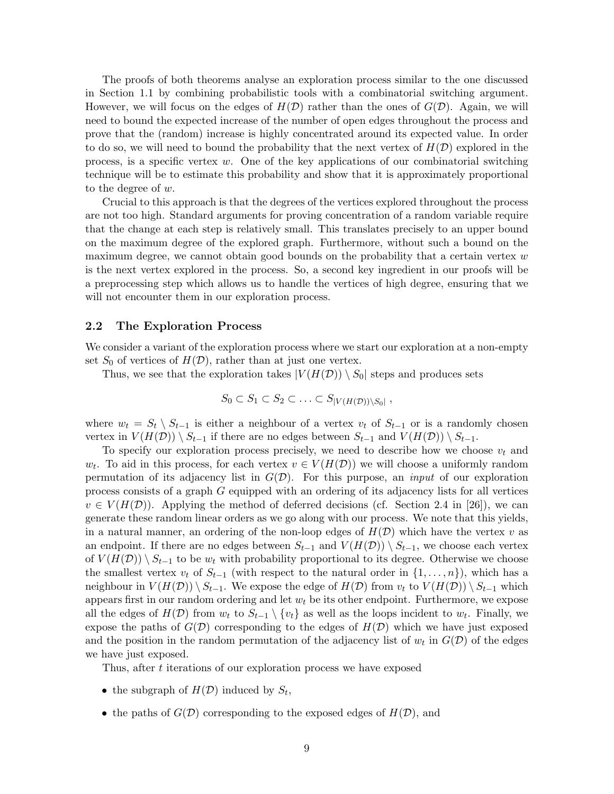The proofs of both theorems analyse an exploration process similar to the one discussed in Section 1.1 by combining probabilistic tools with a combinatorial switching argument. However, we will focus on the edges of  $H(D)$  rather than the ones of  $G(D)$ . Again, we will need to bound the expected increase of the number of open edges throughout the process and prove that the (random) increase is highly concentrated around its expected value. In order to do so, we will need to bound the probability that the next vertex of  $H(\mathcal{D})$  explored in the process, is a specific vertex  $w$ . One of the key applications of our combinatorial switching technique will be to estimate this probability and show that it is approximately proportional to the degree of w.

Crucial to this approach is that the degrees of the vertices explored throughout the process are not too high. Standard arguments for proving concentration of a random variable require that the change at each step is relatively small. This translates precisely to an upper bound on the maximum degree of the explored graph. Furthermore, without such a bound on the maximum degree, we cannot obtain good bounds on the probability that a certain vertex  $w$ is the next vertex explored in the process. So, a second key ingredient in our proofs will be a preprocessing step which allows us to handle the vertices of high degree, ensuring that we will not encounter them in our exploration process.

#### 2.2 The Exploration Process

We consider a variant of the exploration process where we start our exploration at a non-empty set  $S_0$  of vertices of  $H(\mathcal{D})$ , rather than at just one vertex.

Thus, we see that the exploration takes  $|V(H(D)) \setminus S_0|$  steps and produces sets

$$
S_0 \subset S_1 \subset S_2 \subset \ldots \subset S_{|V(H(\mathcal{D})) \setminus S_0|},
$$

where  $w_t = S_t \setminus S_{t-1}$  is either a neighbour of a vertex  $v_t$  of  $S_{t-1}$  or is a randomly chosen vertex in  $V(H(\mathcal{D})) \setminus S_{t-1}$  if there are no edges between  $S_{t-1}$  and  $V(H(\mathcal{D})) \setminus S_{t-1}$ .

To specify our exploration process precisely, we need to describe how we choose  $v_t$  and  $w_t$ . To aid in this process, for each vertex  $v \in V(H(\mathcal{D}))$  we will choose a uniformly random permutation of its adjacency list in  $G(\mathcal{D})$ . For this purpose, an *input* of our exploration process consists of a graph G equipped with an ordering of its adjacency lists for all vertices  $v \in V(H(\mathcal{D}))$ . Applying the method of deferred decisions (cf. Section 2.4 in [26]), we can generate these random linear orders as we go along with our process. We note that this yields, in a natural manner, an ordering of the non-loop edges of  $H(D)$  which have the vertex v as an endpoint. If there are no edges between  $S_{t-1}$  and  $V(H(\mathcal{D})) \setminus S_{t-1}$ , we choose each vertex of  $V(H(\mathcal{D})) \setminus S_{t-1}$  to be  $w_t$  with probability proportional to its degree. Otherwise we choose the smallest vertex  $v_t$  of  $S_{t-1}$  (with respect to the natural order in  $\{1,\ldots,n\}$ ), which has a neighbour in  $V(H(\mathcal{D})) \setminus S_{t-1}$ . We expose the edge of  $H(\mathcal{D})$  from  $v_t$  to  $V(H(\mathcal{D})) \setminus S_{t-1}$  which appears first in our random ordering and let  $w_t$  be its other endpoint. Furthermore, we expose all the edges of  $H(\mathcal{D})$  from  $w_t$  to  $S_{t-1} \setminus \{v_t\}$  as well as the loops incident to  $w_t$ . Finally, we expose the paths of  $G(\mathcal{D})$  corresponding to the edges of  $H(\mathcal{D})$  which we have just exposed and the position in the random permutation of the adjacency list of  $w_t$  in  $G(\mathcal{D})$  of the edges we have just exposed.

Thus, after t iterations of our exploration process we have exposed

- the subgraph of  $H(\mathcal{D})$  induced by  $S_t$ ,
- the paths of  $G(\mathcal{D})$  corresponding to the exposed edges of  $H(\mathcal{D})$ , and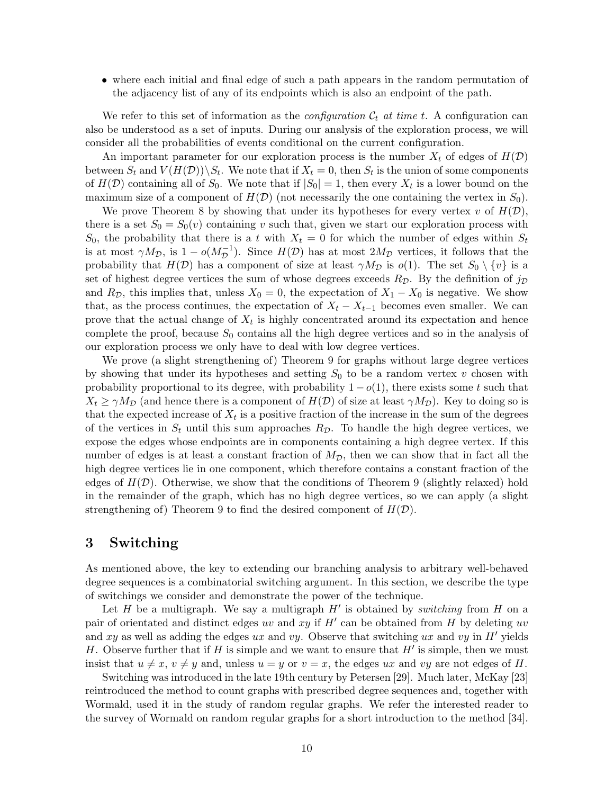• where each initial and final edge of such a path appears in the random permutation of the adjacency list of any of its endpoints which is also an endpoint of the path.

We refer to this set of information as the *configuration*  $\mathcal{C}_t$  at time t. A configuration can also be understood as a set of inputs. During our analysis of the exploration process, we will consider all the probabilities of events conditional on the current configuration.

An important parameter for our exploration process is the number  $X_t$  of edges of  $H(\mathcal{D})$ between  $S_t$  and  $V(H(\mathcal{D}))\backslash S_t$ . We note that if  $X_t = 0$ , then  $S_t$  is the union of some components of  $H(\mathcal{D})$  containing all of  $S_0$ . We note that if  $|S_0| = 1$ , then every  $X_t$  is a lower bound on the maximum size of a component of  $H(\mathcal{D})$  (not necessarily the one containing the vertex in  $S_0$ ).

We prove Theorem 8 by showing that under its hypotheses for every vertex v of  $H(\mathcal{D})$ , there is a set  $S_0 = S_0(v)$  containing v such that, given we start our exploration process with  $S_0$ , the probability that there is a t with  $X_t = 0$  for which the number of edges within  $S_t$ is at most  $\gamma M_{\mathcal{D}}$ , is  $1 - o(M_{\mathcal{D}}^{-1})$ . Since  $H(\mathcal{D})$  has at most  $2M_{\mathcal{D}}$  vertices, it follows that the probability that  $H(\mathcal{D})$  has a component of size at least  $\gamma M_{\mathcal{D}}$  is  $o(1)$ . The set  $S_0 \setminus \{v\}$  is a set of highest degree vertices the sum of whose degrees exceeds  $R_{\mathcal{D}}$ . By the definition of  $j_{\mathcal{D}}$ and  $R_{\mathcal{D}}$ , this implies that, unless  $X_0 = 0$ , the expectation of  $X_1 - X_0$  is negative. We show that, as the process continues, the expectation of  $X_t - X_{t-1}$  becomes even smaller. We can prove that the actual change of  $X_t$  is highly concentrated around its expectation and hence complete the proof, because  $S_0$  contains all the high degree vertices and so in the analysis of our exploration process we only have to deal with low degree vertices.

We prove (a slight strengthening of) Theorem 9 for graphs without large degree vertices by showing that under its hypotheses and setting  $S_0$  to be a random vertex v chosen with probability proportional to its degree, with probability  $1 - o(1)$ , there exists some t such that  $X_t \ge \gamma M_{\mathcal{D}}$  (and hence there is a component of  $H(\mathcal{D})$  of size at least  $\gamma M_{\mathcal{D}}$ ). Key to doing so is that the expected increase of  $X_t$  is a positive fraction of the increase in the sum of the degrees of the vertices in  $S_t$  until this sum approaches  $R_{\mathcal{D}}$ . To handle the high degree vertices, we expose the edges whose endpoints are in components containing a high degree vertex. If this number of edges is at least a constant fraction of  $M_{\mathcal{D}}$ , then we can show that in fact all the high degree vertices lie in one component, which therefore contains a constant fraction of the edges of  $H(\mathcal{D})$ . Otherwise, we show that the conditions of Theorem 9 (slightly relaxed) hold in the remainder of the graph, which has no high degree vertices, so we can apply (a slight strengthening of) Theorem 9 to find the desired component of  $H(\mathcal{D})$ .

# 3 Switching

As mentioned above, the key to extending our branching analysis to arbitrary well-behaved degree sequences is a combinatorial switching argument. In this section, we describe the type of switchings we consider and demonstrate the power of the technique.

Let  $H$  be a multigraph. We say a multigraph  $H'$  is obtained by *switching* from  $H$  on a pair of orientated and distinct edges uv and  $xy$  if  $H'$  can be obtained from  $H$  by deleting uv and xy as well as adding the edges ux and vy. Observe that switching ux and vy in  $H'$  yields H. Observe further that if H is simple and we want to ensure that  $H'$  is simple, then we must insist that  $u \neq x$ ,  $v \neq y$  and, unless  $u = y$  or  $v = x$ , the edges ux and vy are not edges of H.

Switching was introduced in the late 19th century by Petersen [29]. Much later, McKay [23] reintroduced the method to count graphs with prescribed degree sequences and, together with Wormald, used it in the study of random regular graphs. We refer the interested reader to the survey of Wormald on random regular graphs for a short introduction to the method [34].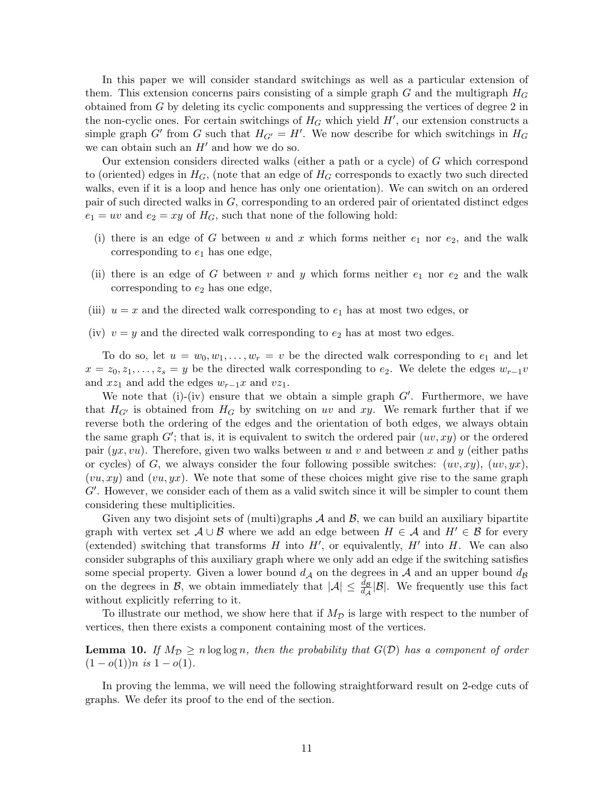In this paper we will consider standard switchings as well as a particular extension of them. This extension concerns pairs consisting of a simple graph  $G$  and the multigraph  $H_G$ obtained from G by deleting its cyclic components and suppressing the vertices of degree 2 in the non-cyclic ones. For certain switchings of  $H_G$  which yield  $H'$ , our extension constructs a simple graph G' from G such that  $H_{G'} = H'$ . We now describe for which switchings in  $H_G$ we can obtain such an  $H'$  and how we do so.

Our extension considers directed walks (either a path or a cycle) of G which correspond to (oriented) edges in  $H_G$ , (note that an edge of  $H_G$  corresponds to exactly two such directed walks, even if it is a loop and hence has only one orientation). We can switch on an ordered pair of such directed walks in G, corresponding to an ordered pair of orientated distinct edges  $e_1 = uv$  and  $e_2 = xy$  of  $H_G$ , such that none of the following hold:

- (i) there is an edge of G between u and x which forms neither  $e_1$  nor  $e_2$ , and the walk corresponding to  $e_1$  has one edge,
- (ii) there is an edge of G between v and y which forms neither  $e_1$  nor  $e_2$  and the walk corresponding to  $e_2$  has one edge,
- (iii)  $u = x$  and the directed walk corresponding to  $e_1$  has at most two edges, or
- (iv)  $v = y$  and the directed walk corresponding to  $e_2$  has at most two edges.

To do so, let  $u = w_0, w_1, \ldots, w_r = v$  be the directed walk corresponding to  $e_1$  and let  $x = z_0, z_1, \ldots, z_s = y$  be the directed walk corresponding to  $e_2$ . We delete the edges  $w_{r-1}v$ and  $xz_1$  and add the edges  $w_{r-1}x$  and  $vz_1$ .

We note that  $(i)$ - $(iv)$  ensure that we obtain a simple graph  $G'$ . Furthermore, we have that  $H_{G}$  is obtained from  $H_G$  by switching on uv and xy. We remark further that if we reverse both the ordering of the edges and the orientation of both edges, we always obtain the same graph  $G'$ ; that is, it is equivalent to switch the ordered pair  $(uv, xy)$  or the ordered pair  $(yx, vu)$ . Therefore, given two walks between u and v and between x and y (either paths or cycles) of G, we always consider the four following possible switches:  $(uv, xy)$ ,  $(uv, yx)$ ,  $(vu, xy)$  and  $(vu, yx)$ . We note that some of these choices might give rise to the same graph  $G'$ . However, we consider each of them as a valid switch since it will be simpler to count them considering these multiplicities.

Given any two disjoint sets of (multi)graphs  $A$  and  $B$ , we can build an auxiliary bipartite graph with vertex set  $\mathcal{A} \cup \mathcal{B}$  where we add an edge between  $H \in \mathcal{A}$  and  $H' \in \mathcal{B}$  for every (extended) switching that transforms  $H$  into  $H'$ , or equivalently,  $H'$  into  $H$ . We can also consider subgraphs of this auxiliary graph where we only add an edge if the switching satisfies some special property. Given a lower bound  $d_A$  on the degrees in A and an upper bound  $d_B$ on the degrees in B, we obtain immediately that  $|\mathcal{A}| \leq \frac{d\mathcal{B}}{d\mathcal{A}}|\mathcal{B}|$ . We frequently use this fact without explicitly referring to it.

To illustrate our method, we show here that if  $M_{\mathcal{D}}$  is large with respect to the number of vertices, then there exists a component containing most of the vertices.

**Lemma 10.** If  $M_{\mathcal{D}} \ge n \log \log n$ , then the probability that  $G(\mathcal{D})$  has a component of order  $(1 - o(1))n$  is  $1 - o(1)$ .

In proving the lemma, we will need the following straightforward result on 2-edge cuts of graphs. We defer its proof to the end of the section.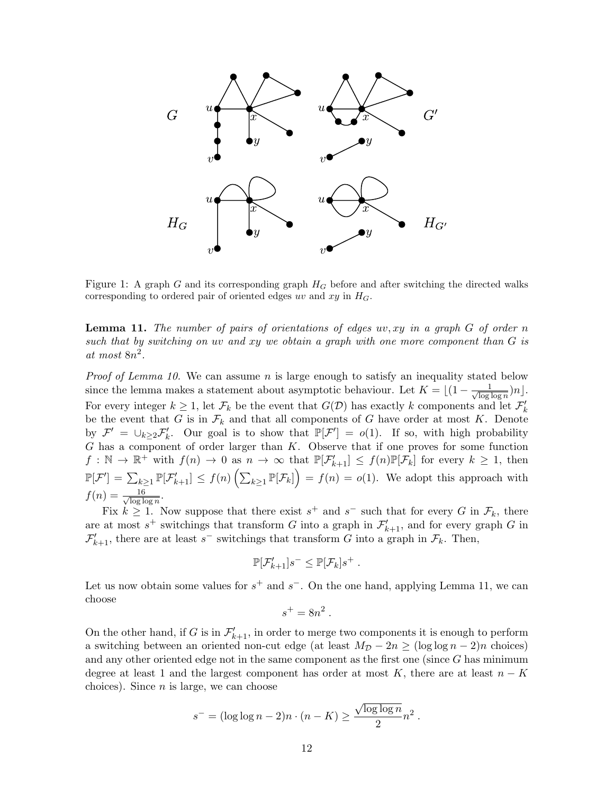

Figure 1: A graph G and its corresponding graph  $H_G$  before and after switching the directed walks corresponding to ordered pair of oriented edges uv and  $xy$  in  $H_G$ .

**Lemma 11.** The number of pairs of orientations of edges  $uv, xy$  in a graph  $G$  of order n such that by switching on uv and  $xy$  we obtain a graph with one more component than  $G$  is at most 8n 2 .

*Proof of Lemma 10.* We can assume n is large enough to satisfy an inequality stated below since the lemma makes a statement about asymptotic behaviour. Let  $K = \frac{1}{1 - \frac{1}{\sqrt{\log n}}}$  $\frac{1}{\log \log n}$ )n... For every integer  $k \geq 1$ , let  $\mathcal{F}_k$  be the event that  $G(\mathcal{D})$  has exactly k components and let  $\mathcal{F}'_k$ be the event that G is in  $\mathcal{F}_k$  and that all components of G have order at most K. Denote by  $\mathcal{F}' = \bigcup_{k \geq 2} \mathcal{F}'_k$ . Our goal is to show that  $\mathbb{P}[\mathcal{F}'] = o(1)$ . If so, with high probability G has a component of order larger than K. Observe that if one proves for some function  $f: \mathbb{N} \to \mathbb{R}^+$  with  $f(n) \to 0$  as  $n \to \infty$  that  $\mathbb{P}[\mathcal{F}_{k+1}] \leq f(n)\mathbb{P}[\mathcal{F}_k]$  for every  $k \geq 1$ , then  $\mathbb{P}[\mathcal{F}'] = \sum_{k\geq 1} \mathbb{P}[\mathcal{F}_{k+1}'] \leq f(n) \left( \sum_{k\geq 1} \mathbb{P}[\mathcal{F}_k] \right) = f(n) = o(1)$ . We adopt this approach with  $f(n) = \frac{16}{\sqrt{\log n}}$  $\frac{16}{\log \log n}$ .

Fix  $k \geq 1$ . Now suppose that there exist  $s^+$  and  $s^-$  such that for every G in  $\mathcal{F}_k$ , there are at most  $s^+$  switchings that transform G into a graph in  $\mathcal{F}'_{k+1}$ , and for every graph G in  $\mathcal{F}'_{k+1}$ , there are at least s<sup>-</sup> switchings that transform G into a graph in  $\mathcal{F}_k$ . Then,

$$
\mathbb{P}[\mathcal{F}_{k+1}']s^{-} \leq \mathbb{P}[\mathcal{F}_{k}]s^{+} .
$$

Let us now obtain some values for  $s^+$  and  $s^-$ . On the one hand, applying Lemma 11, we can choose

$$
s^+ = 8n^2.
$$

On the other hand, if G is in  $\mathcal{F}'_{k+1}$ , in order to merge two components it is enough to perform a switching between an oriented non-cut edge (at least  $M_{\mathcal{D}} - 2n \geq (\log \log n - 2)n$  choices) and any other oriented edge not in the same component as the first one (since G has minimum degree at least 1 and the largest component has order at most K, there are at least  $n - K$ choices). Since  $n$  is large, we can choose

$$
s^- = (\log \log n - 2)n \cdot (n - K) \ge \frac{\sqrt{\log \log n}}{2} n^2.
$$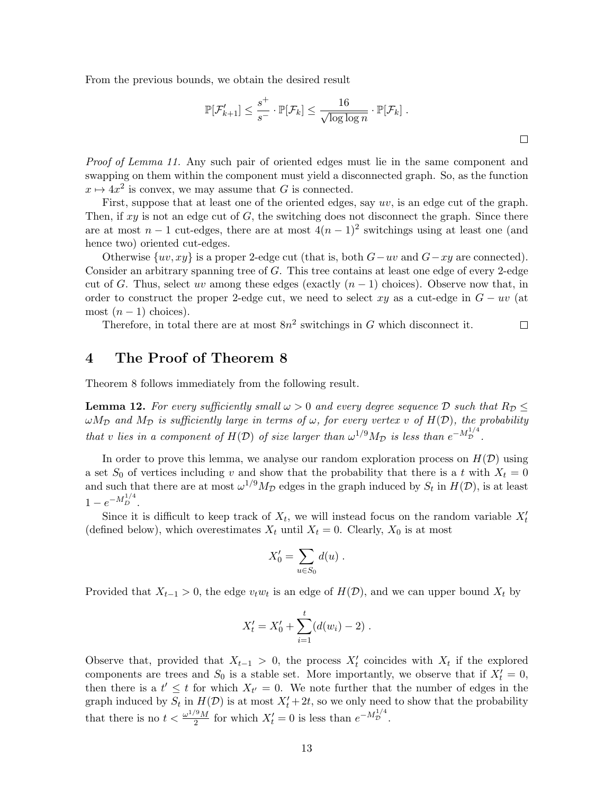From the previous bounds, we obtain the desired result

$$
\mathbb{P}[\mathcal{F}_{k+1}'] \le \frac{s^+}{s^-} \cdot \mathbb{P}[\mathcal{F}_k] \le \frac{16}{\sqrt{\log \log n}} \cdot \mathbb{P}[\mathcal{F}_k].
$$

 $\Box$ 

Proof of Lemma 11. Any such pair of oriented edges must lie in the same component and swapping on them within the component must yield a disconnected graph. So, as the function  $x \mapsto 4x^2$  is convex, we may assume that G is connected.

First, suppose that at least one of the oriented edges, say uv, is an edge cut of the graph. Then, if  $xy$  is not an edge cut of  $G$ , the switching does not disconnect the graph. Since there are at most  $n-1$  cut-edges, there are at most  $4(n-1)^2$  switchings using at least one (and hence two) oriented cut-edges.

Otherwise  $\{uv, xy\}$  is a proper 2-edge cut (that is, both  $G-uv$  and  $G-xy$  are connected). Consider an arbitrary spanning tree of  $G$ . This tree contains at least one edge of every 2-edge cut of G. Thus, select uv among these edges (exactly  $(n-1)$  choices). Observe now that, in order to construct the proper 2-edge cut, we need to select xy as a cut-edge in  $G - uv$  (at most  $(n-1)$  choices).

Therefore, in total there are at most  $8n^2$  switchings in G which disconnect it.

# 4 The Proof of Theorem 8

Theorem 8 follows immediately from the following result.

**Lemma 12.** For every sufficiently small  $\omega > 0$  and every degree sequence D such that  $R_D \leq$  $\omega M_{\mathcal{D}}$  and  $M_{\mathcal{D}}$  is sufficiently large in terms of  $\omega$ , for every vertex v of  $H(\mathcal{D})$ , the probability that v lies in a component of  $H(D)$  of size larger than  $\omega^{1/9}M_{\mathcal{D}}$  is less than  $e^{-M_{\mathcal{D}}^{1/4}}$ .

In order to prove this lemma, we analyse our random exploration process on  $H(\mathcal{D})$  using a set  $S_0$  of vertices including v and show that the probability that there is a t with  $X_t = 0$ and such that there are at most  $\omega^{1/9} M_{\mathcal{D}}$  edges in the graph induced by  $S_t$  in  $H(\mathcal{D})$ , is at least  $1 - e^{-M_D^{1/4}}$ .

Since it is difficult to keep track of  $X_t$ , we will instead focus on the random variable  $X_t'$ (defined below), which overestimates  $X_t$  until  $X_t = 0$ . Clearly,  $X_0$  is at most

$$
X'_0 = \sum_{u \in S_0} d(u) .
$$

Provided that  $X_{t-1} > 0$ , the edge  $v_t w_t$  is an edge of  $H(\mathcal{D})$ , and we can upper bound  $X_t$  by

$$
X'_{t} = X'_{0} + \sum_{i=1}^{t} (d(w_{i}) - 2).
$$

Observe that, provided that  $X_{t-1} > 0$ , the process  $X_t'$  coincides with  $X_t$  if the explored components are trees and  $S_0$  is a stable set. More importantly, we observe that if  $X_t' = 0$ , then there is a  $t' \leq t$  for which  $X_{t'} = 0$ . We note further that the number of edges in the graph induced by  $S_t$  in  $H(\mathcal{D})$  is at most  $X'_t + 2t$ , so we only need to show that the probability that there is no  $t < \frac{\omega^{1/9}M}{2}$  $\frac{d^9M}{2}$  for which  $X'_t = 0$  is less than  $e^{-M_D^{1/4}}$ .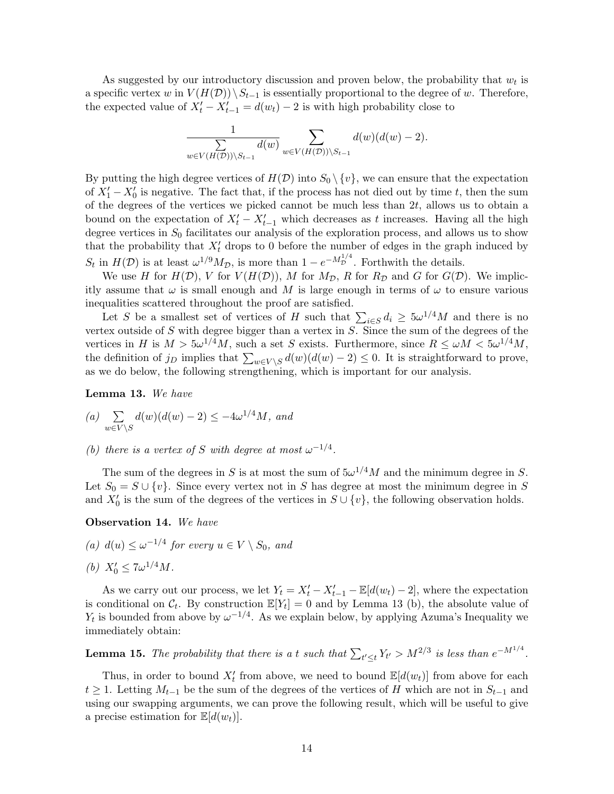As suggested by our introductory discussion and proven below, the probability that  $w_t$  is a specific vertex w in  $V(H(\mathcal{D}))\backslash S_{t-1}$  is essentially proportional to the degree of w. Therefore, the expected value of  $X'_t - X'_{t-1} = d(w_t) - 2$  is with high probability close to

$$
\frac{1}{\sum_{w \in V(H(\mathcal{D})) \setminus S_{t-1}} d(w)} \sum_{w \in V(H(\mathcal{D})) \setminus S_{t-1}} d(w) (d(w) - 2).
$$

By putting the high degree vertices of  $H(D)$  into  $S_0 \setminus \{v\}$ , we can ensure that the expectation of  $X_1' - X_0'$  is negative. The fact that, if the process has not died out by time t, then the sum of the degrees of the vertices we picked cannot be much less than  $2t$ , allows us to obtain a bound on the expectation of  $X'_t - X'_{t-1}$  which decreases as t increases. Having all the high degree vertices in  $S_0$  facilitates our analysis of the exploration process, and allows us to show that the probability that  $X_t'$  drops to 0 before the number of edges in the graph induced by  $S_t$  in  $H(\mathcal{D})$  is at least  $\omega^{1/9} M_{\mathcal{D}}$ , is more than  $1 - e^{-M_{\mathcal{D}}^{1/4}}$ . Forthwith the details.

We use H for  $H(\mathcal{D})$ , V for  $V(H(\mathcal{D}))$ , M for  $M_{\mathcal{D}}$ , R for  $R_{\mathcal{D}}$  and G for  $G(\mathcal{D})$ . We implicitly assume that  $\omega$  is small enough and M is large enough in terms of  $\omega$  to ensure various inequalities scattered throughout the proof are satisfied.

Let S be a smallest set of vertices of H such that  $\sum_{i \in S} d_i \geq 5 \omega^{1/4} M$  and there is no vertex outside of  $S$  with degree bigger than a vertex in  $S$ . Since the sum of the degrees of the vertices in H is  $M > 5\omega^{1/4}M$ , such a set S exists. Furthermore, since  $R \le \omega M < 5\omega^{1/4}M$ , the definition of j<sub>D</sub> implies that  $\sum_{w \in V \setminus S} d(w)(d(w) - 2) \leq 0$ . It is straightforward to prove, as we do below, the following strengthening, which is important for our analysis.

Lemma 13. We have

(a) 
$$
\sum_{w \in V \backslash S} d(w)(d(w) - 2) \leq -4\omega^{1/4}M, \text{ and}
$$

(b) there is a vertex of S with degree at most  $\omega^{-1/4}$ .

The sum of the degrees in S is at most the sum of  $5\omega^{1/4}M$  and the minimum degree in S. Let  $S_0 = S \cup \{v\}$ . Since every vertex not in S has degree at most the minimum degree in S and  $X'_0$  is the sum of the degrees of the vertices in  $S \cup \{v\}$ , the following observation holds.

Observation 14. We have

(a)  $d(u) \leq \omega^{-1/4}$  for every  $u \in V \setminus S_0$ , and

(b) 
$$
X'_0 \leq 7\omega^{1/4}M
$$
.

As we carry out our process, we let  $Y_t = X'_t - X'_{t-1} - \mathbb{E}[d(w_t) - 2]$ , where the expectation is conditional on  $\mathcal{C}_t$ . By construction  $\mathbb{E}[Y_t] = 0$  and by Lemma 13 (b), the absolute value of  $Y_t$  is bounded from above by  $\omega^{-1/4}$ . As we explain below, by applying Azuma's Inequality we immediately obtain:

**Lemma 15.** The probability that there is a t such that  $\sum_{t' \leq t} Y_{t'} > M^{2/3}$  is less than  $e^{-M^{1/4}}$ .

Thus, in order to bound  $X'_t$  from above, we need to bound  $\mathbb{E}[d(w_t)]$  from above for each  $t \geq 1$ . Letting  $M_{t-1}$  be the sum of the degrees of the vertices of H which are not in  $S_{t-1}$  and using our swapping arguments, we can prove the following result, which will be useful to give a precise estimation for  $\mathbb{E}[d(w_t)].$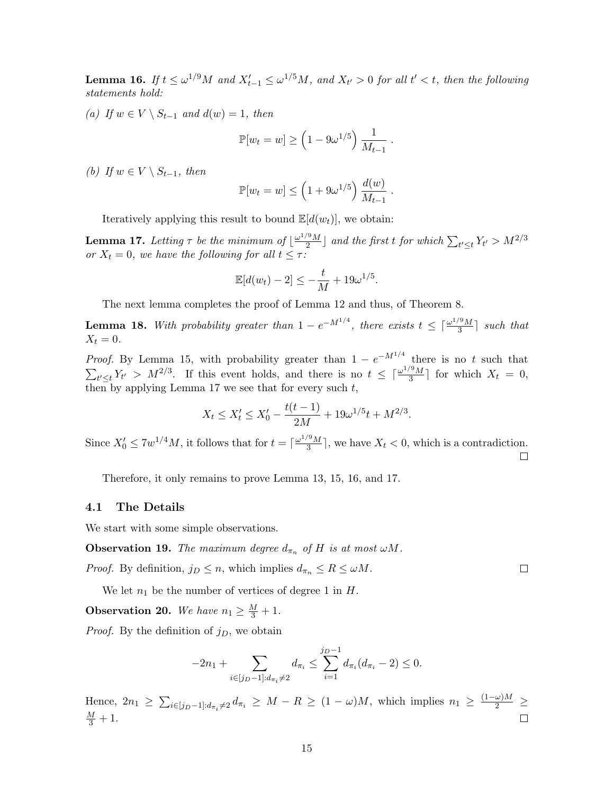**Lemma 16.** If  $t \le \omega^{1/9}M$  and  $X'_{t-1} \le \omega^{1/5}M$ , and  $X_{t'} > 0$  for all  $t' < t$ , then the following statements hold:

(a) If  $w \in V \setminus S_{t-1}$  and  $d(w) = 1$ , then

$$
\mathbb{P}[w_t = w] \ge \left(1 - 9\omega^{1/5}\right) \frac{1}{M_{t-1}}.
$$

(b) If  $w \in V \setminus S_{t-1}$ , then

$$
\mathbb{P}[w_t = w] \le \left(1 + 9\omega^{1/5}\right) \frac{d(w)}{M_{t-1}}.
$$

Iteratively applying this result to bound  $\mathbb{E}[d(w_t)],$  we obtain:

**Lemma 17.** Letting  $\tau$  be the minimum of  $\frac{\omega^{1/9}M}{2}$  $\left\{ \frac{2^{\alpha }M}{2}\right\}$  and the first t for which  $\sum_{t'\leq t}Y_{t'}>M^{2/3}$ or  $X_t = 0$ , we have the following for all  $t \leq \tau$ :

$$
\mathbb{E}[d(w_t)-2] \leq -\frac{t}{M} + 19\omega^{1/5}.
$$

The next lemma completes the proof of Lemma 12 and thus, of Theorem 8.

**Lemma 18.** With probability greater than  $1 - e^{-M^{1/4}}$ , there exists  $t \leq \lceil \frac{\omega^{1/9}M}{3} \rceil$  $\frac{1}{3}$  such that  $X_t = 0.$ 

*Proof.* By Lemma 15, with probability greater than  $1 - e^{-M^{1/4}}$  there is no t such that  $\sum_{t' \leq t} Y_{t'} > M^{2/3}$ . If this event holds, and there is no  $t \leq \lceil \frac{\omega^{1/9} M}{3} \rceil$  $\frac{3M}{3}$  for which  $X_t = 0$ , then by applying Lemma 17 we see that for every such  $t$ ,

$$
X_t \le X'_t \le X'_0 - \frac{t(t-1)}{2M} + 19\omega^{1/5}t + M^{2/3}.
$$

Since  $X'_0 \leq 7w^{1/4}M$ , it follows that for  $t = \lceil \frac{\omega^{1/9}M}{3} \rceil$  $\frac{\sqrt{3}M}{3}$ , we have  $X_t < 0$ , which is a contradiction.  $\Box$ 

Therefore, it only remains to prove Lemma 13, 15, 16, and 17.

#### 4.1 The Details

We start with some simple observations.

**Observation 19.** The maximum degree  $d_{\pi_n}$  of H is at most  $\omega M$ .

*Proof.* By definition,  $j_D \le n$ , which implies  $d_{\pi_n} \le R \le \omega M$ .

We let  $n_1$  be the number of vertices of degree 1 in H.

**Observation 20.** We have  $n_1 \geq \frac{M}{3} + 1$ .

*Proof.* By the definition of  $j_D$ , we obtain

$$
-2n_1 + \sum_{i \in [j_D-1]: d_{\pi_i} \neq 2} d_{\pi_i} \leq \sum_{i=1}^{j_D-1} d_{\pi_i} (d_{\pi_i} - 2) \leq 0.
$$

Hence,  $2n_1 \geq \sum_{i \in [j_D-1]: d_{\pi_i} \neq 2} d_{\pi_i} \geq M - R \geq (1 - \omega)M$ , which implies  $n_1 \geq \frac{(1 - \omega)M}{2} \geq$  $\frac{M}{3}+1.$ П

 $\Box$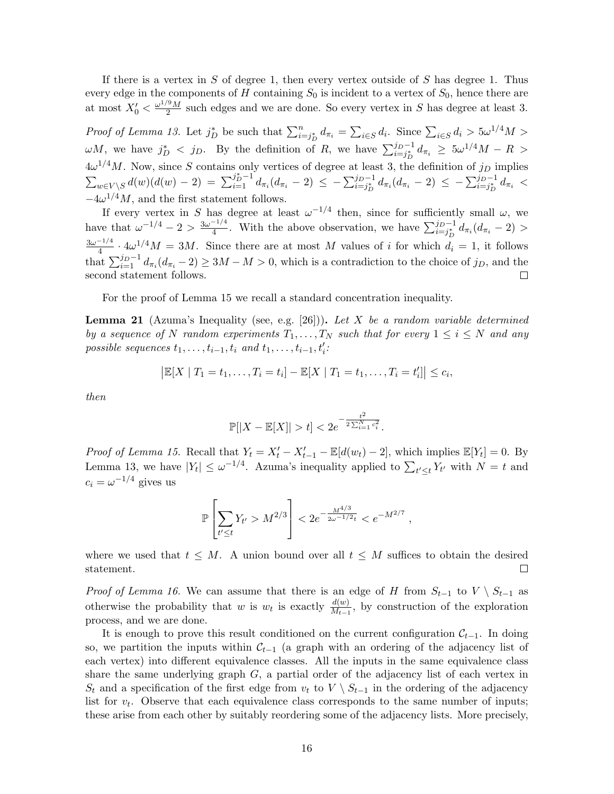If there is a vertex in S of degree 1, then every vertex outside of S has degree 1. Thus every edge in the components of H containing  $S_0$  is incident to a vertex of  $S_0$ , hence there are at most  $X'_0 < \frac{\omega^{1/9}M}{2}$  $\frac{3M}{2}$  such edges and we are done. So every vertex in S has degree at least 3.

*Proof of Lemma 13.* Let  $j_D^*$  be such that  $\sum_{i=j_D}^n d_{\pi_i} = \sum_{i \in S} d_i$ . Since  $\sum_{i \in S} d_i > 5\omega^{1/4}M >$  $\omega M$ , we have  $j_D^*$  < j<sub>D</sub>. By the definition of R, we have  $\sum_{i=j_D}^{j_D-1} d_{\pi_i} \geq 5 \omega^{1/4} M - R >$  $4\omega^{1/4}M$ . Now, since S contains only vertices of degree at least 3, the definition of  $j_D$  implies  $\sum_{w \in V \backslash S} d(w) (d(w) - 2) = \sum_{i=1}^{j_D^* - 1} d_{\pi_i} (d_{\pi_i} - 2) \le - \sum_{i=j_D^*}^{j_D - 1} d_{\pi_i} (d_{\pi_i} - 2) \le - \sum_{i=j_D^*}^{j_D - 1} d_{\pi_i} <$  $-4\omega^{1/4}M$ , and the first statement follows.

If every vertex in S has degree at least  $\omega^{-1/4}$  then, since for sufficiently small  $\omega$ , we have that  $\omega^{-1/4} - 2 > \frac{3\omega^{-1/4}}{4}$ <sup>-1/4</sup>. With the above observation, we have  $\sum_{i=j_D}^{j_D-1} d_{\pi_i}(d_{\pi_i}-2)$  >  $3\omega^{-1/4}$  $\frac{d^{n-1}}{4} \cdot 4\omega^{1/4}M = 3M$ . Since there are at most M values of i for which  $d_i = 1$ , it follows that  $\sum_{i=1}^{j_D-1} d_{\pi_i} (d_{\pi_i} - 2) \ge 3M - M > 0$ , which is a contradiction to the choice of  $j_D$ , and the second statement follows. □

For the proof of Lemma 15 we recall a standard concentration inequality.

**Lemma 21** (Azuma's Inequality (see, e.g. [26])). Let X be a random variable determined by a sequence of N random experiments  $T_1, \ldots, T_N$  such that for every  $1 \leq i \leq N$  and any possible sequences  $t_1, \ldots, t_{i-1}, t_i$  and  $t_1, \ldots, t_{i-1}, t'_i$ :

$$
|\mathbb{E}[X | T_1 = t_1, ..., T_i = t_i] - \mathbb{E}[X | T_1 = t_1, ..., T_i = t'_i]| \leq c_i,
$$

then

$$
\mathbb{P}[|X - \mathbb{E}[X]| > t] < 2e^{-\frac{t^2}{2\sum_{i=1}^N c_i^2}}.
$$

*Proof of Lemma 15.* Recall that  $Y_t = X'_t - X'_{t-1} - \mathbb{E}[d(w_t) - 2]$ , which implies  $\mathbb{E}[Y_t] = 0$ . By Lemma 13, we have  $|Y_t| \leq \omega^{-1/4}$ . Azuma's inequality applied to  $\sum_{t' \leq t} Y_{t'}$  with  $N = t$  and  $c_i = \omega^{-1/4}$  gives us

$$
\mathbb{P}\left[\sum_{t'\leq t} Y_{t'} > M^{2/3}\right] < 2e^{-\frac{M^{4/3}}{2\omega^{-1/2}t}} < e^{-M^{2/7}},
$$

where we used that  $t \leq M$ . A union bound over all  $t \leq M$  suffices to obtain the desired statement.  $\Box$ 

*Proof of Lemma 16.* We can assume that there is an edge of H from  $S_{t-1}$  to  $V \setminus S_{t-1}$  as otherwise the probability that w is  $w_t$  is exactly  $\frac{d(w)}{M_{t-1}}$ , by construction of the exploration process, and we are done.

It is enough to prove this result conditioned on the current configuration  $\mathcal{C}_{t-1}$ . In doing so, we partition the inputs within  $\mathcal{C}_{t-1}$  (a graph with an ordering of the adjacency list of each vertex) into different equivalence classes. All the inputs in the same equivalence class share the same underlying graph  $G$ , a partial order of the adjacency list of each vertex in  $S_t$  and a specification of the first edge from  $v_t$  to  $V \setminus S_{t-1}$  in the ordering of the adjacency list for  $v_t$ . Observe that each equivalence class corresponds to the same number of inputs; these arise from each other by suitably reordering some of the adjacency lists. More precisely,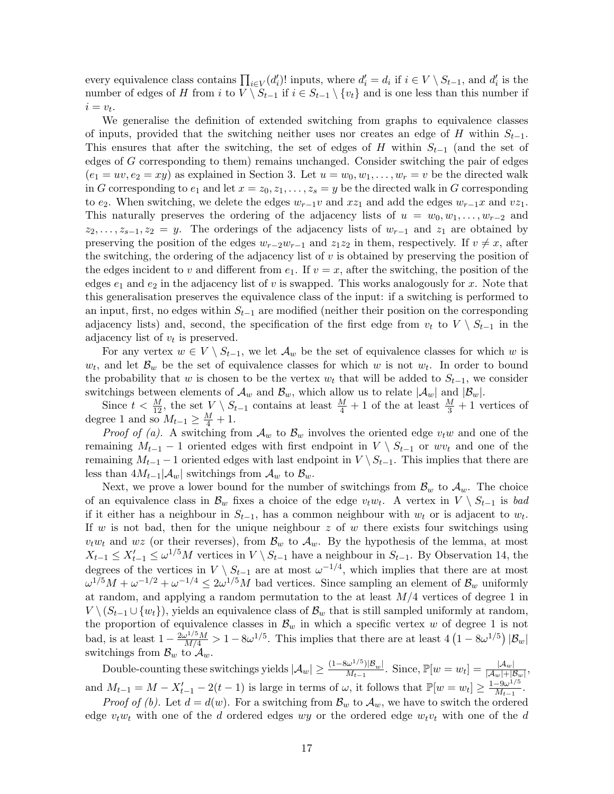every equivalence class contains  $\prod_{i\in V}(d'_i)!$  inputs, where  $d'_i = d_i$  if  $i \in V \setminus S_{t-1}$ , and  $d'_i$  is the number of edges of H from i to  $V \ S_{t-1}$  if  $i \in S_{t-1} \setminus \{v_t\}$  and is one less than this number if  $i = v_t.$ 

We generalise the definition of extended switching from graphs to equivalence classes of inputs, provided that the switching neither uses nor creates an edge of H within  $S_{t-1}$ . This ensures that after the switching, the set of edges of H within  $S_{t-1}$  (and the set of edges of G corresponding to them) remains unchanged. Consider switching the pair of edges  $(e_1 = uv, e_2 = xy)$  as explained in Section 3. Let  $u = w_0, w_1, \ldots, w_r = v$  be the directed walk in G corresponding to  $e_1$  and let  $x = z_0, z_1, \ldots, z_s = y$  be the directed walk in G corresponding to  $e_2$ . When switching, we delete the edges  $w_{r-1}v$  and  $xz_1$  and add the edges  $w_{r-1}x$  and  $vz_1$ . This naturally preserves the ordering of the adjacency lists of  $u = w_0, w_1, \ldots, w_{r-2}$  and  $z_2, \ldots, z_{s-1}, z_2 = y$ . The orderings of the adjacency lists of  $w_{r-1}$  and  $z_1$  are obtained by preserving the position of the edges  $w_{r-2}w_{r-1}$  and  $z_1z_2$  in them, respectively. If  $v \neq x$ , after the switching, the ordering of the adjacency list of  $v$  is obtained by preserving the position of the edges incident to v and different from  $e_1$ . If  $v = x$ , after the switching, the position of the edges  $e_1$  and  $e_2$  in the adjacency list of v is swapped. This works analogously for x. Note that this generalisation preserves the equivalence class of the input: if a switching is performed to an input, first, no edges within  $S_{t-1}$  are modified (neither their position on the corresponding adjacency lists) and, second, the specification of the first edge from  $v_t$  to  $V \setminus S_{t-1}$  in the adjacency list of  $v_t$  is preserved.

For any vertex  $w \in V \setminus S_{t-1}$ , we let  $\mathcal{A}_w$  be the set of equivalence classes for which w is  $w_t$ , and let  $\mathcal{B}_w$  be the set of equivalence classes for which w is not  $w_t$ . In order to bound the probability that w is chosen to be the vertex  $w_t$  that will be added to  $S_{t-1}$ , we consider switchings between elements of  $\mathcal{A}_w$  and  $\mathcal{B}_w$ , which allow us to relate  $|\mathcal{A}_w|$  and  $|\mathcal{B}_w|$ .

Since  $t < \frac{M}{12}$ , the set  $V \setminus S_{t-1}$  contains at least  $\frac{M}{4} + 1$  of the at least  $\frac{M}{3} + 1$  vertices of degree 1 and so  $M_{t-1} \geq \frac{M}{4} + 1$ .

*Proof of (a).* A switching from  $\mathcal{A}_w$  to  $\mathcal{B}_w$  involves the oriented edge  $v_t w$  and one of the remaining  $M_{t-1}$  – 1 oriented edges with first endpoint in  $V \setminus S_{t-1}$  or wv<sub>t</sub> and one of the remaining  $M_{t-1}$  – 1 oriented edges with last endpoint in  $V \setminus S_{t-1}$ . This implies that there are less than  $4M_{t-1}|\mathcal{A}_w|$  switchings from  $\mathcal{A}_w$  to  $\mathcal{B}_w$ .

Next, we prove a lower bound for the number of switchings from  $\mathcal{B}_w$  to  $\mathcal{A}_w$ . The choice of an equivalence class in  $\mathcal{B}_w$  fixes a choice of the edge  $v_t w_t$ . A vertex in  $V \setminus S_{t-1}$  is bad if it either has a neighbour in  $S_{t-1}$ , has a common neighbour with  $w_t$  or is adjacent to  $w_t$ . If w is not bad, then for the unique neighbour  $z$  of w there exists four switchings using  $v_t w_t$  and wz (or their reverses), from  $\mathcal{B}_w$  to  $\mathcal{A}_w$ . By the hypothesis of the lemma, at most  $X_{t-1} \leq X'_{t-1} \leq \omega^{1/5} M$  vertices in  $V \setminus S_{t-1}$  have a neighbour in  $S_{t-1}$ . By Observation 14, the degrees of the vertices in  $V \setminus S_{t-1}$  are at most  $\omega^{-1/4}$ , which implies that there are at most  $\omega^{1/5}M + \omega^{-1/2} + \omega^{-1/4} \leq 2\omega^{1/5}M$  bad vertices. Since sampling an element of  $\mathcal{B}_{w}$  uniformly at random, and applying a random permutation to the at least  $M/4$  vertices of degree 1 in  $V \setminus (S_{t-1} \cup \{w_t\})$ , yields an equivalence class of  $\mathcal{B}_w$  that is still sampled uniformly at random, the proportion of equivalence classes in  $\mathcal{B}_w$  in which a specific vertex w of degree 1 is not bad, is at least  $1 - \frac{2\omega^{1/5}M}{M/4} > 1 - 8\omega^{1/5}$ . This implies that there are at least  $4(1 - 8\omega^{1/5}) |\mathcal{B}_w|$ switchings from  $\mathcal{B}_w$  to  $\mathcal{A}_w$ .

Double-counting these switchings yields  $|\mathcal{A}_w| \geq \frac{(1-8\omega^{1/5})|\mathcal{B}_w|}{M_{t-1}}$  $\frac{d\omega^{1/5})|\mathcal{B}_w|}{M_{t-1}}$ . Since,  $\mathbb{P}[w=w_t]=\frac{|\mathcal{A}_w|}{|\mathcal{A}_w|+|\mathcal{B}_w|},$ and  $M_{t-1} = M - X'_{t-1} - 2(t-1)$  is large in terms of  $\omega$ , it follows that  $\mathbb{P}[w = w_t] \geq \frac{1-9\omega^{1/5}}{M_{t-1}}$  $\frac{-9\omega^{1/3}}{M_{t-1}}$ .

*Proof of (b).* Let  $d = d(w)$ . For a switching from  $\mathcal{B}_w$  to  $\mathcal{A}_w$ , we have to switch the ordered edge  $v_t w_t$  with one of the d ordered edges wy or the ordered edge  $w_t v_t$  with one of the d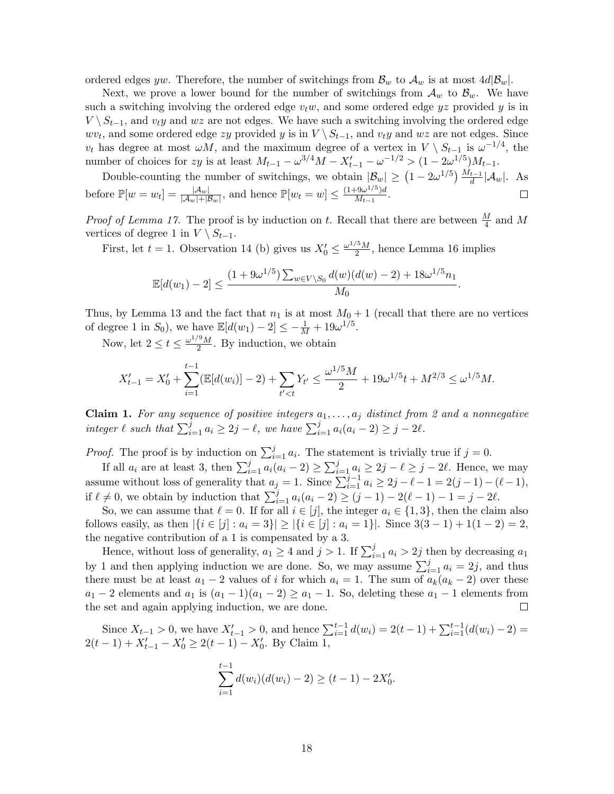ordered edges yw. Therefore, the number of switchings from  $\mathcal{B}_w$  to  $\mathcal{A}_w$  is at most  $4d|\mathcal{B}_w|$ .

Next, we prove a lower bound for the number of switchings from  $\mathcal{A}_w$  to  $\mathcal{B}_w$ . We have such a switching involving the ordered edge  $v_t w$ , and some ordered edge  $yz$  provided y is in  $V \setminus S_{t-1}$ , and  $v_t y$  and  $wz$  are not edges. We have such a switching involving the ordered edge  $wv_t$ , and some ordered edge zy provided y is in  $V \setminus S_{t-1}$ , and  $v_ty$  and  $wz$  are not edges. Since  $v_t$  has degree at most  $\omega M$ , and the maximum degree of a vertex in  $V \setminus S_{t-1}$  is  $\omega^{-1/4}$ , the number of choices for zy is at least  $M_{t-1} - \omega^{3/4}M - X'_{t-1} - \omega^{-1/2} > (1 - 2\omega^{1/5})M_{t-1}$ .

Double-counting the number of switchings, we obtain  $|\mathcal{B}_w| \geq (1 - 2\omega^{1/5}) \frac{M_{t-1}}{d} |\mathcal{A}_w|$ . As before  $\mathbb{P}[w=w_t] = \frac{|\mathcal{A}_w|}{|\mathcal{A}_w| + |\mathcal{B}_w|}$ , and hence  $\mathbb{P}[w_t=w] \leq \frac{(1+9\omega^{1/5})d}{M_{t-1}}$  $\frac{(-9\omega^{-\gamma/2})a}{M_{t-1}}$ .  $\Box$ 

*Proof of Lemma 17.* The proof is by induction on t. Recall that there are between  $\frac{M}{4}$  and M vertices of degree 1 in  $V \setminus S_{t-1}$ .

First, let  $t = 1$ . Observation 14 (b) gives us  $X'_0 \leq \frac{\omega^{1/5} M}{2}$  $\frac{10 M}{2}$ , hence Lemma 16 implies

$$
\mathbb{E}[d(w_1)-2] \le \frac{(1+9\omega^{1/5})\sum_{w\in V\setminus S_0} d(w)(d(w)-2)+18\omega^{1/5}n_1}{M_0}.
$$

Thus, by Lemma 13 and the fact that  $n_1$  is at most  $M_0 + 1$  (recall that there are no vertices of degree 1 in  $S_0$ ), we have  $\mathbb{E}[d(w_1) - 2] \le -\frac{1}{M} + 19\omega^{1/5}$ .

Now, let  $2 \le t \le \frac{\omega^{1/9}M}{2}$  $\frac{1}{2}$ . By induction, we obtain

$$
X'_{t-1} = X'_0 + \sum_{i=1}^{t-1} (\mathbb{E}[d(w_i)] - 2) + \sum_{t' < t} Y_{t'} \le \frac{\omega^{1/5} M}{2} + 19 \omega^{1/5} t + M^{2/3} \le \omega^{1/5} M.
$$

**Claim 1.** For any sequence of positive integers  $a_1, \ldots, a_j$  distinct from 2 and a nonnegative integer  $\ell$  such that  $\sum_{i=1}^{j} a_i \geq 2j - \ell$ , we have  $\sum_{i=1}^{j} a_i(a_i - 2) \geq j - 2\ell$ .

*Proof.* The proof is by induction on  $\sum_{i=1}^{j} a_i$ . The statement is trivially true if  $j = 0$ .

If all  $a_i$  are at least 3, then  $\sum_{i=1}^j a_i(a_i - 2) \geq \sum_{i=1}^j a_i \geq 2j - \ell \geq j - 2\ell$ . Hence, we may assume without loss of generality that  $a_j = 1$ . Since  $\sum_{i=1}^{j-1} a_i \geq 2j - \ell - 1 = 2(j-1) - (\ell - 1)$ , if  $\ell \neq 0$ , we obtain by induction that  $\sum_{i=1}^{j} a_i(a_i - 2) \geq (j - 1) - 2(\ell - 1) - 1 = j - 2\ell$ .

So, we can assume that  $\ell = 0$ . If for all  $i \in [j]$ , the integer  $a_i \in \{1, 3\}$ , then the claim also follows easily, as then  $|\{i \in [j] : a_i = 3\}| \geq |\{i \in [j] : a_i = 1\}|$ . Since  $3(3-1) + 1(1-2) = 2$ , the negative contribution of a 1 is compensated by a 3.

Hence, without loss of generality,  $a_1 \geq 4$  and  $j > 1$ . If  $\sum_{i=1}^{j} a_i > 2j$  then by decreasing  $a_1$ by 1 and then applying induction we are done. So, we may assume  $\sum_{i=1}^{j} a_i = 2j$ , and thus there must be at least  $a_1 - 2$  values of i for which  $a_i = 1$ . The sum of  $a_k(a_k - 2)$  over these  $a_1 - 2$  elements and  $a_1$  is  $(a_1 - 1)(a_1 - 2) \ge a_1 - 1$ . So, deleting these  $a_1 - 1$  elements from the set and again applying induction, we are done.  $\Box$ 

Since  $X_{t-1} > 0$ , we have  $X'_{t-1} > 0$ , and hence  $\sum_{i=1}^{t-1} d(w_i) = 2(t-1) + \sum_{i=1}^{t-1} (d(w_i) - 2) =$  $2(t-1) + X'_{t-1} - X'_0 \geq 2(t-1) - X'_0$ . By Claim 1,

$$
\sum_{i=1}^{t-1} d(w_i)(d(w_i) - 2) \ge (t-1) - 2X'_0.
$$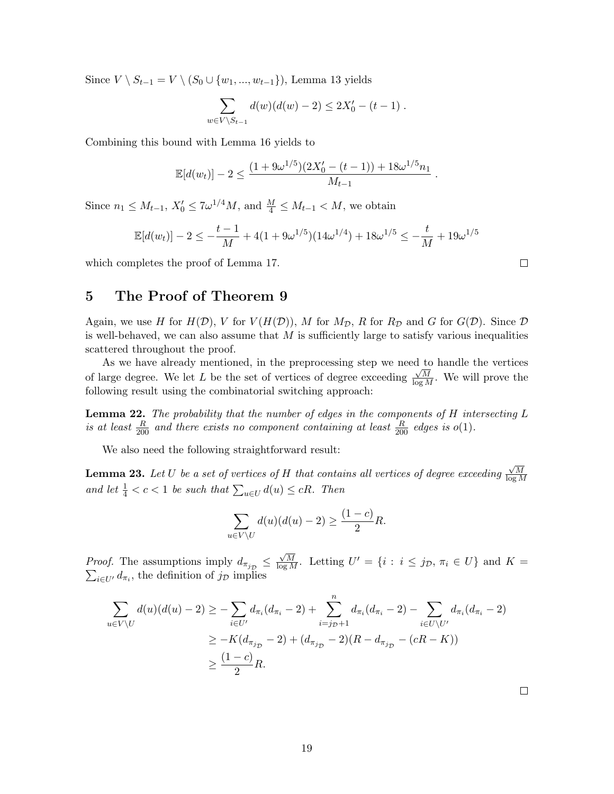Since  $V \setminus S_{t-1} = V \setminus (S_0 \cup \{w_1, ..., w_{t-1}\})$ , Lemma 13 yields

$$
\sum_{w \in V \setminus S_{t-1}} d(w)(d(w) - 2) \le 2X'_0 - (t - 1) .
$$

Combining this bound with Lemma 16 yields to

$$
\mathbb{E}[d(w_t)] - 2 \le \frac{(1 + 9\omega^{1/5})(2X'_0 - (t - 1)) + 18\omega^{1/5}n_1}{M_{t-1}}.
$$

Since  $n_1 \leq M_{t-1}$ ,  $X'_0 \leq 7\omega^{1/4}M$ , and  $\frac{M}{4} \leq M_{t-1} < M$ , we obtain

$$
\mathbb{E}[d(w_t)] - 2 \le -\frac{t-1}{M} + 4(1 + 9\omega^{1/5})(14\omega^{1/4}) + 18\omega^{1/5} \le -\frac{t}{M} + 19\omega^{1/5}
$$

which completes the proof of Lemma 17.

# 5 The Proof of Theorem 9

Again, we use H for  $H(\mathcal{D})$ , V for  $V(H(\mathcal{D}))$ , M for  $M_{\mathcal{D}}$ , R for  $R_{\mathcal{D}}$  and G for  $G(\mathcal{D})$ . Since  $\mathcal D$ is well-behaved, we can also assume that  $M$  is sufficiently large to satisfy various inequalities scattered throughout the proof.

As we have already mentioned, in the preprocessing step we need to handle the vertices of large degree. We let L be the set of vertices of degree exceeding  $\frac{\sqrt{M}}{\log M}$ . We will prove the following result using the combinatorial switching approach:

**Lemma 22.** The probability that the number of edges in the components of  $H$  intersecting  $L$ is at least  $\frac{R}{200}$  and there exists no component containing at least  $\frac{R}{200}$  edges is  $o(1)$ .

We also need the following straightforward result:

**Lemma 23.** Let  $U$  be a set of vertices of  $H$  that contains all vertices of degree exceeding √ M log M and let  $\frac{1}{4} < c < 1$  be such that  $\sum_{u \in U} d(u) \leq cR$ . Then

$$
\sum_{u \in V \setminus U} d(u)(d(u) - 2) \ge \frac{(1 - c)}{2}R.
$$

*Proof.* The assumptions imply  $d_{\pi_{j_{\mathcal{D}}}} \leq$  $\frac{\sqrt{M}}{\log M}$ . Letting U  $\sum$  $U = \{i : i \leq j_{\mathcal{D}}, \pi_i \in U\}$  and  $K =$  $_{i\in U'} d_{\pi_i}$ , the definition of  $j_{\mathcal{D}}$  implies

$$
\sum_{u \in V \setminus U} d(u)(d(u) - 2) \ge -\sum_{i \in U'} d_{\pi_i}(d_{\pi_i} - 2) + \sum_{i = j_{\mathcal{D}}+1}^n d_{\pi_i}(d_{\pi_i} - 2) - \sum_{i \in U \setminus U'} d_{\pi_i}(d_{\pi_i} - 2)
$$
\n
$$
\ge -K(d_{\pi_{j_{\mathcal{D}}}} - 2) + (d_{\pi_{j_{\mathcal{D}}}} - 2)(R - d_{\pi_{j_{\mathcal{D}}}} - (cR - K))
$$
\n
$$
\ge \frac{(1 - c)}{2}R.
$$

 $\Box$ 

 $\Box$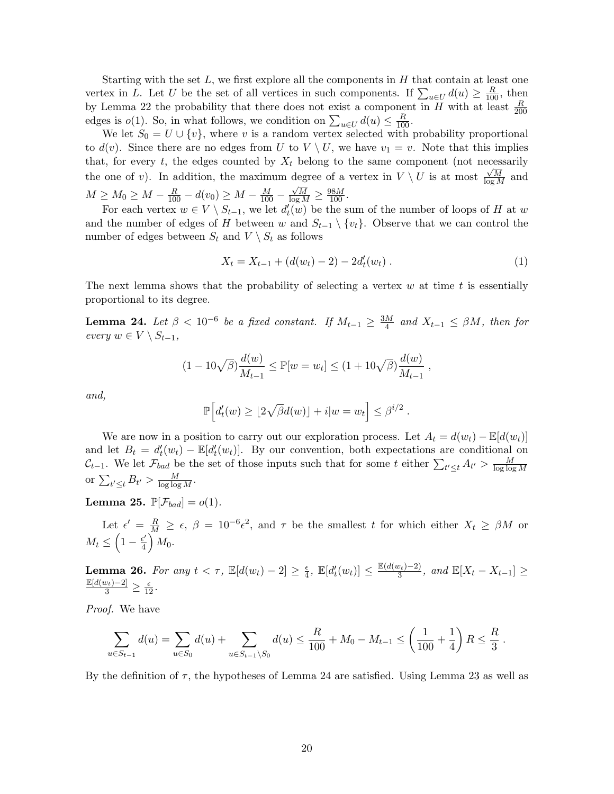Starting with the set  $L$ , we first explore all the components in  $H$  that contain at least one vertex in L. Let U be the set of all vertices in such components. If  $\sum_{u\in U} d(u) \geq \frac{R}{100}$ , then by Lemma 22 the probability that there does not exist a component in  $\overline{H}$  with at least  $\frac{R}{200}$ edges is  $o(1)$ . So, in what follows, we condition on  $\sum_{u \in U} d(u) \leq \frac{R}{100}$ .

We let  $S_0 = U \cup \{v\}$ , where v is a random vertex selected with probability proportional to  $d(v)$ . Since there are no edges from U to  $V \setminus U$ , we have  $v_1 = v$ . Note that this implies that, for every t, the edges counted by  $X_t$  belong to the same component (not necessarily the one of v). In addition, the maximum degree of a vertex in  $V \setminus U$  is at most  $\frac{\sqrt{M}}{\log M}$  and  $M \ge M_0 \ge M - \frac{R}{100} - d(v_0) \ge M - \frac{M}{100} \frac{\sqrt{M}}{\log M} \geq \frac{98M}{100}.$ 

For each vertex  $w \in V \setminus S_{t-1}$ , we let  $d'_{t}(w)$  be the sum of the number of loops of H at w and the number of edges of H between w and  $S_{t-1} \setminus \{v_t\}$ . Observe that we can control the number of edges between  $S_t$  and  $V \setminus S_t$  as follows

$$
X_t = X_{t-1} + (d(w_t) - 2) - 2d'_t(w_t).
$$
\n(1)

The next lemma shows that the probability of selecting a vertex  $w$  at time  $t$  is essentially proportional to its degree.

**Lemma 24.** Let  $\beta < 10^{-6}$  be a fixed constant. If  $M_{t-1} \geq \frac{3M}{4}$  $\frac{M}{4}$  and  $X_{t-1} \leq \beta M$ , then for every  $w \in V \setminus S_{t-1}$ ,

$$
(1 - 10\sqrt{\beta})\frac{d(w)}{M_{t-1}} \leq \mathbb{P}[w = w_t] \leq (1 + 10\sqrt{\beta})\frac{d(w)}{M_{t-1}},
$$

and,

$$
\mathbb{P}\Big[d'_t(w) \geq \lfloor 2\sqrt{\beta}d(w)\rfloor + i|w=w_t\Big] \leq \beta^{i/2} .
$$

We are now in a position to carry out our exploration process. Let  $A_t = d(w_t) - \mathbb{E}[d(w_t)]$ and let  $B_t = d'_t(w_t) - \mathbb{E}[d'_t(w_t)]$ . By our convention, both expectations are conditional on  $\mathcal{C}_{t-1}$ . We let  $\mathcal{F}_{bad}$  be the set of those inputs such that for some t either  $\sum_{t'\leq t} A_{t'} > \frac{M}{\log\log t}$  $\overline{\log\log M}$ or  $\sum_{t' \leq t} B_{t'} > \frac{M}{\log \log M}$ .

**Lemma 25.**  $\mathbb{P}[\mathcal{F}_{bad}] = o(1)$ .

Let  $\epsilon' = \frac{R}{M} \geq \epsilon$ ,  $\beta = 10^{-6} \epsilon^2$ , and  $\tau$  be the smallest t for which either  $X_t \geq \beta M$  or  $M_t \leq \left(1 - \frac{\epsilon'}{4}\right)$  $\frac{\epsilon'}{4}\Big)\,M_0.$ 

**Lemma 26.** For any  $t < \tau$ ,  $\mathbb{E}[d(w_t) - 2] \geq \frac{\epsilon}{4}$  $\frac{\epsilon}{4}$ ,  $\mathbb{E}[d_t'(w_t)] \leq \frac{\mathbb{E}(d(w_t)-2)}{3}$  $\frac{(v_t)-2)}{3}$ , and  $\mathbb{E}[X_t - X_{t-1}] \ge$  $\frac{\mathbb{E}[d(w_t)-2]}{3} \geq \frac{\epsilon}{12}.$ 

Proof. We have

$$
\sum_{u \in S_{t-1}} d(u) = \sum_{u \in S_0} d(u) + \sum_{u \in S_{t-1} \setminus S_0} d(u) \le \frac{R}{100} + M_0 - M_{t-1} \le \left(\frac{1}{100} + \frac{1}{4}\right)R \le \frac{R}{3}.
$$

By the definition of  $\tau$ , the hypotheses of Lemma 24 are satisfied. Using Lemma 23 as well as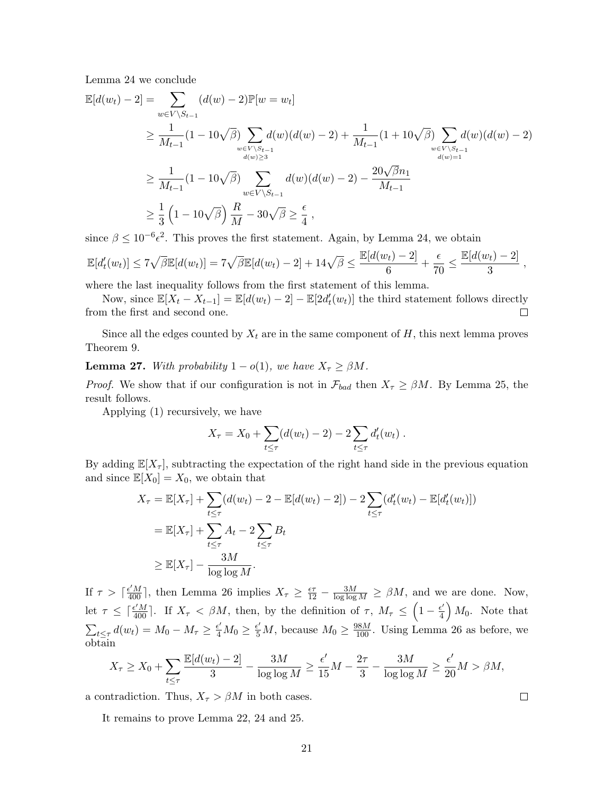Lemma 24 we conclude

$$
\mathbb{E}[d(w_t) - 2] = \sum_{w \in V \backslash S_{t-1}} (d(w) - 2)\mathbb{P}[w = w_t]
$$
\n
$$
\geq \frac{1}{M_{t-1}} (1 - 10\sqrt{\beta}) \sum_{w \in V \backslash S_{t-1} \atop d(w) \geq 3} d(w)(d(w) - 2) + \frac{1}{M_{t-1}} (1 + 10\sqrt{\beta}) \sum_{w \in V \backslash S_{t-1} \atop d(w) = 1} d(w)(d(w) - 2)
$$
\n
$$
\geq \frac{1}{M_{t-1}} (1 - 10\sqrt{\beta}) \sum_{w \in V \backslash S_{t-1}} d(w)(d(w) - 2) - \frac{20\sqrt{\beta}n_1}{M_{t-1}}
$$
\n
$$
\geq \frac{1}{3} \left(1 - 10\sqrt{\beta}\right) \frac{R}{M} - 30\sqrt{\beta} \geq \frac{\epsilon}{4},
$$

since  $\beta \leq 10^{-6} \epsilon^2$ . This proves the first statement. Again, by Lemma 24, we obtain

$$
\mathbb{E}[d'_t(w_t)] \le 7\sqrt{\beta}\mathbb{E}[d(w_t)] = 7\sqrt{\beta}\mathbb{E}[d(w_t) - 2] + 14\sqrt{\beta} \le \frac{\mathbb{E}[d(w_t) - 2]}{6} + \frac{\epsilon}{70} \le \frac{\mathbb{E}[d(w_t) - 2]}{3},
$$

where the last inequality follows from the first statement of this lemma.

Now, since  $\mathbb{E}[X_t - X_{t-1}] = \mathbb{E}[d(w_t) - 2] - \mathbb{E}[2d'_t(w_t)]$  the third statement follows directly from the first and second one.  $\Box$ 

Since all the edges counted by  $X_t$  are in the same component of  $H$ , this next lemma proves Theorem 9.

**Lemma 27.** With probability  $1 - o(1)$ , we have  $X_\tau \geq \beta M$ .

*Proof.* We show that if our configuration is not in  $\mathcal{F}_{bad}$  then  $X_{\tau} \geq \beta M$ . By Lemma 25, the result follows.

Applying (1) recursively, we have

$$
X_{\tau} = X_0 + \sum_{t \leq \tau} (d(w_t) - 2) - 2 \sum_{t \leq \tau} d'_t(w_t).
$$

By adding  $\mathbb{E}[X_{\tau}]$ , subtracting the expectation of the right hand side in the previous equation and since  $\mathbb{E}[X_0] = X_0$ , we obtain that

$$
X_{\tau} = \mathbb{E}[X_{\tau}] + \sum_{t \leq \tau} (d(w_t) - 2 - \mathbb{E}[d(w_t) - 2]) - 2 \sum_{t \leq \tau} (d'_t(w_t) - \mathbb{E}[d'_t(w_t)])
$$
  
=  $\mathbb{E}[X_{\tau}] + \sum_{t \leq \tau} A_t - 2 \sum_{t \leq \tau} B_t$   
 $\geq \mathbb{E}[X_{\tau}] - \frac{3M}{\log \log M}.$ 

If  $\tau > \lceil \frac{\epsilon' M}{400} \rceil$ , then Lemma 26 implies  $X_{\tau} \geq \frac{\epsilon \tau}{12} - \frac{3M}{\log \log M} \geq \beta M$ , and we are done. Now, let  $\tau \leq \lceil \frac{\epsilon' M}{400} \rceil$ . If  $X_{\tau} < \beta M$ , then, by the definition of  $\tau$ ,  $M_{\tau} \leq \left(1 - \frac{\epsilon'}{4}\right)$  $\left(\frac{e'}{4}\right) M_0$ . Note that  $\sum_{t\leq \tau} d(w_t) = M_0 - M_\tau \geq \frac{\epsilon'}{4} M_0 \geq \frac{\epsilon'}{5} M$ , because  $M_0 \geq \frac{98M}{100}$ . Using Lemma 26 as before, we obtain

$$
X_{\tau} \ge X_0 + \sum_{t \le \tau} \frac{\mathbb{E}[d(w_t) - 2]}{3} - \frac{3M}{\log \log M} \ge \frac{\epsilon'}{15}M - \frac{2\tau}{3} - \frac{3M}{\log \log M} \ge \frac{\epsilon'}{20}M > \beta M,
$$

 $\Box$ 

a contradiction. Thus,  $X_{\tau} > \beta M$  in both cases.

It remains to prove Lemma 22, 24 and 25.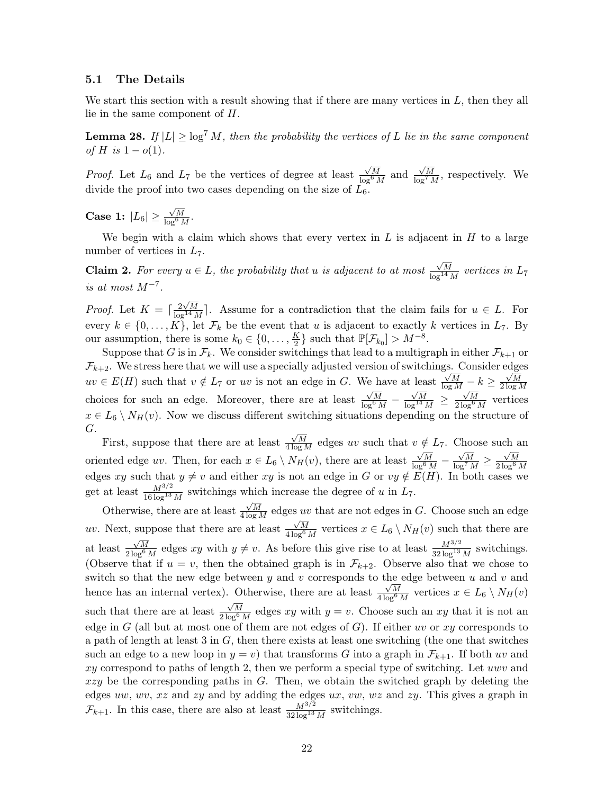#### 5.1 The Details

We start this section with a result showing that if there are many vertices in  $L$ , then they all lie in the same component of H.

**Lemma 28.** If  $|L| \geq \log^7 M$ , then the probability the vertices of L lie in the same component of H is  $1 - o(1)$ .

*Proof.* Let  $L_6$  and  $L_7$  be the vertices of degree at least  $\frac{\sqrt{M}}{\log^6 M}$  and  $\frac{\sqrt{M}}{\log^7 M}$ , respectively. We divide the proof into two cases depending on the size of  $L_6$ .

Case 1:  $|L_6| \ge$  $\frac{\sqrt{M}}{\log^6 M}$ .

We begin with a claim which shows that every vertex in  $L$  is adjacent in  $H$  to a large number of vertices in  $L_7$ .

**Claim 2.** For every  $u \in L$ , the probability that u is adjacent to at most  $\frac{\sqrt{M}}{\log^{14} M}$  vertices in  $L_7$ is at most  $M^{-7}$ .

*Proof.* Let  $K = \lceil \frac{2\sqrt{M}}{\log^{14} M} \rceil$ . Assume for a contradiction that the claim fails for  $u \in L$ . For every  $k \in \{0, \ldots, K\}$ , let  $\mathcal{F}_k$  be the event that u is adjacent to exactly k vertices in  $L_7$ . By our assumption, there is some  $k_0 \in \{0, \ldots, \frac{K}{2}\}$  $\frac{K}{2}$  such that  $\mathbb{P}[\mathcal{F}_{k_0}] > M^{-8}$ .

Suppose that G is in  $\mathcal{F}_k$ . We consider switchings that lead to a multigraph in either  $\mathcal{F}_{k+1}$  or  $\mathcal{F}_{k+2}$ . We stress here that we will use a specially adjusted version of switchings. Consider edges  $uv \in E(H)$  such that  $v \notin L_7$  or uv is not an edge in G. We have at least  $\frac{\sqrt{M}}{\log M} - k \geq$  $\sqrt{M}$  $2\log M$ choices for such an edge. Moreover, there are at least  $\frac{\sqrt{M}}{\log^6 M}$  –  $\frac{\sqrt{M}}{\log^{14} M} \geq$  $\frac{\sqrt{M}}{2\log^6 M}$  vertices  $x \in L_6 \setminus N_H(v)$ . Now we discuss different switching situations depending on the structure of G.

First, suppose that there are at least  $\frac{\sqrt{M}}{4 \log M}$  edges uv such that  $v \notin L_7$ . Choose such an oriented edge uv. Then, for each  $x \in L_6 \setminus N_H(v)$ , there are at least  $\frac{\sqrt{M}}{\log^6 M}$  —  $\frac{\sqrt{M}}{\log^7 M} \ge$  $\frac{\sqrt{M}}{2\log^6 M}$ edges xy such that  $y \neq v$  and either xy is not an edge in G or  $vy \notin E(H)$ . In both cases we get at least  $\frac{M^{3/2}}{16 \log^{13} M}$  switchings which increase the degree of u in  $L_7$ .

Otherwise, there are at least  $\frac{\sqrt{M}}{4 \log M}$  edges *uv* that are not edges in G. Choose such an edge uv. Next, suppose that there are at least  $\frac{\sqrt{M}}{4 \log^6 M}$  vertices  $x \in L_6 \setminus N_H(v)$  such that there are at least  $\frac{\sqrt{M}}{2\log^6 M}$  edges xy with  $y \neq v$ . As before this give rise to at least  $\frac{M^{3/2}}{32\log^{13} M}$  switchings. (Observe that if  $u = v$ , then the obtained graph is in  $\mathcal{F}_{k+2}$ . Observe also that we chose to switch so that the new edge between y and v corresponds to the edge between u and v and hence has an internal vertex). Otherwise, there are at least  $\frac{\sqrt{M}}{4 \log^6 M}$  vertices  $x \in L_6 \setminus N_H(v)$ such that there are at least  $\frac{\sqrt{M}}{2\log^6 M}$  edges xy with  $y = v$ . Choose such an xy that it is not an edge in G (all but at most one of them are not edges of G). If either uv or xy corresponds to a path of length at least 3 in  $G$ , then there exists at least one switching (the one that switches such an edge to a new loop in  $y = v$ ) that transforms G into a graph in  $\mathcal{F}_{k+1}$ . If both uv and  $xy$  correspond to paths of length 2, then we perform a special type of switching. Let uwv and  $xzy$  be the corresponding paths in  $G$ . Then, we obtain the switched graph by deleting the edges uw, wv, xz and zy and by adding the edges ux, vw, wz and zy. This gives a graph in  $\mathcal{F}_{k+1}$ . In this case, there are also at least  $\frac{M^{3/2}}{32 \log^{13} M}$  switchings.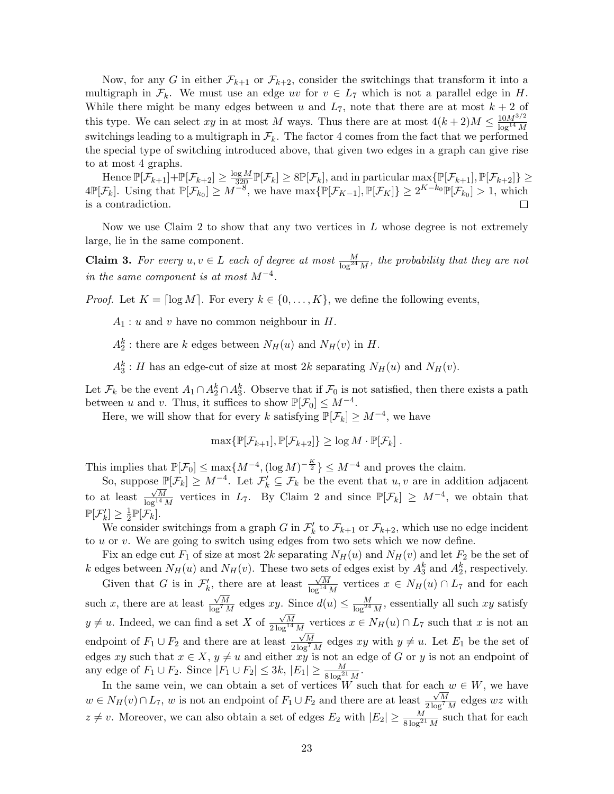Now, for any G in either  $\mathcal{F}_{k+1}$  or  $\mathcal{F}_{k+2}$ , consider the switchings that transform it into a multigraph in  $\mathcal{F}_k$ . We must use an edge uv for  $v \in L_7$  which is not a parallel edge in H. While there might be many edges between u and  $L_7$ , note that there are at most  $k + 2$  of this type. We can select xy in at most M ways. Thus there are at most  $4(k+2)M \leq \frac{10M^{3/2}}{\log^{14}M}$  $\log^{14} M$ switchings leading to a multigraph in  $\mathcal{F}_k$ . The factor 4 comes from the fact that we performed the special type of switching introduced above, that given two edges in a graph can give rise to at most 4 graphs.

Hence  $\mathbb{P}[\mathcal{F}_{k+1}] + \mathbb{P}[\mathcal{F}_{k+2}] \ge \frac{\log M}{320} \mathbb{P}[\mathcal{F}_k] \ge 8 \mathbb{P}[\mathcal{F}_k]$ , and in particular  $\max{\{\mathbb{P}[\mathcal{F}_{k+1}], \mathbb{P}[\mathcal{F}_{k+2}]\}} \ge$  $4\mathbb{P}[\mathcal{F}_k]$ . Using that  $\mathbb{P}[\mathcal{F}_{k_0}] \geq M^{-8}$ , we have  $\max{\{\mathbb{P}[\mathcal{F}_{K-1}], \mathbb{P}[\mathcal{F}_K]\}} \geq 2^{K-k_0} \mathbb{P}[\mathcal{F}_{k_0}] > 1$ , which is a contradiction.

Now we use Claim 2 to show that any two vertices in  $L$  whose degree is not extremely large, lie in the same component.

**Claim 3.** For every  $u, v \in L$  each of degree at most  $\frac{M}{\log^{24} M}$ , the probability that they are not in the same component is at most  $M^{-4}$ .

*Proof.* Let  $K = \lceil \log M \rceil$ . For every  $k \in \{0, ..., K\}$ , we define the following events,

 $A_1: u$  and v have no common neighbour in H.

 $A_2^k$ : there are k edges between  $N_H(u)$  and  $N_H(v)$  in H.

 $A_3^k$ : H has an edge-cut of size at most 2k separating  $N_H(u)$  and  $N_H(v)$ .

Let  $\mathcal{F}_k$  be the event  $A_1 \cap A_2^k \cap A_3^k$ . Observe that if  $\mathcal{F}_0$  is not satisfied, then there exists a path between u and v. Thus, it suffices to show  $\mathbb{P}[\mathcal{F}_0] \leq M^{-4}$ .

Here, we will show that for every k satisfying  $\mathbb{P}[\mathcal{F}_k] \geq M^{-4}$ , we have

$$
\max{\{\mathbb{P}[\mathcal{F}_{k+1}], \mathbb{P}[\mathcal{F}_{k+2}]\}} \geq \log M \cdot \mathbb{P}[\mathcal{F}_k].
$$

This implies that  $\mathbb{P}[\mathcal{F}_0] \le \max\{M^{-4}, (\log M)^{-\frac{K}{2}}\} \le M^{-4}$  and proves the claim.

So, suppose  $\mathbb{P}[\mathcal{F}_k] \geq M^{-4}$ . Let  $\mathcal{F}'_k \subseteq \mathcal{F}_k$  be the event that  $u, v$  are in addition adjacent to at least  $\frac{\sqrt{M}}{\log^{14} M}$  vertices in  $L_7$ . By Claim 2 and since  $\mathbb{P}[\mathcal{F}_k] \geq M^{-4}$ , we obtain that  $\mathbb{P}[\mathcal{F}_k'] \geq \frac{1}{2}$  $\frac{1}{2}\mathbb{P}[\mathcal{F}_k].$ 

We consider switchings from a graph G in  $\mathcal{F}'_k$  to  $\mathcal{F}_{k+1}$  or  $\mathcal{F}_{k+2}$ , which use no edge incident to  $u$  or  $v$ . We are going to switch using edges from two sets which we now define.

Fix an edge cut  $F_1$  of size at most 2k separating  $N_H(u)$  and  $N_H(v)$  and let  $F_2$  be the set of k edges between  $N_H(u)$  and  $N_H(v)$ . These two sets of edges exist by  $A_3^k$  and  $A_2^k$ , respectively.

Given that G is in  $\mathcal{F}'_k$ , there are at least  $\frac{\sqrt{M}}{\log^{14} M}$  vertices  $x \in N_H(u) \cap L_7$  and for each such x, there are at least  $\frac{\sqrt{M}}{\log^7 M}$  edges xy. Since  $d(u) \le \frac{M}{\log^{24} M}$ , essentially all such xy satisfy  $y \neq u$ . Indeed, we can find a set X of  $\frac{\sqrt{M}}{2\log^{14} M}$  vertices  $x \in N_H(u) \cap L_7$  such that x is not an endpoint of  $F_1 \cup F_2$  and there are at least  $\frac{\sqrt{M}}{2\log^7 M}$  edges xy with  $y \neq u$ . Let  $E_1$  be the set of edges xy such that  $x \in X$ ,  $y \neq u$  and either xy is not an edge of G or y is not an endpoint of any edge of  $F_1 \cup F_2$ . Since  $|F_1 \cup F_2| \leq 3k$ ,  $|E_1| \geq \frac{M}{8 \log^{21} M}$ .

In the same vein, we can obtain a set of vertices W such that for each  $w \in W$ , we have  $w \in N_H(v) \cap L_7$ , w is not an endpoint of  $F_1 \cup F_2$  and there are at least  $\frac{\sqrt{M}}{2 \log^7 M}$  edges wz with  $z \neq v$ . Moreover, we can also obtain a set of edges  $E_2$  with  $|E_2| \geq \frac{M}{8 \log^{21} M}$  such that for each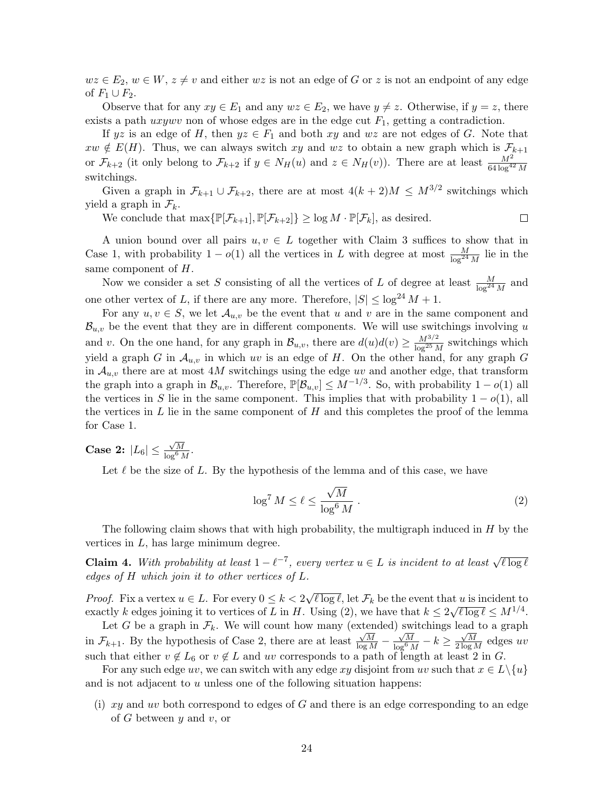$wz \in E_2$ ,  $w \in W$ ,  $z \neq v$  and either wz is not an edge of G or z is not an endpoint of any edge of  $F_1 \cup F_2$ .

Observe that for any  $xy \in E_1$  and any  $wz \in E_2$ , we have  $y \neq z$ . Otherwise, if  $y = z$ , there exists a path  $uxywv$  non of whose edges are in the edge cut  $F_1$ , getting a contradiction.

If yz is an edge of H, then  $yz \in F_1$  and both xy and wz are not edges of G. Note that  $xw \notin E(H)$ . Thus, we can always switch  $xy$  and  $wz$  to obtain a new graph which is  $\mathcal{F}_{k+1}$ or  $\mathcal{F}_{k+2}$  (it only belong to  $\mathcal{F}_{k+2}$  if  $y \in N_H(u)$  and  $z \in N_H(v)$ ). There are at least  $\frac{M^2}{64 \log^{42} M}$ switchings.

Given a graph in  $\mathcal{F}_{k+1} \cup \mathcal{F}_{k+2}$ , there are at most  $4(k+2)M \leq M^{3/2}$  switchings which yield a graph in  $\mathcal{F}_k$ .

We conclude that  $\max\{\mathbb{P}[\mathcal{F}_{k+1}], \mathbb{P}[\mathcal{F}_{k+2}]\} \geq \log M \cdot \mathbb{P}[\mathcal{F}_k]$ , as desired.

A union bound over all pairs  $u, v \in L$  together with Claim 3 suffices to show that in Case 1, with probability  $1 - o(1)$  all the vertices in L with degree at most  $\frac{M}{\log^{24} M}$  lie in the same component of H.

Now we consider a set S consisting of all the vertices of L of degree at least  $\frac{M}{\log^{24} M}$  and one other vertex of L, if there are any more. Therefore,  $|S| \leq \log^{24} M + 1$ .

For any  $u, v \in S$ , we let  $\mathcal{A}_{u,v}$  be the event that u and v are in the same component and  $\mathcal{B}_{u,v}$  be the event that they are in different components. We will use switchings involving u and v. On the one hand, for any graph in  $\mathcal{B}_{u,v}$ , there are  $d(u)d(v) \geq \frac{M^{3/2}}{\log^{25} M}$  $\frac{M^{3/2}}{\log^{25} M}$  switchings which yield a graph G in  $\mathcal{A}_{u,v}$  in which uv is an edge of H. On the other hand, for any graph G in  $A_{u,v}$  there are at most 4M switchings using the edge uv and another edge, that transform the graph into a graph in  $\mathcal{B}_{u,v}$ . Therefore,  $\mathbb{P}[\mathcal{B}_{u,v}] \leq M^{-1/3}$ . So, with probability  $1 - o(1)$  all the vertices in S lie in the same component. This implies that with probability  $1 - o(1)$ , all the vertices in  $L$  lie in the same component of  $H$  and this completes the proof of the lemma for Case 1.

Case 2:  $|L_6| \leq$  $\frac{\sqrt{M}}{\log^6 M}$ .

Let  $\ell$  be the size of L. By the hypothesis of the lemma and of this case, we have

$$
\log^7 M \le \ell \le \frac{\sqrt{M}}{\log^6 M} \,. \tag{2}
$$

 $\Box$ 

The following claim shows that with high probability, the multigraph induced in  $H$  by the vertices in  $L$ , has large minimum degree.

**Claim 4.** With probability at least  $1 - \ell^{-7}$ , every vertex  $u \in L$  is incident to at least  $\sqrt{\ell \log \ell}$ edges of H which join it to other vertices of L.

*Proof.* Fix a vertex  $u \in L$ . For every  $0 \leq k < 2$ √  $\ell \log \ell$ , let  $\mathcal{F}_k$  be the event that u is incident to exactly k edges joining it to vertices of L in H. Using (2), we have that  $k \leq 2\sqrt{\ell \log \ell} \leq M^{1/4}$ .

Let G be a graph in  $\mathcal{F}_k$ . We will count how many (extended) switchings lead to a graph in  $\mathcal{F}_{k+1}$ . By the hypothesis of Case 2, there are at least  $\frac{\sqrt{M}}{\log M}$  –  $\frac{\sqrt{M}}{\log^6 M} - k \geq$  $\frac{\sqrt{M}}{2 \log M}$  edges uv such that either  $v \notin L_6$  or  $v \notin L$  and uv corresponds to a path of length at least 2 in G.

For any such edge uv, we can switch with any edge xy disjoint from uv such that  $x \in L \setminus \{u\}$ and is not adjacent to  $u$  unless one of the following situation happens:

(i)  $xy$  and uv both correspond to edges of G and there is an edge corresponding to an edge of  $G$  between  $y$  and  $v$ , or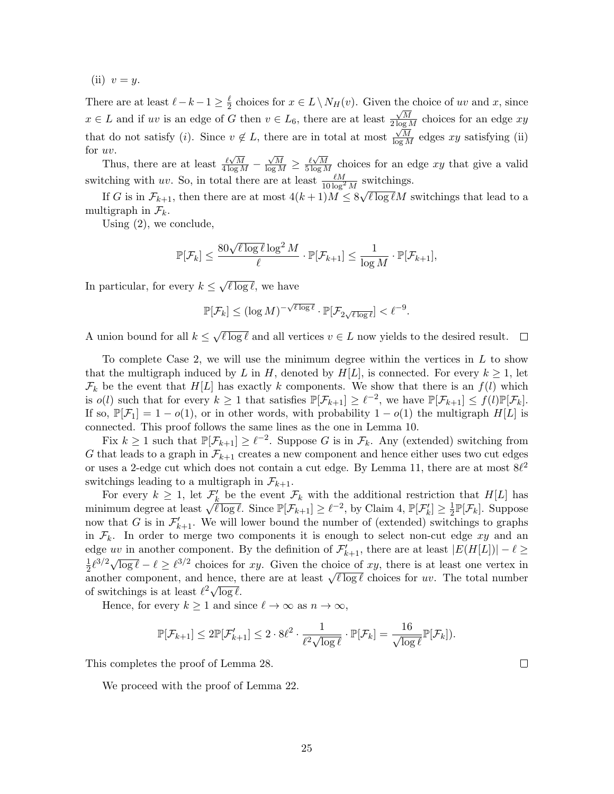(ii)  $v = y$ .

There are at least  $\ell - k - 1 \geq \frac{\ell}{2}$  $\frac{\ell}{2}$  choices for  $x \in L \setminus N_H(v)$ . Given the choice of uv and x, since  $x \in L$  and if uv is an edge of G then  $v \in L_6$ , there are at least  $\frac{\sqrt{M}}{2 \log M}$  choices for an edge  $xy$ that do not satisfy (*i*). Since  $v \notin L$ , there are in total at most  $\frac{\sqrt{M}}{\log M}$  edges xy satisfying (ii) for  $uv$ .

Thus, there are at least  $\frac{\ell \sqrt{M}}{4 \log M}$  –  $\frac{\sqrt{M}}{\log M} \ge \frac{\ell \sqrt{M}}{5 \log M}$  choices for an edge xy that give a valid switching with uv. So, in total there are at least  $\frac{\ell M}{10 \log^2 M}$  switchings. √

If G is in  $\mathcal{F}_{k+1}$ , then there are at most  $4(k+1)M \leq 8\sqrt{\ell \log \ell}M$  switchings that lead to a multigraph in  $\mathcal{F}_k$ .

Using (2), we conclude,

$$
\mathbb{P}[\mathcal{F}_k] \le \frac{80\sqrt{\ell\log\ell}\log^2 M}{\ell} \cdot \mathbb{P}[\mathcal{F}_{k+1}] \le \frac{1}{\log M} \cdot \mathbb{P}[\mathcal{F}_{k+1}],
$$

In particular, for every  $k \leq$ √  $\ell \log \ell$ , we have

$$
\mathbb{P}[\mathcal{F}_k] \le (\log M)^{-\sqrt{\ell \log \ell}} \cdot \mathbb{P}[\mathcal{F}_{2\sqrt{\ell \log \ell}}] < \ell^{-9}.
$$

√ A union bound for all  $k \leq$  $\ell \log \ell$  and all vertices  $v \in L$  now yields to the desired result.  $\Box$ 

To complete Case 2, we will use the minimum degree within the vertices in  $L$  to show that the multigraph induced by L in H, denoted by  $H[L]$ , is connected. For every  $k \geq 1$ , let  $\mathcal{F}_k$  be the event that  $H[L]$  has exactly k components. We show that there is an  $f(l)$  which is  $o(l)$  such that for every  $k \geq 1$  that satisfies  $\mathbb{P}[\mathcal{F}_{k+1}] \geq \ell^{-2}$ , we have  $\mathbb{P}[\mathcal{F}_{k+1}] \leq f(l)\mathbb{P}[\mathcal{F}_k]$ . If so,  $\mathbb{P}[\mathcal{F}_1] = 1 - o(1)$ , or in other words, with probability  $1 - o(1)$  the multigraph  $H[L]$  is connected. This proof follows the same lines as the one in Lemma 10.

Fix  $k \geq 1$  such that  $\mathbb{P}[\mathcal{F}_{k+1}] \geq \ell^{-2}$ . Suppose G is in  $\mathcal{F}_k$ . Any (extended) switching from G that leads to a graph in  $\mathcal{F}_{k+1}$  creates a new component and hence either uses two cut edges or uses a 2-edge cut which does not contain a cut edge. By Lemma 11, there are at most  $8\ell^2$ switchings leading to a multigraph in  $\mathcal{F}_{k+1}$ .

For every  $k \geq 1$ , let  $\mathcal{F}'_k$  be the event  $\mathcal{F}_k$  with the additional restriction that  $H[L]$  has For every  $\kappa \geq 1$ , let  $\mathcal{F}_k$  be the event  $\mathcal{F}_k$  with the additional restriction<br>minimum degree at least  $\sqrt{\ell \log \ell}$ . Since  $\mathbb{P}[\mathcal{F}_{k+1}] \geq \ell^{-2}$ , by Claim 4,  $\mathbb{P}[\mathcal{F}'_k] \geq \frac{1}{2}$  $\frac{1}{2}\mathbb{P}[\mathcal{F}_k]$ . Suppose now that G is in  $\mathcal{F}'_{k+1}$ . We will lower bound the number of (extended) switchings to graphs in  $\mathcal{F}_k$ . In order to merge two components it is enough to select non-cut edge xy and an edge uv in another component. By the definition of  $\mathcal{F}'_{k+1}$ , there are at least  $|E(H[L])| - \ell \geq$ 1  $\frac{1}{2} \ell^{3/2} \sqrt{\log \ell} - \ell \geq \ell^{3/2}$  choices for xy. Given the choice of xy, there is at least one vertex in  $\overline{z}^{\ell}$   $\vee$  rog  $\ell - \ell \geq \ell$  choices for  $xy$ . Given the choice of  $xy$ , there is at least one vertex in another component, and hence, there are at least  $\sqrt{\ell \log \ell}$  choices for uv. The total number another component, and nence,  $\theta$  of switchings is at least  $\ell^2 \sqrt{\log \ell}$ .

Hence, for every  $k \geq 1$  and since  $\ell \to \infty$  as  $n \to \infty$ ,

$$
\mathbb{P}[\mathcal{F}_{k+1}] \leq 2\mathbb{P}[\mathcal{F}'_{k+1}] \leq 2 \cdot 8\ell^2 \cdot \frac{1}{\ell^2 \sqrt{\log \ell}} \cdot \mathbb{P}[\mathcal{F}_k] = \frac{16}{\sqrt{\log \ell}} \mathbb{P}[\mathcal{F}_k].
$$

This completes the proof of Lemma 28.

We proceed with the proof of Lemma 22.

 $\Box$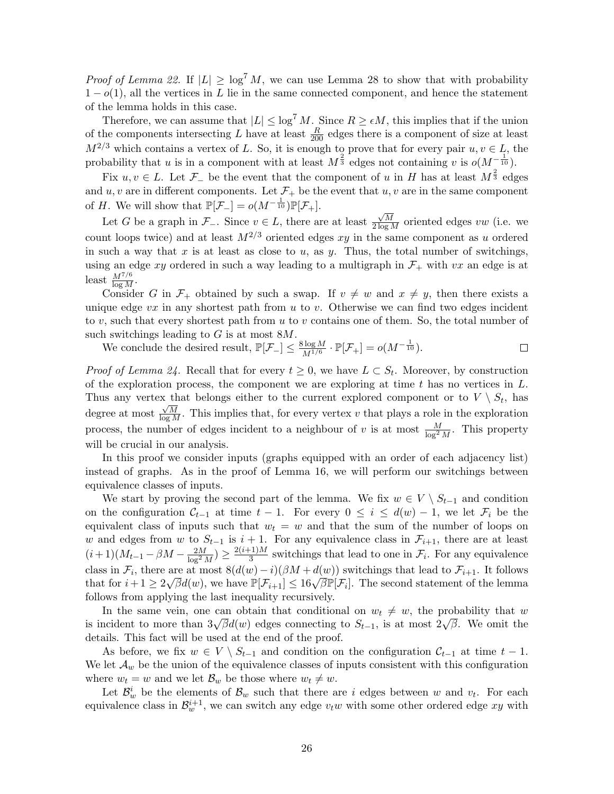*Proof of Lemma 22.* If  $|L| \geq \log^7 M$ , we can use Lemma 28 to show that with probability  $1 - o(1)$ , all the vertices in L lie in the same connected component, and hence the statement of the lemma holds in this case.

Therefore, we can assume that  $|L| \leq \log^7 M$ . Since  $R \geq \epsilon M$ , this implies that if the union of the components intersecting L have at least  $\frac{R}{200}$  edges there is a component of size at least  $M^{2/3}$  which contains a vertex of L. So, it is enough to prove that for every pair  $u, v \in L$ , the probability that u is in a component with at least  $M^{\frac{2}{3}}$  edges not containing v is  $o(M^{-\frac{1}{10}})$ .

Fix  $u, v \in L$ . Let  $\mathcal{F}_-$  be the event that the component of u in H has at least  $M^{\frac{2}{3}}$  edges and u, v are in different components. Let  $\mathcal{F}_+$  be the event that u, v are in the same component of H. We will show that  $\mathbb{P}[\mathcal{F}_-] = o(M^{-\frac{1}{10}})\mathbb{P}[\mathcal{F}_+].$ 

Let G be a graph in  $\mathcal{F}_-$ . Since  $v \in L$ , there are at least  $\frac{\sqrt{M}}{2 \log M}$  oriented edges vw (i.e. we count loops twice) and at least  $M^{2/3}$  oriented edges xy in the same component as u ordered in such a way that x is at least as close to u, as y. Thus, the total number of switchings, using an edge xy ordered in such a way leading to a multigraph in  $\mathcal{F}_+$  with vx an edge is at least  $\frac{M^{7/6}}{\log M}$ .

Consider G in  $\mathcal{F}_+$  obtained by such a swap. If  $v \neq w$  and  $x \neq y$ , then there exists a unique edge  $vx$  in any shortest path from u to v. Otherwise we can find two edges incident to  $v$ , such that every shortest path from  $u$  to  $v$  contains one of them. So, the total number of such switchings leading to  $G$  is at most  $8M$ .

 $\frac{\log M}{M^{1/6}} \cdot \mathbb{P}[\mathcal{F}_+] = o(M^{-\frac{1}{10}}).$ We conclude the desired result,  $\mathbb{P}[\mathcal{F}_-] \leq \frac{8 \log M}{M^{1/6}}$  $\Box$ 

*Proof of Lemma 24.* Recall that for every  $t \geq 0$ , we have  $L \subset S_t$ . Moreover, by construction of the exploration process, the component we are exploring at time  $t$  has no vertices in  $L$ . Thus any vertex that belongs either to the current explored component or to  $V \setminus S_t$ , has degree at most  $\frac{\sqrt{M}}{\log M}$ . This implies that, for every vertex v that plays a role in the exploration process, the number of edges incident to a neighbour of v is at most  $\frac{M}{\log^2 M}$ . This property will be crucial in our analysis.

In this proof we consider inputs (graphs equipped with an order of each adjacency list) instead of graphs. As in the proof of Lemma 16, we will perform our switchings between equivalence classes of inputs.

We start by proving the second part of the lemma. We fix  $w \in V \setminus S_{t-1}$  and condition on the configuration  $\mathcal{C}_{t-1}$  at time  $t-1$ . For every  $0 \leq i \leq d(w) - 1$ , we let  $\mathcal{F}_i$  be the equivalent class of inputs such that  $w_t = w$  and that the sum of the number of loops on w and edges from w to  $S_{t-1}$  is  $i+1$ . For any equivalence class in  $\mathcal{F}_{i+1}$ , there are at least  $(i+1)(M_{t-1}-\beta M-\frac{2M}{\log^2 M})\geq \frac{2(i+1)M}{3}$  $\frac{1-M}{3}$  switchings that lead to one in  $\mathcal{F}_i$ . For any equivalence class in  $\mathcal{F}_i$ , there are at most  $8(d(w)-i)(\beta M+d(w))$  switchings that lead to  $\mathcal{F}_{i+1}$ . It follows that for  $i+1 \ge 2\sqrt{\beta}d(w)$ , we have  $\mathbb{P}[\mathcal{F}_{i+1}] \le 16\sqrt{\beta}\mathbb{P}[\mathcal{F}_i]$ . The second statement of the lemma follows from applying the last inequality recursively.

In the same vein, one can obtain that conditional on  $w_t \neq w$ , the probability that w is incident to more than  $3\sqrt{\beta}d(w)$  edges connecting to  $S_{t-1}$ , is at most  $2\sqrt{\beta}$ . We omit the details. This fact will be used at the end of the proof.

As before, we fix  $w \in V \setminus S_{t-1}$  and condition on the configuration  $C_{t-1}$  at time  $t-1$ . We let  $\mathcal{A}_w$  be the union of the equivalence classes of inputs consistent with this configuration where  $w_t = w$  and we let  $\mathcal{B}_w$  be those where  $w_t \neq w$ .

Let  $\mathcal{B}_w^i$  be the elements of  $\mathcal{B}_w$  such that there are i edges between w and  $v_t$ . For each equivalence class in  $\mathcal{B}_w^{i+1}$ , we can switch any edge  $v_t w$  with some other ordered edge xy with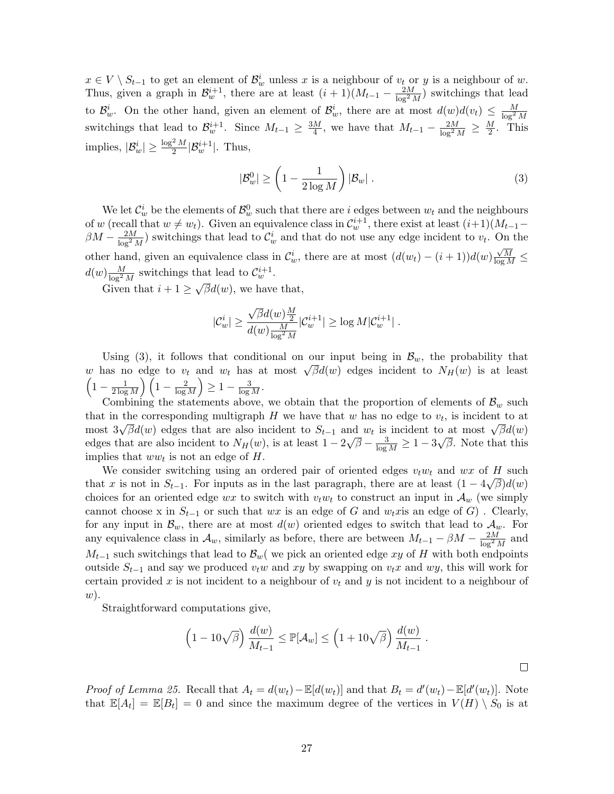$x \in V \setminus S_{t-1}$  to get an element of  $\mathcal{B}_w^i$  unless x is a neighbour of  $v_t$  or y is a neighbour of w. Thus, given a graph in  $\mathcal{B}_w^{i+1}$ , there are at least  $(i+1)(M_{t-1} - \frac{2M}{\log^2 M})$  switchings that lead to  $\mathcal{B}_w^i$ . On the other hand, given an element of  $\mathcal{B}_w^i$ , there are at most  $d(w)d(v_t) \leq \frac{M}{\log^2 M}$ switchings that lead to  $\mathcal{B}_w^{i+1}$ . Since  $M_{t-1} \geq \frac{3M}{4}$  $\frac{M}{4}$ , we have that  $M_{t-1} - \frac{2M}{\log^2 M} \ge \frac{M}{2}$  $\frac{y}{2}$ . This implies,  $|\mathcal{B}_w^i| \ge \frac{\log^2 M}{2} |\mathcal{B}_w^{i+1}|$ . Thus,

$$
|\mathcal{B}_w^0| \ge \left(1 - \frac{1}{2\log M}\right)|\mathcal{B}_w| \tag{3}
$$

We let  $\mathcal{C}_w^i$  be the elements of  $\mathcal{B}_w^0$  such that there are i edges between  $w_t$  and the neighbours of w (recall that  $w \neq w_t$ ). Given an equivalence class in  $\mathcal{C}_w^{i+1}$ , there exist at least  $(i+1)(M_{t-1} \beta M - \frac{2M}{\log^2 M}$  switchings that lead to  $\mathcal{C}_w^i$  and that do not use any edge incident to  $v_t$ . On the other hand, given an equivalence class in  $\mathcal{C}_w^i$ , there are at most  $(d(w_t) - (i+1))d(w)\frac{\sqrt{M}}{\log M} \le$  $d(w) \frac{M}{\log^2 M}$  switchings that lead to  $\mathcal{C}_w^{i+1}$ .

Given that  $i + 1 \geq \sqrt{\beta}d(w)$ , we have that,

$$
|\mathcal{C}_w^i| \geq \frac{\sqrt{\beta}d(w)\frac{M}{2}}{d(w)\frac{M}{\log^2 M}}|\mathcal{C}_w^{i+1}| \geq \log M|\mathcal{C}_w^{i+1}|.
$$

Using (3), it follows that conditional on our input being in  $\mathcal{B}_w$ , the probability that Using (5), it follows that conditional on our input being in  $D_w$ , the probability that w has no edge to  $v_t$  and  $w_t$  has at most  $\sqrt{\beta}d(w)$  edges incident to  $N_H(w)$  is at least  $\left(1-\frac{1}{2\log n}\right)$  $\frac{1}{2\log M}\Big)\Big(1-\frac{2}{\log 2}\Big)$  $\frac{2}{\log M}$ )  $\geq 1 - \frac{3}{\log M}$ .

Combining the statements above, we obtain that the proportion of elements of  $\mathcal{B}_w$  such that in the corresponding multigraph  $H$  we have that  $w$  has no edge to  $v_t$ , is incident to at that in the corresponding multigraph *II* we have that w has no edge to  $v_t$ , is incident to at most  $\sqrt{\beta}d(w)$  most  $3\sqrt{\beta}d(w)$  edges that are also incident to  $S_{t-1}$  and  $w_t$  is incident to at most  $\sqrt{\beta}d(w)$ edges that are also incident to  $N_H(w)$ , is at least  $1-2$ ⊥r  $\overline{\beta} - \frac{3}{\log M} \geq 1-3$  $^{\circ}$ .  $\overline{\beta}$ . Note that this implies that  $ww_t$  is not an edge of H.

We consider switching using an ordered pair of oriented edges  $v_t w_t$  and  $wx$  of H such  $\widehat{A}$ that x is not in  $S_{t-1}$ . For inputs as in the last paragraph, there are at least  $(1 - 4\sqrt{\beta})d(w)$ choices for an oriented edge wx to switch with  $v_t w_t$  to construct an input in  $\mathcal{A}_w$  (we simply cannot choose x in  $S_{t-1}$  or such that wx is an edge of G and w<sub>t</sub>xis an edge of G). Clearly, for any input in  $\mathcal{B}_w$ , there are at most  $d(w)$  oriented edges to switch that lead to  $\mathcal{A}_w$ . For any equivalence class in  $\mathcal{A}_w$ , similarly as before, there are between  $M_{t-1} - \beta M - \frac{2M}{\log^2 M}$  and  $M_{t-1}$  such switchings that lead to  $\mathcal{B}_{w}$  we pick an oriented edge xy of H with both endpoints outside  $S_{t-1}$  and say we produced  $v_t w$  and xy by swapping on  $v_t x$  and wy, this will work for certain provided x is not incident to a neighbour of  $v_t$  and y is not incident to a neighbour of  $w)$ .

Straightforward computations give,

$$
\left(1 - 10\sqrt{\beta}\right) \frac{d(w)}{M_{t-1}} \le \mathbb{P}[\mathcal{A}_w] \le \left(1 + 10\sqrt{\beta}\right) \frac{d(w)}{M_{t-1}}.
$$

*Proof of Lemma 25.* Recall that  $A_t = d(w_t) - \mathbb{E}[d(w_t)]$  and that  $B_t = d'(w_t) - \mathbb{E}[d'(w_t)]$ . Note that  $\mathbb{E}[A_t] = \mathbb{E}[B_t] = 0$  and since the maximum degree of the vertices in  $V(H) \setminus S_0$  is at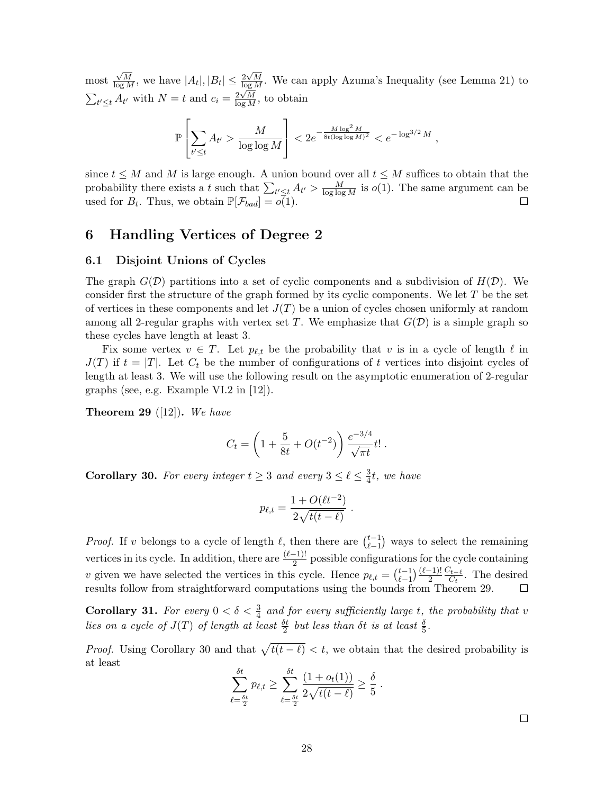most  $\frac{\sqrt{M}}{\log M}$ , we have  $|A_t|, |B_t| \leq \frac{2\sqrt{M}}{\log M}$ . We can apply Azuma's Inequality (see Lemma 21) to  $\sum_{t' \leq t} A_{t'}$  with  $N = t$  and  $c_i = \frac{2\sqrt{M}}{\log M}$ , to obtain

$$
\mathbb{P}\left[\sum_{t'\leq t} A_{t'} > \frac{M}{\log\log M}\right] < 2e^{-\frac{M\log^2 M}{8t(\log\log M)^2}} < e^{-\log^{3/2} M},
$$

since  $t \leq M$  and M is large enough. A union bound over all  $t \leq M$  suffices to obtain that the probability there exists a t such that  $\sum_{t' \leq t} A_{t'} > \frac{M}{\log \log M}$  is  $o(1)$ . The same argument can be used for  $B_t$ . Thus, we obtain  $\mathbb{P}[\mathcal{F}_{bad}] = o(1)$ .  $\Box$ 

# 6 Handling Vertices of Degree 2

#### 6.1 Disjoint Unions of Cycles

The graph  $G(\mathcal{D})$  partitions into a set of cyclic components and a subdivision of  $H(\mathcal{D})$ . We consider first the structure of the graph formed by its cyclic components. We let  $T$  be the set of vertices in these components and let  $J(T)$  be a union of cycles chosen uniformly at random among all 2-regular graphs with vertex set T. We emphasize that  $G(\mathcal{D})$  is a simple graph so these cycles have length at least 3.

Fix some vertex  $v \in T$ . Let  $p_{\ell,t}$  be the probability that v is in a cycle of length  $\ell$  in  $J(T)$  if  $t = |T|$ . Let  $C_t$  be the number of configurations of t vertices into disjoint cycles of length at least 3. We will use the following result on the asymptotic enumeration of 2-regular graphs (see, e.g. Example VI.2 in [12]).

**Theorem 29** ([12]). We have

$$
C_t = \left(1 + \frac{5}{8t} + O(t^{-2})\right) \frac{e^{-3/4}}{\sqrt{\pi t}} t! \; .
$$

**Corollary 30.** For every integer  $t \geq 3$  and every  $3 \leq \ell \leq \frac{3}{4}$  $\frac{3}{4}t$ , we have

$$
p_{\ell,t} = \frac{1 + O(\ell t^{-2})}{2\sqrt{t(t-\ell)}}.
$$

*Proof.* If v belongs to a cycle of length  $\ell$ , then there are  $\binom{t-1}{\ell-1}$  $\binom{t-1}{\ell-1}$  ways to select the remaining vertices in its cycle. In addition, there are  $\frac{(\ell-1)!}{2}$  possible configurations for the cycle containing v given we have selected the vertices in this cycle. Hence  $p_{\ell,t} = \binom{t-1}{\ell-1}$  $_{\ell-1}^{t-1}$ ) $\frac{(\ell-1)!}{2}$  $C_{t-\ell}$  $\frac{\partial^t t - \ell}{\partial t}$ . The desired results follow from straightforward computations using the bounds from Theorem 29.

**Corollary 31.** For every  $0 < \delta < \frac{3}{4}$  and for every sufficiently large t, the probability that v lies on a cycle of  $J(T)$  of length at least  $\frac{\delta t}{2}$  but less than  $\delta t$  is at least  $\frac{\delta}{5}$ .

*Proof.* Using Corollary 30 and that  $\sqrt{t(t-\ell)} < t$ , we obtain that the desired probability is at least

$$
\sum_{\ell=\frac{\delta t}{2}}^{\delta t} p_{\ell,t} \ge \sum_{\ell=\frac{\delta t}{2}}^{\delta t} \frac{(1 + o_t(1))}{2 \sqrt{t(t - \ell)}} \ge \frac{\delta}{5}.
$$

 $\Box$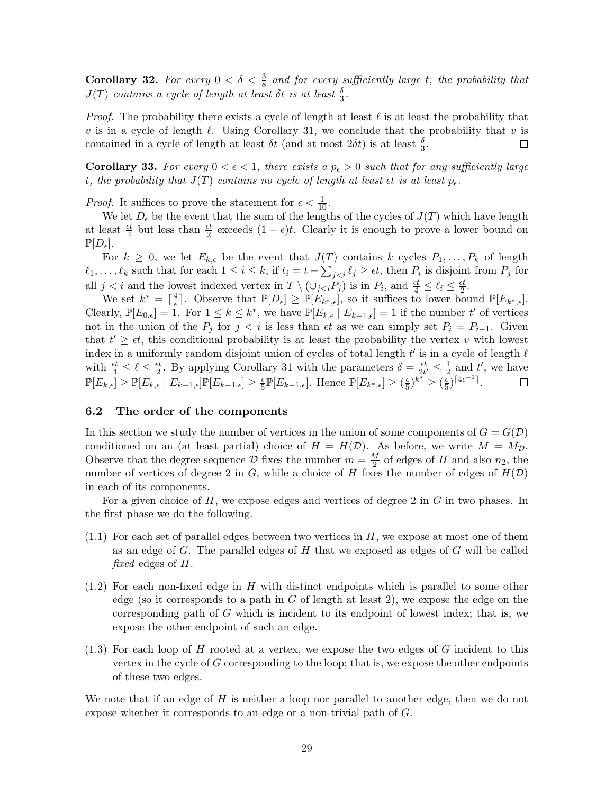**Corollary 32.** For every  $0 < \delta < \frac{3}{8}$  and for every sufficiently large t, the probability that  $J(T)$  contains a cycle of length at least  $\delta t$  is at least  $\frac{\delta}{3}$ .

*Proof.* The probability there exists a cycle of length at least  $\ell$  is at least the probability that v is in a cycle of length  $\ell$ . Using Corollary 31, we conclude that the probability that v is contained in a cycle of length at least  $\delta t$  (and at most  $2\delta t$ ) is at least  $\frac{\delta}{3}$ .  $\Box$ 

**Corollary 33.** For every  $0 < \epsilon < 1$ , there exists a  $p_{\epsilon} > 0$  such that for any sufficiently large t, the probability that  $J(T)$  contains no cycle of length at least  $\epsilon t$  is at least  $p_{\epsilon}$ .

*Proof.* It suffices to prove the statement for  $\epsilon < \frac{1}{10}$ .

We let  $D_{\epsilon}$  be the event that the sum of the lengths of the cycles of  $J(T)$  which have length at least  $\frac{et}{4}$  but less than  $\frac{et}{2}$  exceeds  $(1 - \epsilon)t$ . Clearly it is enough to prove a lower bound on  $\mathbb{P}[D_{\epsilon}].$ 

For  $k \geq 0$ , we let  $E_{k,\epsilon}$  be the event that  $J(T)$  contains k cycles  $P_1, \ldots, P_k$  of length  $\ell_1, \ldots, \ell_k$  such that for each  $1 \leq i \leq k$ , if  $t_i = t - \sum_{j < i} \ell_j \geq \epsilon t$ , then  $P_i$  is disjoint from  $P_j$  for all  $j < i$  and the lowest indexed vertex in  $T \setminus (\cup_{j < i} P_j)$  is in  $P_i$ , and  $\frac{et}{4} \leq \ell_i \leq \frac{et}{2}$  $\frac{\varepsilon t}{2}.$ 

We set  $k^* = \lceil \frac{4}{6} \rceil$  $\frac{4}{\epsilon}$ . Observe that  $\mathbb{P}[D_{\epsilon}] \geq \mathbb{P}[\check{E}_{k^*,\epsilon}],$  so it suffices to lower bound  $\mathbb{P}[E_{k^*,\epsilon}].$ Clearly,  $\mathbb{P}[E_{0,\epsilon}] = 1$ . For  $1 \leq k \leq k^*$ , we have  $\mathbb{P}[E_{k,\epsilon}] | E_{k-1,\epsilon}] = 1$  if the number t' of vertices not in the union of the  $P_i$  for  $j < i$  is less than  $\epsilon t$  as we can simply set  $P_i = P_{i-1}$ . Given that  $t' \geq \epsilon t$ , this conditional probability is at least the probability the vertex v with lowest index in a uniformly random disjoint union of cycles of total length  $t'$  is in a cycle of length  $\ell$ with  $\frac{\epsilon t}{4} \leq \ell \leq \frac{\epsilon t}{2}$  $\frac{et}{2}$ . By applying Corollary 31 with the parameters  $\delta = \frac{et}{2t}$  $\frac{\epsilon t}{2t'} \leq \frac{1}{2}$  $\frac{1}{2}$  and  $t'$ , we have  $\mathbb{P}[E_{k,\epsilon}] \geq \mathbb{P}[E_{k,\epsilon} | E_{k-1,\epsilon}] \mathbb{P}[E_{k-1,\epsilon}] \geq \frac{\epsilon}{5}$  $\frac{\epsilon}{5}\mathbb{P}[E_{k-1,\epsilon}]$ . Hence  $\mathbb{P}[E_{k^*,\epsilon}] \geq (\frac{\epsilon}{5})$  $(\frac{\epsilon}{5})^{k^*} \geq (\frac{\epsilon}{5})$  $(\frac{\epsilon}{5})^{\lceil 4\epsilon^{-1} \rceil}.$  $\Box$ 

#### 6.2 The order of the components

In this section we study the number of vertices in the union of some components of  $G = G(\mathcal{D})$ conditioned on an (at least partial) choice of  $H = H(\mathcal{D})$ . As before, we write  $M = M_{\mathcal{D}}$ . Observe that the degree sequence D fixes the number  $m = \frac{M}{2}$  $\frac{M}{2}$  of edges of H and also  $n_2$ , the number of vertices of degree 2 in G, while a choice of H fixes the number of edges of  $H(\mathcal{D})$ in each of its components.

For a given choice of  $H$ , we expose edges and vertices of degree 2 in  $G$  in two phases. In the first phase we do the following.

- $(1.1)$  For each set of parallel edges between two vertices in H, we expose at most one of them as an edge of  $G$ . The parallel edges of  $H$  that we exposed as edges of  $G$  will be called fixed edges of H.
- $(1.2)$  For each non-fixed edge in H with distinct endpoints which is parallel to some other edge (so it corresponds to a path in  $G$  of length at least 2), we expose the edge on the corresponding path of G which is incident to its endpoint of lowest index; that is, we expose the other endpoint of such an edge.
- $(1.3)$  For each loop of H rooted at a vertex, we expose the two edges of G incident to this vertex in the cycle of  $G$  corresponding to the loop; that is, we expose the other endpoints of these two edges.

We note that if an edge of  $H$  is neither a loop nor parallel to another edge, then we do not expose whether it corresponds to an edge or a non-trivial path of G.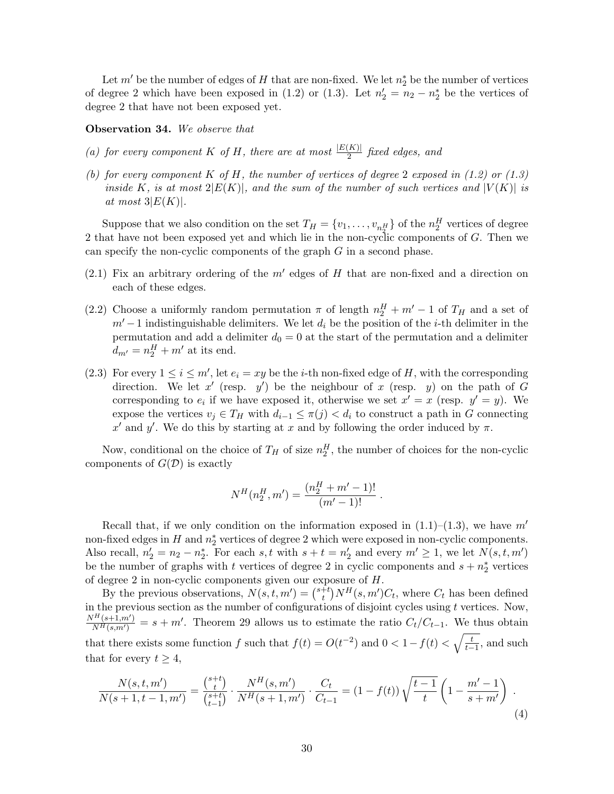Let  $m'$  be the number of edges of H that are non-fixed. We let  $n_2^*$  be the number of vertices of degree 2 which have been exposed in (1.2) or (1.3). Let  $n'_2 = n_2 - n_2^*$  be the vertices of degree 2 that have not been exposed yet.

#### Observation 34. We observe that

- (a) for every component K of H, there are at most  $\frac{|E(K)|}{2}$  fixed edges, and
- (b) for every component K of H, the number of vertices of degree 2 exposed in  $(1.2)$  or  $(1.3)$ inside K, is at most  $2|E(K)|$ , and the sum of the number of such vertices and  $|V(K)|$  is at most  $3|E(K)|$ .

Suppose that we also condition on the set  $T_H = \{v_1, \ldots, v_{n_2^H}\}\$  of the  $n_2^H$  vertices of degree 2 that have not been exposed yet and which lie in the non-cyclic components of G. Then we can specify the non-cyclic components of the graph  $G$  in a second phase.

- (2.1) Fix an arbitrary ordering of the  $m'$  edges of  $H$  that are non-fixed and a direction on each of these edges.
- (2.2) Choose a uniformly random permutation  $\pi$  of length  $n_2^H + m' 1$  of  $T_H$  and a set of  $m'-1$  indistinguishable delimiters. We let  $d_i$  be the position of the *i*-th delimiter in the permutation and add a delimiter  $d_0 = 0$  at the start of the permutation and a delimiter  $d_{m'} = n_2^H + m'$  at its end.
- (2.3) For every  $1 \le i \le m'$ , let  $e_i = xy$  be the *i*-th non-fixed edge of H, with the corresponding direction. We let x' (resp. y') be the neighbour of x (resp. y) on the path of G corresponding to  $e_i$  if we have exposed it, otherwise we set  $x' = x$  (resp.  $y' = y$ ). We expose the vertices  $v_i \in T_H$  with  $d_{i-1} \leq \pi(j) < d_i$  to construct a path in G connecting x' and y'. We do this by starting at x and by following the order induced by  $\pi$ .

Now, conditional on the choice of  $T_H$  of size  $n_2^H$ , the number of choices for the non-cyclic components of  $G(\mathcal{D})$  is exactly

$$
N^H(n_2^H, m') = \frac{(n_2^H + m' - 1)!}{(m' - 1)!}.
$$

Recall that, if we only condition on the information exposed in  $(1.1)$ – $(1.3)$ , we have m' non-fixed edges in  $H$  and  $n_2^*$  vertices of degree 2 which were exposed in non-cyclic components. Also recall,  $n'_2 = n_2 - n_2^*$ . For each s, t with  $s + t = n'_2$  and every  $m' \geq 1$ , we let  $N(s, t, m')$ be the number of graphs with t vertices of degree 2 in cyclic components and  $s + n<sub>2</sub><sup>*</sup>$  vertices of degree 2 in non-cyclic components given our exposure of H.

By the previous observations,  $N(s, t, m') = \binom{s+t}{t}$  $_{t}^{t}$ <sup>t</sup> $_{t}$ <sup>t</sup> $_{t}$  $N$ <sup>*H*</sup> $(s, m')$ *C*<sub>t</sub>, where *C*<sub>t</sub> has been defined in the previous section as the number of configurations of disjoint cycles using  $t$  vertices. Now,  $N^H(s+1,m')$  $\frac{N_{H}(s+1,m')}{N_{H}(s,m')} = s + m'$ . Theorem 29 allows us to estimate the ratio  $C_t/C_{t-1}$ . We thus obtain that there exists some function f such that  $f(t) = O(t^{-2})$  and  $0 < 1 - f(t) < \sqrt{\frac{t}{t-1}}$ , and such that for every  $t \geq 4$ ,

$$
\frac{N(s,t,m')}{N(s+1,t-1,m')} = \frac{\binom{s+t}{t}}{\binom{s+t}{t-1}} \cdot \frac{N^H(s,m')}{N^H(s+1,m')} \cdot \frac{C_t}{C_{t-1}} = (1-f(t))\sqrt{\frac{t-1}{t}} \left(1 - \frac{m'-1}{s+m'}\right) \tag{4}
$$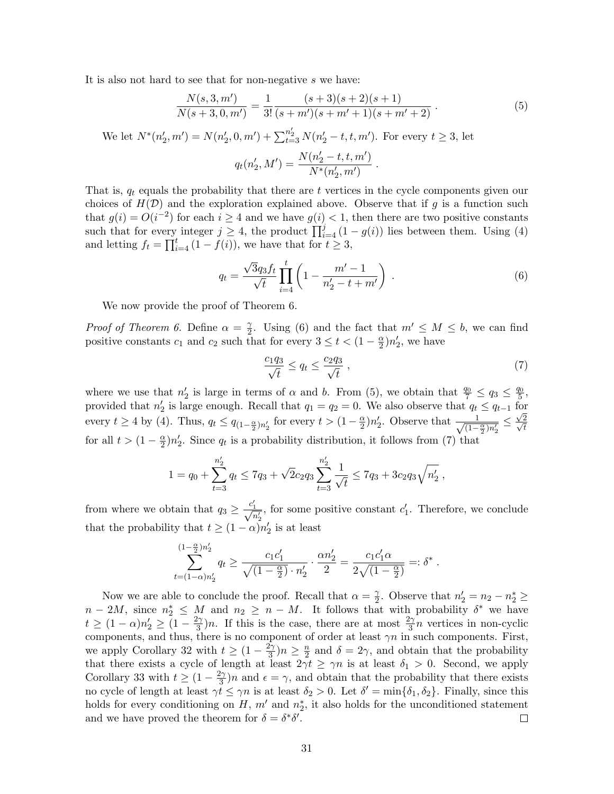It is also not hard to see that for non-negative s we have:

$$
\frac{N(s,3,m')}{N(s+3,0,m')} = \frac{1}{3!} \frac{(s+3)(s+2)(s+1)}{(s+m')(s+m'+1)(s+m'+2)}.
$$
\n(5)

We let  $N^*(n'_2, m') = N(n'_2, 0, m') + \sum_{t=3}^{n'_2} N(n'_2 - t, t, m')$ . For every  $t \ge 3$ , let

$$
q_t(n_2',M') = \frac{N(n_2'-t,t,m')}{N^*(n_2',m')}
$$

That is,  $q_t$  equals the probability that there are t vertices in the cycle components given our choices of  $H(\mathcal{D})$  and the exploration explained above. Observe that if g is a function such that  $g(i) = O(i^{-2})$  for each  $i \geq 4$  and we have  $g(i) < 1$ , then there are two positive constants such that for every integer  $j \geq 4$ , the product  $\prod_{i=4}^{j} (1 - g(i))$  lies between them. Using (4) and letting  $f_t = \prod_{i=4}^t (1 - f(i))$ , we have that for  $t \geq 3$ ,

$$
q_t = \frac{\sqrt{3}q_3 f_t}{\sqrt{t}} \prod_{i=4}^t \left( 1 - \frac{m' - 1}{n'_2 - t + m'} \right) . \tag{6}
$$

.

We now provide the proof of Theorem 6.

*Proof of Theorem 6.* Define  $\alpha = \frac{\gamma}{2}$  $\frac{\gamma}{2}$ . Using (6) and the fact that  $m' \leq M \leq b$ , we can find positive constants  $c_1$  and  $c_2$  such that for every  $3 \leq t < (1 - \frac{\alpha}{2})$  $\frac{\alpha}{2}$ ) $n'_2$ , we have

$$
\frac{c_1 q_3}{\sqrt{t}} \le q_t \le \frac{c_2 q_3}{\sqrt{t}},\tag{7}
$$

where we use that  $n'_2$  is large in terms of  $\alpha$  and b. From (5), we obtain that  $\frac{q_0}{7} \leq q_3 \leq \frac{q_0}{5}$  $\frac{70}{5}$ , provided that  $n'_2$  is large enough. Recall that  $q_1 = q_2 = 0$ . We also observe that  $q_t \leq q_{t-1}$  for every  $t \ge 4$  by (4). Thus,  $q_t \le q_{(1-\frac{\alpha}{2})n'_2}$  for every  $t > (1-\frac{\alpha}{2})$  $\frac{\alpha}{2}$ )n'<sub>2</sub>. Observe that  $\frac{1}{\sqrt{1-\alpha}}$  $\frac{1}{(1-\frac{\alpha}{2})n'_2} \leq \frac{\sqrt{2}}{\sqrt{t}}$ t for all  $t > (1 - \frac{\alpha}{2})$  $\frac{\alpha}{2}$ )n'<sub>2</sub>. Since  $q_t$  is a probability distribution, it follows from (7) that

$$
1 = q_0 + \sum_{t=3}^{n'_2} q_t \le 7q_3 + \sqrt{2}c_2 q_3 \sum_{t=3}^{n'_2} \frac{1}{\sqrt{t}} \le 7q_3 + 3c_2 q_3 \sqrt{n'_2} ,
$$

from where we obtain that  $q_3 \ge \frac{c'_1}{\sqrt{n'_2}}$ , for some positive constant  $c'_1$ . Therefore, we conclude that the probability that  $t \geq (1 - \alpha)n'_2$  is at least

$$
\sum_{t=(1-\alpha)n'_2}^{(1-\frac{\alpha}{2})n'_2} q_t \ge \frac{c_1c'_1}{\sqrt{(1-\frac{\alpha}{2})}\cdot n'_2} \cdot \frac{\alpha n'_2}{2} = \frac{c_1c'_1\alpha}{2\sqrt{(1-\frac{\alpha}{2})}} =: \delta^*.
$$

Now we are able to conclude the proof. Recall that  $\alpha = \frac{\gamma}{2}$  $\frac{\gamma}{2}$ . Observe that  $n'_2 = n_2 - n_2^* \geq$  $n-2M$ , since  $n_2^* \leq M$  and  $n_2 \geq n-M$ . It follows that with probability  $\delta^*$  we have  $t \geq (1-\alpha)n'_2 \geq (1-\frac{2\gamma}{3})$  $\frac{2\gamma}{3}$ )n. If this is the case, there are at most  $\frac{2\gamma}{3}n$  vertices in non-cyclic components, and thus, there is no component of order at least  $\gamma n$  in such components. First, we apply Corollary 32 with  $t \geq (1 - \frac{2\gamma}{3})$  $\frac{2\gamma}{3}$ ) $n \geq \frac{n}{2}$  $\frac{n}{2}$  and  $\delta = 2\gamma$ , and obtain that the probability that there exists a cycle of length at least  $2\gamma t \geq \gamma n$  is at least  $\delta_1 > 0$ . Second, we apply Corollary 33 with  $t \geq (1 - \frac{2\gamma}{3})$  $\frac{2\gamma}{3}$ )n and  $\epsilon = \gamma$ , and obtain that the probability that there exists no cycle of length at least  $\gamma t \leq \gamma n$  is at least  $\delta_2 > 0$ . Let  $\delta' = \min{\{\delta_1, \delta_2\}}$ . Finally, since this holds for every conditioning on  $H$ ,  $m'$  and  $n_2^*$ , it also holds for the unconditioned statement and we have proved the theorem for  $\delta = \delta^* \delta'$ .  $\Box$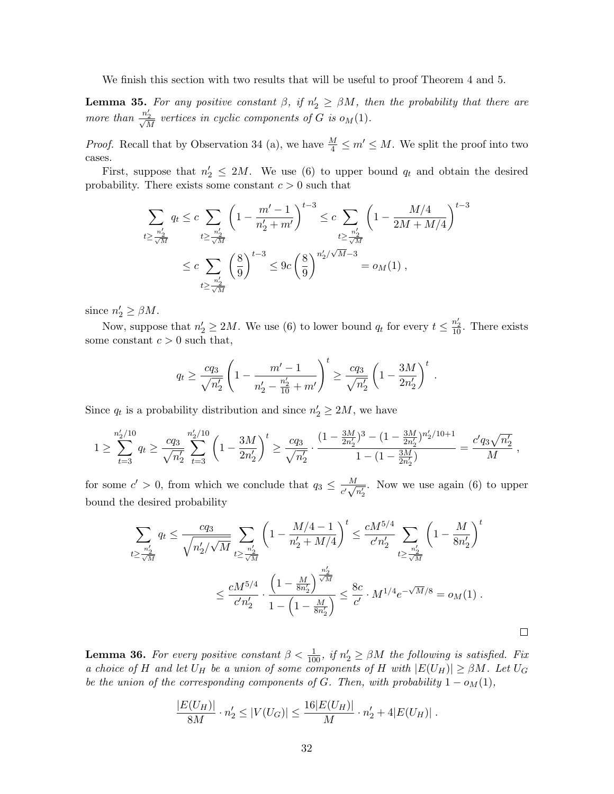We finish this section with two results that will be useful to proof Theorem 4 and 5.

**Lemma 35.** For any positive constant  $\beta$ , if  $n'_2 \geq \beta M$ , then the probability that there are more than  $\frac{n'_2}{\sqrt{M}}$  vertices in cyclic components of G is  $o_M(1)$ .

*Proof.* Recall that by Observation 34 (a), we have  $\frac{M}{4} \leq m' \leq M$ . We split the proof into two cases.

First, suppose that  $n'_2 \leq 2M$ . We use (6) to upper bound  $q_t$  and obtain the desired probability. There exists some constant  $c > 0$  such that

$$
\sum_{t \geq \frac{n_2'}{\sqrt{M}}} q_t \leq c \sum_{t \geq \frac{n_2'}{\sqrt{M}}} \left(1 - \frac{m' - 1}{n_2' + m'}\right)^{t-3} \leq c \sum_{t \geq \frac{n_2'}{\sqrt{M}}} \left(1 - \frac{M/4}{2M + M/4}\right)^{t-3}
$$
  

$$
\leq c \sum_{t \geq \frac{n_2'}{\sqrt{M}}} \left(\frac{8}{9}\right)^{t-3} \leq 9c \left(\frac{8}{9}\right)^{n_2' / \sqrt{M} - 3} = o_M(1),
$$

since  $n'_2 \geq \beta M$ .

Now, suppose that  $n'_2 \ge 2M$ . We use (6) to lower bound  $q_t$  for every  $t \le \frac{n'_2}{10}$ . There exists some constant  $c > 0$  such that,

$$
q_t \ge \frac{c q_3}{\sqrt{n'_2}} \left( 1 - \frac{m' - 1}{n'_2 - \frac{n'_2}{10} + m'} \right)^t \ge \frac{c q_3}{\sqrt{n'_2}} \left( 1 - \frac{3M}{2n'_2} \right)^t.
$$

Since  $q_t$  is a probability distribution and since  $n'_2 \ge 2M$ , we have

$$
1 \geq \sum_{t=3}^{n'_2/10} q_t \geq \frac{c q_3}{\sqrt{n'_2}} \sum_{t=3}^{n'_2/10} \left(1 - \frac{3M}{2n'_2}\right)^t \geq \frac{c q_3}{\sqrt{n'_2}} \cdot \frac{(1 - \frac{3M}{2n'_2})^3 - (1 - \frac{3M}{2n'_2})^{n'_2/10 + 1}}{1 - (1 - \frac{3M}{2n'_2})} = \frac{c' q_3 \sqrt{n'_2}}{M} ,
$$

for some  $c' > 0$ , from which we conclude that  $q_3 \n\t\leq \frac{M}{d}$  $\frac{M}{c'\sqrt{n'_2}}$ . Now we use again (6) to upper bound the desired probability

$$
\sum_{t \geq \frac{n'_2}{\sqrt{M}}} q_t \leq \frac{c q_3}{\sqrt{n'_2 / \sqrt{M}}} \sum_{t \geq \frac{n'_2}{\sqrt{M}}} \left(1 - \frac{M/4 - 1}{n'_2 + M/4} \right)^t \leq \frac{c M^{5/4}}{c' n'_2} \sum_{t \geq \frac{n'_2}{\sqrt{M}}} \left(1 - \frac{M}{8n'_2}\right)^t
$$
  

$$
\leq \frac{c M^{5/4}}{c' n'_2} \cdot \frac{\left(1 - \frac{M}{8n'_2}\right)^{\frac{n'_2}{\sqrt{M}}}}{1 - \left(1 - \frac{M}{8n'_2}\right)} \leq \frac{8c}{c'} \cdot M^{1/4} e^{-\sqrt{M}/8} = o_M(1) .
$$

 $\Box$ 

**Lemma 36.** For every positive constant  $\beta < \frac{1}{100}$ , if  $n'_2 \geq \beta M$  the following is satisfied. Fix a choice of H and let  $U_H$  be a union of some components of H with  $|E(U_H)| \geq \beta M$ . Let  $U_G$ be the union of the corresponding components of G. Then, with probability  $1 - o<sub>M</sub>(1)$ ,

$$
\frac{|E(U_H)|}{8M} \cdot n'_2 \le |V(U_G)| \le \frac{16|E(U_H)|}{M} \cdot n'_2 + 4|E(U_H)|.
$$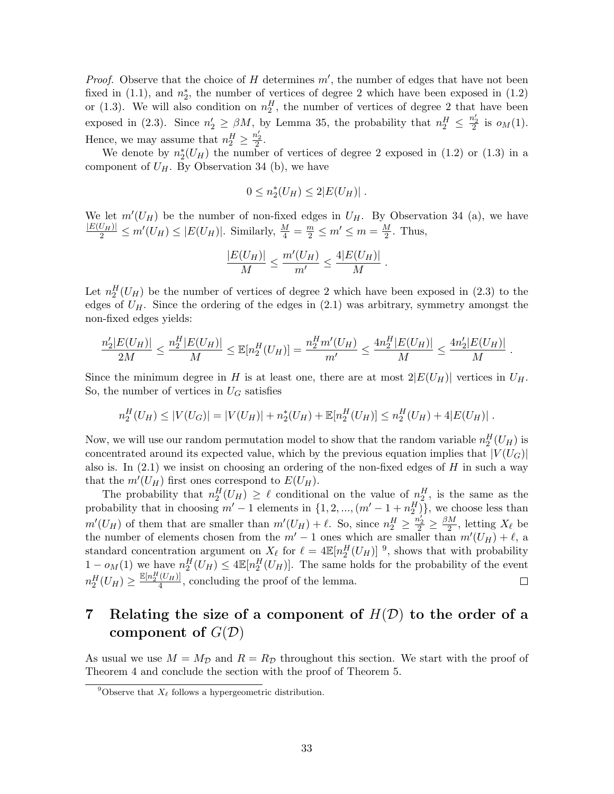*Proof.* Observe that the choice of  $H$  determines  $m'$ , the number of edges that have not been fixed in  $(1.1)$ , and  $n_2^*$ , the number of vertices of degree 2 which have been exposed in  $(1.2)$ or (1.3). We will also condition on  $n_2^H$ , the number of vertices of degree 2 that have been exposed in (2.3). Since  $n'_2 \geq \beta M$ , by Lemma 35, the probability that  $n_2^H \leq \frac{n'_2}{2}$  is  $o_M(1)$ . Hence, we may assume that  $n_2^H \geq \frac{n'_2}{2}$ .

We denote by  $n_2^*(U_H)$  the number of vertices of degree 2 exposed in (1.2) or (1.3) in a component of  $U_H$ . By Observation 34 (b), we have

$$
0 \leq n_2^*(U_H) \leq 2|E(U_H)|.
$$

We let  $m'(U_H)$  be the number of non-fixed edges in  $U_H$ . By Observation 34 (a), we have  $\frac{|E(U_H)|}{2} \le m'(U_H) \le |E(U_H)|$ . Similarly,  $\frac{M}{4} = \frac{m}{2} \le m' \le m = \frac{M}{2}$  $\frac{M}{2}$ . Thus,

$$
\frac{|E(U_H)|}{M} \le \frac{m'(U_H)}{m'} \le \frac{4|E(U_H)|}{M} .
$$

Let  $n_2^H(U_H)$  be the number of vertices of degree 2 which have been exposed in (2.3) to the edges of  $U_H$ . Since the ordering of the edges in  $(2.1)$  was arbitrary, symmetry amongst the non-fixed edges yields:

$$
\frac{n_2'|E(U_H)|}{2M} \le \frac{n_2^H|E(U_H)|}{M} \le \mathbb{E}[n_2^H(U_H)] = \frac{n_2^H m'(U_H)}{m'} \le \frac{4n_2^H|E(U_H)|}{M} \le \frac{4n_2'|E(U_H)|}{M}
$$

.

Since the minimum degree in H is at least one, there are at most  $2|E(U_H)|$  vertices in  $U_H$ . So, the number of vertices in  $U_G$  satisfies

$$
n_2^H(U_H) \le |V(U_G)| = |V(U_H)| + n_2^*(U_H) + \mathbb{E}[n_2^H(U_H)] \le n_2^H(U_H) + 4|E(U_H)|.
$$

Now, we will use our random permutation model to show that the random variable  $n_2^H(U_H)$  is concentrated around its expected value, which by the previous equation implies that  $|V(U_G)|$ also is. In  $(2.1)$  we insist on choosing an ordering of the non-fixed edges of H in such a way that the  $m'(U_H)$  first ones correspond to  $E(U_H)$ .

The probability that  $n_2^H(U_H) \geq \ell$  conditional on the value of  $n_2^H$ , is the same as the probability that in choosing  $m' - 1$  elements in  $\{1, 2, ..., (m' - 1 + n_2^H)\}\$ , we choose less than  $m'(U_H)$  of them that are smaller than  $m'(U_H) + \ell$ . So, since  $n_2^H \ge \frac{n_2'}{2} \ge \frac{\beta M}{2}$  $\frac{M}{2}$ , letting  $X_{\ell}$  be the number of elements chosen from the  $m' - 1$  ones which are smaller than  $m'(U_H) + \ell$ , a standard concentration argument on  $X_{\ell}$  for  $\ell = 4\mathbb{E}[n_2^H(U_H)]$ <sup>9</sup>, shows that with probability  $1-o_M(1)$  we have  $n_2^H(U_H) \leq 4\mathbb{E}[n_2^H(U_H)]$ . The same holds for the probability of the event  $n_2^H(U_H) \geq \frac{\mathbb{E}[n_2^H(U_H)]}{4}$  $\frac{(U_H)}{4}$ , concluding the proof of the lemma.  $\Box$ 

# 7 Relating the size of a component of  $H(D)$  to the order of a component of  $G(\mathcal{D})$

As usual we use  $M = M_{\mathcal{D}}$  and  $R = R_{\mathcal{D}}$  throughout this section. We start with the proof of Theorem 4 and conclude the section with the proof of Theorem 5.

<sup>&</sup>lt;sup>9</sup>Observe that  $X_{\ell}$  follows a hypergeometric distribution.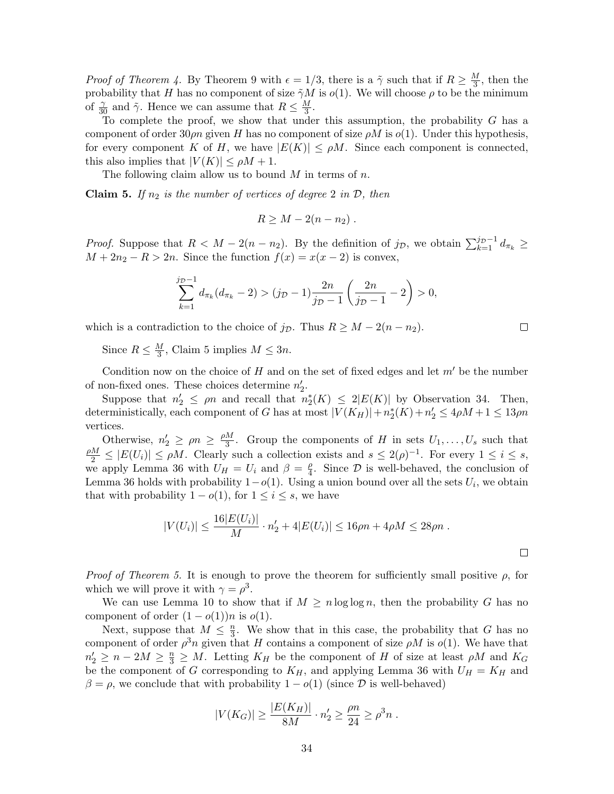*Proof of Theorem 4.* By Theorem 9 with  $\epsilon = 1/3$ , there is a  $\tilde{\gamma}$  such that if  $R \geq \frac{M}{3}$  $\frac{M}{3}$ , then the probability that H has no component of size  $\tilde{\gamma}M$  is  $o(1)$ . We will choose  $\rho$  to be the minimum of  $\frac{\gamma}{30}$  and  $\tilde{\gamma}$ . Hence we can assume that  $R \leq \frac{M}{3}$  $\frac{M}{3}$ .

To complete the proof, we show that under this assumption, the probability G has a component of order 30 $\rho n$  given H has no component of size  $\rho M$  is  $o(1)$ . Under this hypothesis, for every component K of H, we have  $|E(K)| \leq \rho M$ . Since each component is connected, this also implies that  $|V(K)| \leq \rho M + 1$ .

The following claim allow us to bound  $M$  in terms of  $n$ .

**Claim 5.** If  $n_2$  is the number of vertices of degree 2 in  $\mathcal{D}$ , then

$$
R \geq M - 2(n - n_2) \; .
$$

*Proof.* Suppose that  $R < M - 2(n - n_2)$ . By the definition of  $j_{\mathcal{D}}$ , we obtain  $\sum_{k=1}^{j_{\mathcal{D}}-1} d_{\pi_k} \geq$  $M + 2n<sub>2</sub> - R > 2n$ . Since the function  $f(x) = x(x - 2)$  is convex,

$$
\sum_{k=1}^{j_{\mathcal{D}}-1} d_{\pi_k}(d_{\pi_k}-2) > (j_{\mathcal{D}}-1)\frac{2n}{j_{\mathcal{D}}-1}\left(\frac{2n}{j_{\mathcal{D}}-1}-2\right) > 0,
$$

which is a contradiction to the choice of  $j_{\mathcal{D}}$ . Thus  $R \geq M - 2(n - n_2)$ .

Since  $R \leq \frac{M}{3}$  $\frac{M}{3}$ , Claim 5 implies  $M \leq 3n$ .

Condition now on the choice of H and on the set of fixed edges and let  $m'$  be the number of non-fixed ones. These choices determine  $n'_2$ .

Suppose that  $n'_2 \le \rho n$  and recall that  $n_2^*(K) \le 2|E(K)|$  by Observation 34. Then, deterministically, each component of G has at most  $|V(K_H)| + n_2^*(K) + n_2' \leq 4\rho M + 1 \leq 13\rho n$ vertices.

Otherwise,  $n'_2 \ge \rho n \ge \frac{\rho M}{3}$  $\frac{M}{3}$ . Group the components of H in sets  $U_1, \ldots, U_s$  such that  $\frac{\rho M}{2} \leq |E(U_i)| \leq \rho M$ . Clearly such a collection exists and  $s \leq 2(\rho)^{-1}$ . For every  $1 \leq i \leq s$ , we apply Lemma 36 with  $U_H = U_i$  and  $\beta = \frac{\rho}{4}$  $\frac{\rho}{4}$ . Since  $\mathcal{D}$  is well-behaved, the conclusion of Lemma 36 holds with probability  $1-o(1)$ . Using a union bound over all the sets  $U_i$ , we obtain that with probability  $1 - o(1)$ , for  $1 \leq i \leq s$ , we have

$$
|V(U_i)| \le \frac{16|E(U_i)|}{M} \cdot n_2' + 4|E(U_i)| \le 16\rho n + 4\rho M \le 28\rho n \; .
$$

*Proof of Theorem 5.* It is enough to prove the theorem for sufficiently small positive  $\rho$ , for which we will prove it with  $\gamma = \rho^3$ .

We can use Lemma 10 to show that if  $M \ge n \log \log n$ , then the probability G has no component of order  $(1-o(1))n$  is  $o(1)$ .

Next, suppose that  $M \leq \frac{n}{3}$  $\frac{n}{3}$ . We show that in this case, the probability that G has no component of order  $\rho^3 n$  given that H contains a component of size  $\rho M$  is  $o(1)$ . We have that  $n'_2 \geq n - 2M \geq \frac{n}{3} \geq M$ . Letting  $K_H$  be the component of H of size at least  $\rho M$  and  $K_G$ be the component of G corresponding to  $K_H$ , and applying Lemma 36 with  $U_H = K_H$  and  $\beta = \rho$ , we conclude that with probability  $1 - o(1)$  (since  $\mathcal D$  is well-behaved)

$$
|V(K_G)| \ge \frac{|E(K_H)|}{8M} \cdot n'_2 \ge \frac{\rho n}{24} \ge \rho^3 n \; .
$$

□

 $\Box$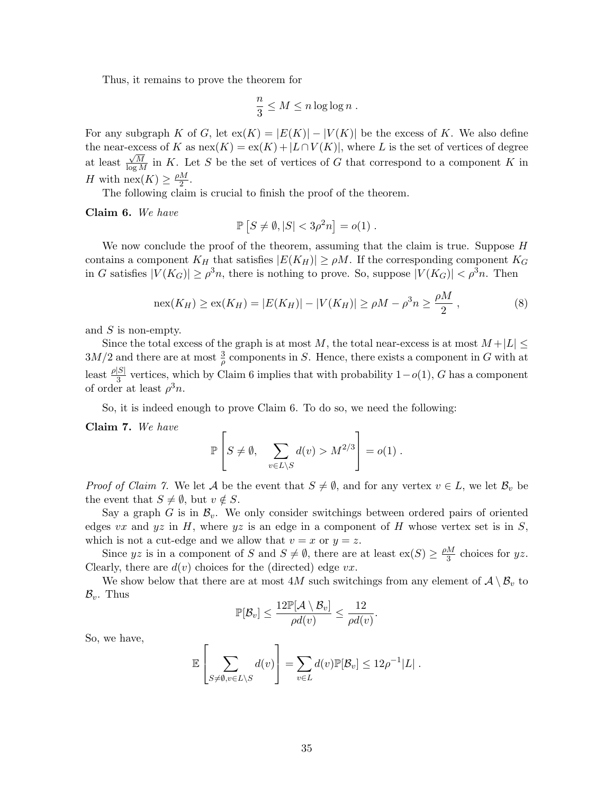Thus, it remains to prove the theorem for

$$
\frac{n}{3} \leq M \leq n \log \log n \; .
$$

For any subgraph K of G, let  $ex(K) = |E(K)| - |V(K)|$  be the excess of K. We also define the near-excess of K as  $\operatorname{nex}(K) = \operatorname{ex}(K) + |L \cap V(K)|$ , where L is the set of vertices of degree at least  $\frac{\sqrt{M}}{\log M}$  in K. Let S be the set of vertices of G that correspond to a component K in H with  $\operatorname{nex}(K) \geq \frac{\rho M}{2}$  $\frac{M}{2}$ .

The following claim is crucial to finish the proof of the theorem.

Claim 6. We have

$$
\mathbb{P}\left[S \neq \emptyset, |S| < 3\rho^2 n\right] = o(1) \; .
$$

We now conclude the proof of the theorem, assuming that the claim is true. Suppose H contains a component  $K_H$  that satisfies  $|E(K_H)| \ge \rho M$ . If the corresponding component  $K_G$ in G satisfies  $|V(K_G)| \ge \rho^3 n$ , there is nothing to prove. So, suppose  $|V(K_G)| < \rho^3 n$ . Then

$$
\max(K_H) \ge \exp(K_H) = |E(K_H)| - |V(K_H)| \ge \rho M - \rho^3 n \ge \frac{\rho M}{2},\tag{8}
$$

and  $S$  is non-empty.

Since the total excess of the graph is at most M, the total near-excess is at most  $M + |L| \leq$  $3M/2$  and there are at most  $\frac{3}{\rho}$  components in S. Hence, there exists a component in G with at least  $\frac{\rho|S|}{3}$  vertices, which by Claim 6 implies that with probability  $1-o(1)$ , G has a component of order at least  $\rho^3 n$ .

So, it is indeed enough to prove Claim 6. To do so, we need the following:

Claim 7. We have

$$
\mathbb{P}\left[S \neq \emptyset, \sum_{v \in L \setminus S} d(v) > M^{2/3}\right] = o(1) .
$$

*Proof of Claim 7.* We let A be the event that  $S \neq \emptyset$ , and for any vertex  $v \in L$ , we let  $\mathcal{B}_v$  be the event that  $S \neq \emptyset$ , but  $v \notin S$ .

Say a graph G is in  $\mathcal{B}_v$ . We only consider switchings between ordered pairs of oriented edges vx and yz in H, where yz is an edge in a component of H whose vertex set is in S, which is not a cut-edge and we allow that  $v = x$  or  $y = z$ .

Since yz is in a component of S and  $S \neq \emptyset$ , there are at least  $ex(S) \geq \frac{\rho M}{3}$  $\frac{M}{3}$  choices for yz. Clearly, there are  $d(v)$  choices for the (directed) edge  $vx$ .

We show below that there are at most 4M such switchings from any element of  $\mathcal{A} \setminus \mathcal{B}_v$  to  $\mathcal{B}_v$ . Thus

$$
\mathbb{P}[\mathcal{B}_v] \leq \frac{12\mathbb{P}[\mathcal{A} \setminus \mathcal{B}_v]}{\rho d(v)} \leq \frac{12}{\rho d(v)}
$$

.

So, we have,

$$
\mathbb{E}\left[\sum_{S\neq\emptyset,v\in L\setminus S}d(v)\right]=\sum_{v\in L}d(v)\mathbb{P}[\mathcal{B}_v]\leq 12\rho^{-1}|L|.
$$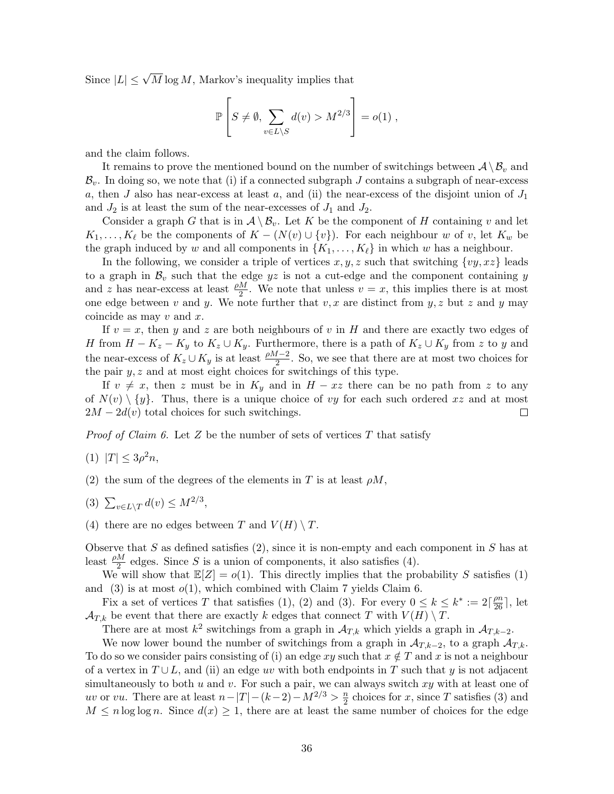Since  $|L| \leq \sqrt{M} \log M$ , Markov's inequality implies that

$$
\mathbb{P}\left[S \neq \emptyset, \sum_{v \in L \setminus S} d(v) > M^{2/3}\right] = o(1) ,
$$

and the claim follows.

It remains to prove the mentioned bound on the number of switchings between  $\mathcal{A} \setminus \mathcal{B}_v$  and  $\mathcal{B}_v$ . In doing so, we note that (i) if a connected subgraph J contains a subgraph of near-excess a, then J also has near-excess at least a, and (ii) the near-excess of the disjoint union of  $J_1$ and  $J_2$  is at least the sum of the near-excesses of  $J_1$  and  $J_2$ .

Consider a graph G that is in  $\mathcal{A} \setminus \mathcal{B}_v$ . Let K be the component of H containing v and let  $K_1, \ldots, K_\ell$  be the components of  $K - (N(v) \cup \{v\})$ . For each neighbour w of v, let  $K_w$  be the graph induced by w and all components in  $\{K_1, \ldots, K_\ell\}$  in which w has a neighbour.

In the following, we consider a triple of vertices  $x, y, z$  such that switching  $\{vy, xz\}$  leads to a graph in  $\mathcal{B}_v$  such that the edge yz is not a cut-edge and the component containing y and z has near-excess at least  $\frac{\rho M}{2}$ . We note that unless  $v = x$ , this implies there is at most one edge between v and y. We note further that  $v, x$  are distinct from  $y, z$  but z and y may coincide as may  $v$  and  $x$ .

If  $v = x$ , then y and z are both neighbours of v in H and there are exactly two edges of H from  $H - K_z - K_y$  to  $K_z \cup K_y$ . Furthermore, there is a path of  $K_z \cup K_y$  from z to y and the near-excess of  $K_z \cup K_y$  is at least  $\frac{\rho M-2}{2}$ . So, we see that there are at most two choices for the pair  $y, z$  and at most eight choices for switchings of this type.

If  $v \neq x$ , then z must be in  $K_y$  and in  $H - xz$  there can be no path from z to any of  $N(v) \setminus \{y\}$ . Thus, there is a unique choice of vy for each such ordered x and at most  $2M - 2d(v)$  total choices for such switchings. □

*Proof of Claim 6.* Let  $Z$  be the number of sets of vertices  $T$  that satisfy

$$
(1) \ |T| \le 3\rho^2 n,
$$

(2) the sum of the degrees of the elements in T is at least  $\rho M$ ,

- (3)  $\sum_{v \in L \setminus T} d(v) \leq M^{2/3}$ ,
- (4) there are no edges between T and  $V(H) \setminus T$ .

Observe that  $S$  as defined satisfies  $(2)$ , since it is non-empty and each component in  $S$  has at least  $\frac{\rho M}{2}$  edges. Since S is a union of components, it also satisfies (4).

We will show that  $\mathbb{E}[Z] = o(1)$ . This directly implies that the probability S satisfies (1) and (3) is at most  $o(1)$ , which combined with Claim 7 yields Claim 6.

Fix a set of vertices T that satisfies (1), (2) and (3). For every  $0 \le k \le k^* := 2\lceil \frac{\rho n}{26} \rceil$ , let  $\mathcal{A}_{T,k}$  be event that there are exactly k edges that connect T with  $V(H) \setminus T$ .

There are at most  $k^2$  switchings from a graph in  $\mathcal{A}_{T,k}$  which yields a graph in  $\mathcal{A}_{T,k-2}$ .

We now lower bound the number of switchings from a graph in  $\mathcal{A}_{T,k-2}$ , to a graph  $\mathcal{A}_{T,k}$ . To do so we consider pairs consisting of (i) an edge xy such that  $x \notin T$  and x is not a neighbour of a vertex in  $T \cup L$ , and (ii) an edge uv with both endpoints in T such that y is not adjacent simultaneously to both u and v. For such a pair, we can always switch  $xy$  with at least one of uv or vu. There are at least  $n-|T|-(k-2)-M^{2/3} > \frac{n}{2}$  $\frac{n}{2}$  choices for x, since T satisfies (3) and  $M \leq n \log \log n$ . Since  $d(x) \geq 1$ , there are at least the same number of choices for the edge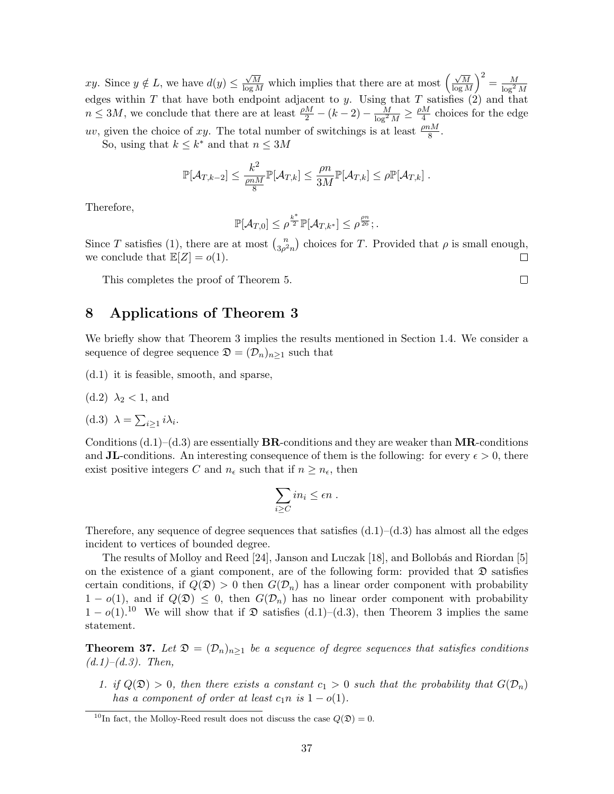xy. Since  $y \notin L$ , we have  $d(y) \leq$  $\frac{\sqrt{M}}{\log M}$  which implies that there are at most  $\left(\frac{\sqrt{M}}{\log M}\right)$  $\left(\frac{\sqrt{M}}{\log M}\right)^2 = \frac{M}{\log^2 M}$ edges within T that have both endpoint adjacent to y. Using that T satisfies  $(2)$  and that  $n \leq 3M$ , we conclude that there are at least  $\frac{\rho M}{2} - (k-2) - \frac{M}{\log^2 M} \geq \frac{\rho M}{4}$  $\frac{M}{4}$  choices for the edge uv, given the choice of xy. The total number of switchings is at least  $\frac{\rho n M}{8}$ .

So, using that  $k \leq k^*$  and that  $n \leq 3M$ 

$$
\mathbb{P}[\mathcal{A}_{T,k-2}] \leq \frac{k^2}{\frac{\rho n M}{8}} \mathbb{P}[\mathcal{A}_{T,k}] \leq \frac{\rho n}{3M} \mathbb{P}[\mathcal{A}_{T,k}] \leq \rho \mathbb{P}[\mathcal{A}_{T,k}].
$$

Therefore,

$$
\mathbb{P}[\mathcal{A}_{T,0}] \leq \rho^{\frac{k^*}{2}} \mathbb{P}[\mathcal{A}_{T,k^*}] \leq \rho^{\frac{\rho n}{26}};
$$

Since T satisfies (1), there are at most  $\binom{n}{3}$  $\binom{n}{3\rho^2 n}$  choices for T. Provided that  $\rho$  is small enough, we conclude that  $\mathbb{E}[Z] = o(1)$ . □

This completes the proof of Theorem 5.

# 8 Applications of Theorem 3

We briefly show that Theorem 3 implies the results mentioned in Section 1.4. We consider a sequence of degree sequence  $\mathfrak{D} = (\mathcal{D}_n)_{n \geq 1}$  such that

- (d.1) it is feasible, smooth, and sparse,
- (d.2)  $\lambda_2$  < 1, and

(d.3) 
$$
\lambda = \sum_{i \geq 1} i \lambda_i.
$$

Conditions  $(d.1)$ – $(d.3)$  are essentially **BR**-conditions and they are weaker than **MR**-conditions and JL-conditions. An interesting consequence of them is the following: for every  $\epsilon > 0$ , there exist positive integers C and  $n_{\epsilon}$  such that if  $n \geq n_{\epsilon}$ , then

$$
\sum_{i\geq C}in_i\leq \epsilon n.
$$

Therefore, any sequence of degree sequences that satisfies  $(d.1)$ – $(d.3)$  has almost all the edges incident to vertices of bounded degree.

The results of Molloy and Reed  $[24]$ , Janson and Luczak  $[18]$ , and Bollobás and Riordan  $[5]$ on the existence of a giant component, are of the following form: provided that  $\mathfrak D$  satisfies certain conditions, if  $Q(\mathfrak{D}) > 0$  then  $G(\mathcal{D}_n)$  has a linear order component with probability  $1 - o(1)$ , and if  $Q(\mathfrak{D}) \leq 0$ , then  $G(\mathcal{D}_n)$  has no linear order component with probability  $1-o(1).^{10}$  We will show that if  $\mathfrak D$  satisfies (d.1)–(d.3), then Theorem 3 implies the same statement.

**Theorem 37.** Let  $\mathfrak{D} = (\mathcal{D}_n)_{n \geq 1}$  be a sequence of degree sequences that satisfies conditions  $(d.1)–(d.3)$ . Then,

1. if  $Q(\mathfrak{D}) > 0$ , then there exists a constant  $c_1 > 0$  such that the probability that  $G(\mathcal{D}_n)$ has a component of order at least  $c_1n$  is  $1 - o(1)$ .

 $\Box$ 

<sup>&</sup>lt;sup>10</sup>In fact, the Molloy-Reed result does not discuss the case  $Q(\mathfrak{D}) = 0$ .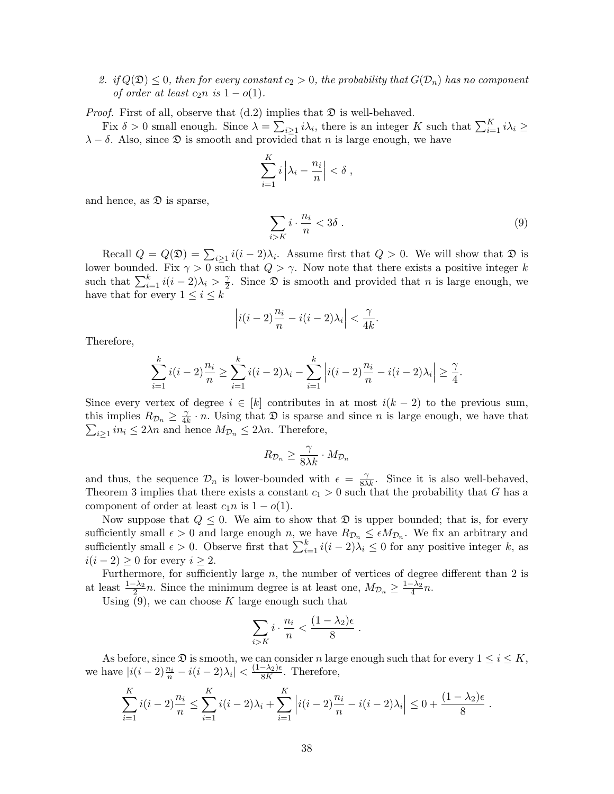2. if  $Q(\mathfrak{D}) \leq 0$ , then for every constant  $c_2 > 0$ , the probability that  $G(\mathcal{D}_n)$  has no component of order at least  $c_2n$  is  $1-o(1)$ .

*Proof.* First of all, observe that  $(d.2)$  implies that  $\mathfrak{D}$  is well-behaved.

Fix  $\delta > 0$  small enough. Since  $\lambda = \sum_{i \geq 1} i \lambda_i$ , there is an integer K such that  $\sum_{i=1}^{K} i \lambda_i \geq$  $\lambda - \delta$ . Also, since  $\mathfrak D$  is smooth and provided that n is large enough, we have

$$
\sum_{i=1}^K i \left| \lambda_i - \frac{n_i}{n} \right| < \delta \;,
$$

and hence, as  $\mathfrak D$  is sparse,

$$
\sum_{i>K} i \cdot \frac{n_i}{n} < 3\delta \tag{9}
$$

Recall  $Q = Q(\mathfrak{D}) = \sum_{i \geq 1} i(i-2)\lambda_i$ . Assume first that  $Q > 0$ . We will show that  $\mathfrak{D}$  is lower bounded. Fix  $\gamma > 0$  such that  $Q > \gamma$ . Now note that there exists a positive integer k such that  $\sum_{i=1}^{k} i(i-2)\lambda_i > \frac{\gamma}{2}$  $\frac{\gamma}{2}$ . Since  $\mathfrak{D}$  is smooth and provided that *n* is large enough, we have that for every  $1 \leq i \leq k$ 

$$
\left|i(i-2)\frac{n_i}{n} - i(i-2)\lambda_i\right| < \frac{\gamma}{4k}.
$$

Therefore,

$$
\sum_{i=1}^{k} i(i-2)\frac{n_i}{n} \ge \sum_{i=1}^{k} i(i-2)\lambda_i - \sum_{i=1}^{k} \left| i(i-2)\frac{n_i}{n} - i(i-2)\lambda_i \right| \ge \frac{\gamma}{4}.
$$

Since every vertex of degree  $i \in [k]$  contributes in at most  $i(k-2)$  to the previous sum, this implies  $R_{\mathcal{D}_n} \geq \frac{\gamma}{4l}$ this implies  $R_{\mathcal{D}_n} \geq \frac{\gamma}{4k} \cdot n$ . Using that  $\mathfrak{D}$  is sparse and since *n* is large enough, we have that  $\sum_{i>1} in_i \leq 2\lambda n$  and hence  $M_{\mathcal{D}_n} \leq 2\lambda n$ . Therefore,  $i_{\geq 1}$   $in_i \leq 2\lambda n$  and hence  $M_{\mathcal{D}_n} \leq 2\lambda n$ . Therefore,

$$
R_{\mathcal{D}_n} \ge \frac{\gamma}{8\lambda k} \cdot M_{\mathcal{D}_n}
$$

and thus, the sequence  $\mathcal{D}_n$  is lower-bounded with  $\epsilon = \frac{\gamma}{8\lambda k}$ . Since it is also well-behaved, Theorem 3 implies that there exists a constant  $c_1 > 0$  such that the probability that G has a component of order at least  $c_1n$  is  $1 - o(1)$ .

Now suppose that  $Q \leq 0$ . We aim to show that  $\mathfrak D$  is upper bounded; that is, for every sufficiently small  $\epsilon > 0$  and large enough n, we have  $R_{\mathcal{D}_n} \leq \epsilon M_{\mathcal{D}_n}$ . We fix an arbitrary and sufficiently small  $\epsilon > 0$ . Observe first that  $\sum_{i=1}^{k} i(i-2)\lambda_i \leq 0$  for any positive integer k, as  $i(i-2) \geq 0$  for every  $i \geq 2$ .

Furthermore, for sufficiently large  $n$ , the number of vertices of degree different than 2 is at least  $\frac{1-\lambda_2}{2}n$ . Since the minimum degree is at least one,  $M_{\mathcal{D}_n} \geq \frac{1-\lambda_2}{4}n$ .

Using  $(9)$ , we can choose K large enough such that

$$
\sum_{i>K} i \cdot \frac{n_i}{n} < \frac{(1-\lambda_2)\epsilon}{8}
$$

.

As before, since  $\mathfrak D$  is smooth, we can consider n large enough such that for every  $1 \le i \le K$ , we have  $|i(i-2)\frac{n_i}{n} - i(i-2)\lambda_i| < \frac{(1-\lambda_2)\epsilon}{8K}$  $\frac{-\lambda_2}{8K}$ . Therefore,

$$
\sum_{i=1}^K i(i-2)\frac{n_i}{n} \le \sum_{i=1}^K i(i-2)\lambda_i + \sum_{i=1}^K \left| i(i-2)\frac{n_i}{n} - i(i-2)\lambda_i \right| \le 0 + \frac{(1-\lambda_2)\epsilon}{8}.
$$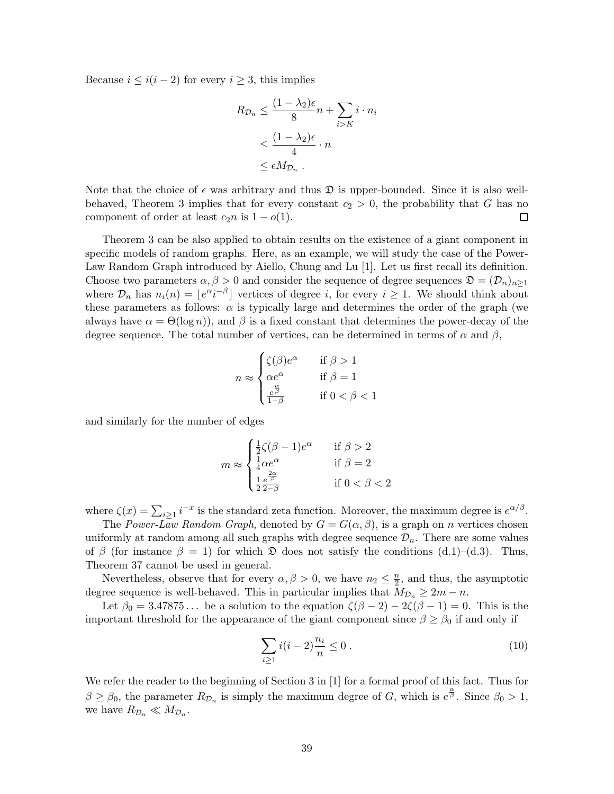Because  $i \leq i(i-2)$  for every  $i \geq 3$ , this implies

$$
R_{\mathcal{D}_n} \leq \frac{(1 - \lambda_2)\epsilon}{8}n + \sum_{i > K} i \cdot n_i
$$
  

$$
\leq \frac{(1 - \lambda_2)\epsilon}{4} \cdot n
$$
  

$$
\leq \epsilon M_{\mathcal{D}_n}.
$$

Note that the choice of  $\epsilon$  was arbitrary and thus  $\mathfrak D$  is upper-bounded. Since it is also wellbehaved, Theorem 3 implies that for every constant  $c_2 > 0$ , the probability that G has no component of order at least  $c_2n$  is  $1 - o(1)$ .  $\Box$ 

Theorem 3 can be also applied to obtain results on the existence of a giant component in specific models of random graphs. Here, as an example, we will study the case of the Power-Law Random Graph introduced by Aiello, Chung and Lu [1]. Let us first recall its definition. Choose two parameters  $\alpha, \beta > 0$  and consider the sequence of degree sequences  $\mathfrak{D} = (\mathcal{D}_n)_{n \geq 1}$ where  $\mathcal{D}_n$  has  $n_i(n) = \lfloor e^{\alpha} i^{-\beta} \rfloor$  vertices of degree i, for every  $i \geq 1$ . We should think about these parameters as follows:  $\alpha$  is typically large and determines the order of the graph (we always have  $\alpha = \Theta(\log n)$ , and  $\beta$  is a fixed constant that determines the power-decay of the degree sequence. The total number of vertices, can be determined in terms of  $\alpha$  and  $\beta$ ,

$$
n \approx \begin{cases} \zeta(\beta)e^{\alpha} & \text{if } \beta > 1\\ \alpha e^{\alpha} & \text{if } \beta = 1\\ \frac{e^{\frac{\alpha}{\beta}}}{1-\beta} & \text{if } 0 < \beta < 1 \end{cases}
$$

and similarly for the number of edges

$$
m \approx \begin{cases} \frac{1}{2}\zeta(\beta - 1)e^{\alpha} & \text{if } \beta > 2\\ \frac{1}{4}\alpha e^{\alpha} & \text{if } \beta = 2\\ \frac{1}{2}\frac{e^{\frac{2\alpha}{\beta}}}{2-\beta} & \text{if } 0 < \beta < 2 \end{cases}
$$

where  $\zeta(x) = \sum_{i \geq 1} i^{-x}$  is the standard zeta function. Moreover, the maximum degree is  $e^{\alpha/\beta}$ .

The Power-Law Random Graph, denoted by  $G = G(\alpha, \beta)$ , is a graph on n vertices chosen uniformly at random among all such graphs with degree sequence  $\mathcal{D}_n$ . There are some values of  $\beta$  (for instance  $\beta = 1$ ) for which  $\mathfrak D$  does not satisfy the conditions (d.1)–(d.3). Thus, Theorem 37 cannot be used in general.

Nevertheless, observe that for every  $\alpha, \beta > 0$ , we have  $n_2 \leq \frac{n}{2}$  $\frac{n}{2}$ , and thus, the asymptotic degree sequence is well-behaved. This in particular implies that  $M_{\mathcal{D}_n} \geq 2m - n$ .

Let  $\beta_0 = 3.47875...$  be a solution to the equation  $\zeta(\beta - 2) - 2\zeta(\beta - 1) = 0$ . This is the important threshold for the appearance of the giant component since  $\beta \geq \beta_0$  if and only if

$$
\sum_{i\geq 1} i(i-2)\frac{n_i}{n} \leq 0.
$$
\n(10)

We refer the reader to the beginning of Section 3 in [1] for a formal proof of this fact. Thus for  $\beta \geq \beta_0$ , the parameter  $R_{\mathcal{D}_n}$  is simply the maximum degree of G, which is  $e^{\frac{\alpha}{\beta}}$ . Since  $\beta_0 > 1$ , we have  $R_{\mathcal{D}_n} \ll M_{\mathcal{D}_n}$ .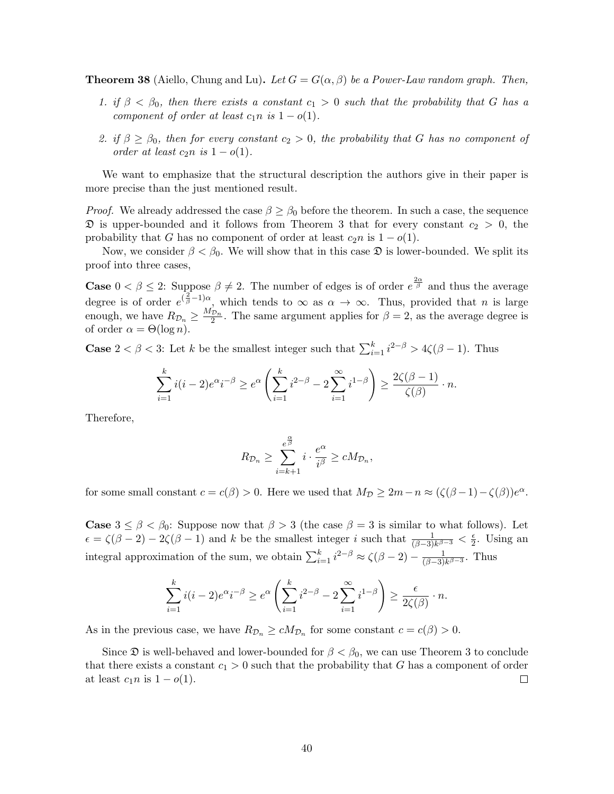**Theorem 38** (Aiello, Chung and Lu). Let  $G = G(\alpha, \beta)$  be a Power-Law random graph. Then,

- 1. if  $\beta < \beta_0$ , then there exists a constant  $c_1 > 0$  such that the probability that G has a component of order at least  $c_1n$  is  $1 - o(1)$ .
- 2. if  $\beta \geq \beta_0$ , then for every constant  $c_2 > 0$ , the probability that G has no component of order at least  $c_2n$  is  $1-o(1)$ .

We want to emphasize that the structural description the authors give in their paper is more precise than the just mentioned result.

*Proof.* We already addressed the case  $\beta \geq \beta_0$  before the theorem. In such a case, the sequence  $\mathfrak D$  is upper-bounded and it follows from Theorem 3 that for every constant  $c_2 > 0$ , the probability that G has no component of order at least  $c_2n$  is  $1 - o(1)$ .

Now, we consider  $\beta < \beta_0$ . We will show that in this case  $\mathfrak D$  is lower-bounded. We split its proof into three cases,

**Case**  $0 < \beta \leq 2$ : Suppose  $\beta \neq 2$ . The number of edges is of order  $e^{\frac{2\alpha}{\beta}}$  and thus the average degree is of order  $e^{(\frac{2}{\beta}-1)\alpha}$ , which tends to  $\infty$  as  $\alpha \to \infty$ . Thus, provided that *n* is large enough, we have  $R_{\mathcal{D}_n} \geq \frac{M_{\mathcal{D}_n}}{2}$ . The same argument applies for  $\beta = 2$ , as the average degree is of order  $\alpha = \Theta(\log n)$ .

**Case**  $2 < \beta < 3$ : Let k be the smallest integer such that  $\sum_{i=1}^{k} i^{2-\beta} > 4\zeta(\beta-1)$ . Thus

$$
\sum_{i=1}^k i(i-2)e^{\alpha}i^{-\beta} \ge e^{\alpha} \left( \sum_{i=1}^k i^{2-\beta} - 2 \sum_{i=1}^\infty i^{1-\beta} \right) \ge \frac{2\zeta(\beta-1)}{\zeta(\beta)} \cdot n.
$$

Therefore,

$$
R_{\mathcal{D}_n} \geq \sum_{i=k+1}^{e^{\frac{\alpha}{\beta}}} i \cdot \frac{e^{\alpha}}{i^{\beta}} \geq cM_{\mathcal{D}_n},
$$

for some small constant  $c = c(\beta) > 0$ . Here we used that  $M_{\mathcal{D}} \geq 2m - n \approx (\zeta(\beta - 1) - \zeta(\beta))e^{\alpha}$ .

**Case**  $3 \leq \beta < \beta_0$ : Suppose now that  $\beta > 3$  (the case  $\beta = 3$  is similar to what follows). Let  $\epsilon = \zeta(\beta - 2) - 2\zeta(\beta - 1)$  and k be the smallest integer i such that  $\frac{1}{(\beta - 3)k^{\beta - 3}} < \frac{\epsilon}{2}$  $\frac{\epsilon}{2}$ . Using an integral approximation of the sum, we obtain  $\sum_{i=1}^{k} i^{2-\beta} \approx \zeta(\beta-2) - \frac{1}{(\beta-3)}$  $\frac{1}{(\beta-3)k^{\beta-3}}$ . Thus

$$
\sum_{i=1}^k i(i-2)e^{\alpha}i^{-\beta} \ge e^{\alpha} \left( \sum_{i=1}^k i^{2-\beta} - 2 \sum_{i=1}^\infty i^{1-\beta} \right) \ge \frac{\epsilon}{2\zeta(\beta)} \cdot n.
$$

As in the previous case, we have  $R_{\mathcal{D}_n} \geq c M_{\mathcal{D}_n}$  for some constant  $c = c(\beta) > 0$ .

Since  $\mathfrak D$  is well-behaved and lower-bounded for  $\beta < \beta_0$ , we can use Theorem 3 to conclude that there exists a constant  $c_1 > 0$  such that the probability that G has a component of order at least  $c_1 n$  is  $1 - o(1)$ .  $\Box$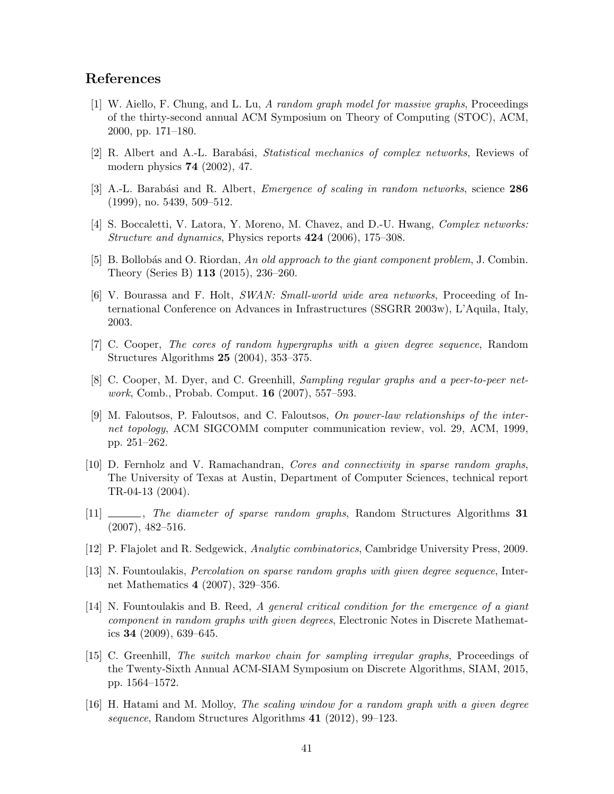# References

- [1] W. Aiello, F. Chung, and L. Lu, A random graph model for massive graphs, Proceedings of the thirty-second annual ACM Symposium on Theory of Computing (STOC), ACM, 2000, pp. 171–180.
- [2] R. Albert and A.-L. Barabási, *Statistical mechanics of complex networks*, Reviews of modern physics 74 (2002), 47.
- [3] A.-L. Barabási and R. Albert, *Emergence of scaling in random networks*, science 286 (1999), no. 5439, 509–512.
- [4] S. Boccaletti, V. Latora, Y. Moreno, M. Chavez, and D.-U. Hwang, *Complex networks: Structure and dynamics*, Physics reports  $424$  (2006), 175–308.
- [5] B. Bollobás and O. Riordan, An old approach to the giant component problem, J. Combin. Theory (Series B) 113 (2015), 236–260.
- [6] V. Bourassa and F. Holt, SWAN: Small-world wide area networks, Proceeding of International Conference on Advances in Infrastructures (SSGRR 2003w), L'Aquila, Italy, 2003.
- [7] C. Cooper, The cores of random hypergraphs with a given degree sequence, Random Structures Algorithms 25 (2004), 353–375.
- [8] C. Cooper, M. Dyer, and C. Greenhill, Sampling regular graphs and a peer-to-peer network, Comb., Probab. Comput. 16 (2007), 557–593.
- [9] M. Faloutsos, P. Faloutsos, and C. Faloutsos, On power-law relationships of the internet topology, ACM SIGCOMM computer communication review, vol. 29, ACM, 1999, pp. 251–262.
- [10] D. Fernholz and V. Ramachandran, Cores and connectivity in sparse random graphs, The University of Texas at Austin, Department of Computer Sciences, technical report TR-04-13 (2004).
- [11] \_\_\_\_, The diameter of sparse random graphs, Random Structures Algorithms 31 (2007), 482–516.
- [12] P. Flajolet and R. Sedgewick, Analytic combinatorics, Cambridge University Press, 2009.
- [13] N. Fountoulakis, Percolation on sparse random graphs with given degree sequence, Internet Mathematics 4 (2007), 329–356.
- [14] N. Fountoulakis and B. Reed, A general critical condition for the emergence of a giant component in random graphs with given degrees, Electronic Notes in Discrete Mathematics 34 (2009), 639–645.
- [15] C. Greenhill, The switch markov chain for sampling irregular graphs, Proceedings of the Twenty-Sixth Annual ACM-SIAM Symposium on Discrete Algorithms, SIAM, 2015, pp. 1564–1572.
- [16] H. Hatami and M. Molloy, The scaling window for a random graph with a given degree sequence, Random Structures Algorithms 41 (2012), 99–123.